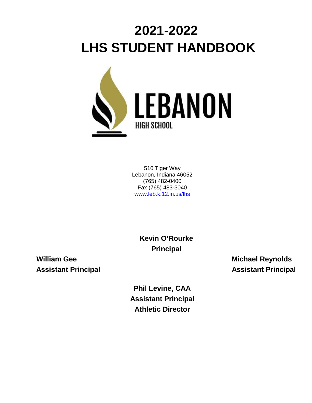# **2021-2022 LHS STUDENT HANDBOOK**



510 Tiger Way Lebanon, Indiana 46052 (765) 482-0400 Fax (765) 483-3040 [www.leb.k.12.in.us/lhs](http://www.leb.k.12.in.us/lhs)

> **Kevin O'Rourke Principal**

**William Gee Michael Reynolds Assistant Principal Assistant Principal**

> **Phil Levine, CAA Assistant Principal Athletic Director**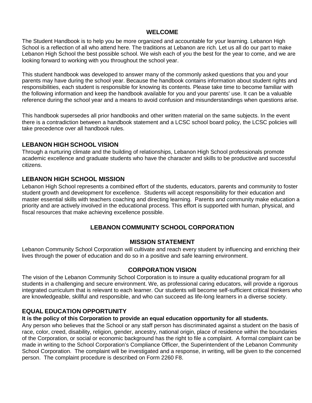# **WELCOME**

The Student Handbook is to help you be more organized and accountable for your learning. Lebanon High School is a reflection of all who attend here. The traditions at Lebanon are rich. Let us all do our part to make Lebanon High School the best possible school. We wish each of you the best for the year to come, and we are looking forward to working with you throughout the school year.

This student handbook was developed to answer many of the commonly asked questions that you and your parents may have during the school year. Because the handbook contains information about student rights and responsibilities, each student is responsible for knowing its contents. Please take time to become familiar with the following information and keep the handbook available for you and your parents' use. It can be a valuable reference during the school year and a means to avoid confusion and misunderstandings when questions arise.

This handbook supersedes all prior handbooks and other written material on the same subjects. In the event there is a contradiction between a handbook statement and a LCSC school board policy, the LCSC policies will take precedence over all handbook rules.

# **LEBANON HIGH SCHOOL VISION**

Through a nurturing climate and the building of relationships, Lebanon High School professionals promote academic excellence and graduate students who have the character and skills to be productive and successful citizens.

# **LEBANON HIGH SCHOOL MISSION**

Lebanon High School represents a combined effort of the students, educators, parents and community to foster student growth and development for excellence. Students will accept responsibility for their education and master essential skills with teachers coaching and directing learning. Parents and community make education a priority and are actively involved in the educational process. This effort is supported with human, physical, and fiscal resources that make achieving excellence possible.

# **LEBANON COMMUNITY SCHOOL CORPORATION**

#### **MISSION STATEMENT**

Lebanon Community School Corporation will cultivate and reach every student by influencing and enriching their lives through the power of education and do so in a positive and safe learning environment.

# **CORPORATION VISION**

The vision of the Lebanon Community School Corporation is to insure a quality educational program for all students in a challenging and secure environment. We, as professional caring educators, will provide a rigorous integrated curriculum that is relevant to each learner. Our students will become self-sufficient critical thinkers who are knowledgeable, skillful and responsible, and who can succeed as life-long learners in a diverse society.

# **EQUAL EDUCATION OPPORTUNITY**

#### **It is the policy of this Corporation to provide an equal education opportunity for all students.**

Any person who believes that the School or any staff person has discriminated against a student on the basis of race, color, creed, disability, religion, gender, ancestry, national origin, place of residence within the boundaries of the Corporation, or social or economic background has the right to file a complaint. A formal complaint can be made in writing to the School Corporation's Compliance Officer, the Superintendent of the Lebanon Community School Corporation. The complaint will be investigated and a response, in writing, will be given to the concerned person. The complaint procedure is described on Form 2260 F8.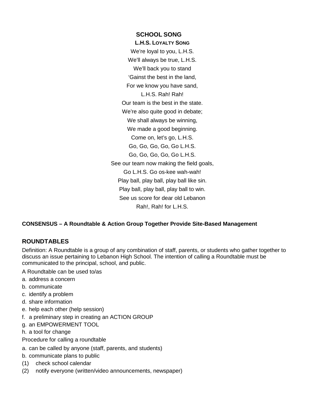**SCHOOL SONG L.H.S. LOYALTY SONG** We're loyal to you, L.H.S. We'll always be true, L.H.S. We'll back you to stand 'Gainst the best in the land, For we know you have sand, L.H.S. Rah! Rah! Our team is the best in the state. We're also quite good in debate; We shall always be winning, We made a good beginning. Come on, let's go, L.H.S. Go, Go, Go, Go, Go L.H.S. Go, Go, Go, Go, Go L.H.S. See our team now making the field goals, Go L.H.S. Go os-kee wah-wah! Play ball, play ball, play ball like sin. Play ball, play ball, play ball to win. See us score for dear old Lebanon Rah!, Rah! for L.H.S.

# **CONSENSUS – A Roundtable & Action Group Together Provide Site-Based Management**

#### **ROUNDTABLES**

Definition: A Roundtable is a group of any combination of staff, parents, or students who gather together to discuss an issue pertaining to Lebanon High School. The intention of calling a Roundtable must be communicated to the principal, school, and public.

- A Roundtable can be used to/as
- a. address a concern
- b. communicate
- c. identify a problem
- d. share information
- e. help each other (help session)
- f. a preliminary step in creating an ACTION GROUP
- g. an EMPOWERMENT TOOL
- h. a tool for change
- Procedure for calling a roundtable
- a. can be called by anyone (staff, parents, and students)
- b. communicate plans to public
- (1) check school calendar
- (2) notify everyone (written/video announcements, newspaper)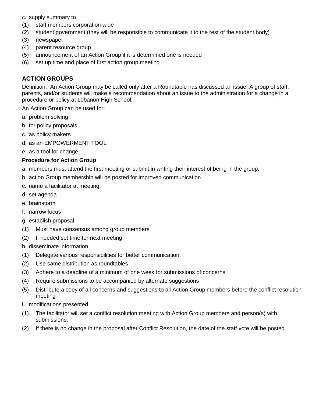c. supply summary to

- (1) staff members corporation wide
- (2) student government (they will be responsible to communicate it to the rest of the student body)
- (3) newspaper
- (4) parent resource group
- (5) announcement of an Action Group if it is determined one is needed
- (6) set up time and place of first action group meeting

# **ACTION GROUPS**

Definition: An Action Group may be called only after a Roundtable has discussed an issue. A group of staff, parents, and/or students will make a recommendation about an issue to the administration for a change in a procedure or policy at Lebanon High School.

An Action Group can be used for:

- a. problem solving
- b. for policy proposals
- c. as policy makers
- d. as an EMPOWERMENT TOOL
- e. as a tool for change

#### **Procedure for Action Group**

- a. members must attend the first meeting or submit in writing their interest of being in the group.
- b. action Group membership will be posted for improved communication
- c. name a facilitator at meeting
- d. set agenda
- e. brainstorm
- f. narrow focus
- g. establish proposal
- (1) Must have consensus among group members
- (2) If needed set time for next meeting
- h. disseminate information
- (1) Delegate various responsibilities for better communication.
- (2) Use same distribution as roundtables
- (3) Adhere to a deadline of a minimum of one week for submissions of concerns
- (4) Require submissions to be accompanied by alternate suggestions
- (5) Distribute a copy of all concerns and suggestions to all Action Group members before the conflict resolution meeting
- i. modifications presented
- (1) The facilitator will set a conflict resolution meeting with Action Group members and person(s) with submissions.
- (2) If there is no change in the proposal after Conflict Resolution, the date of the staff vote will be posted.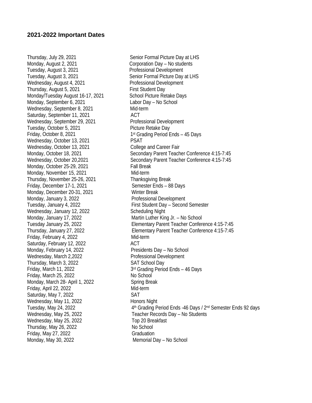Monday, August 2, 2021 Corporation Day – No students Tuesday, August 3, 2021 Professional Development Tuesday, August 3, 2021 Senior Formal Picture Day at LHS Wednesday, August 4, 2021 Professional Development Thursday, August 5, 2021 First Student Day Monday/Tuesday August 16-17, 2021 School Picture Retake Days Monday, September 6, 2021 Labor Day – No School Wednesday, September 8, 2021 Mid-term Saturday, September 11, 2021 ACT Wednesday, September 29, 2021 Professional Development Tuesday, October 5, 2021 Picture Retake Day Friday, October 8, 2021 1st Grading Period Ends – 45 Days Wednesday, October 13, 2021 PSAT Wednesday, October 13, 2021 College and Career Fair Monday, October 25-29, 2021 Fall Break Monday, November 15, 2021 Mid-term Thursday, November 25-26, 2021 Thanksgiving Break Friday, December 17-1, 2021 Semester Ends – 88 Days Monday, December 20-31, 2021 Winter Break Monday, January 3, 2022 **Professional Development** Wednesday, January 12, 2022 Scheduling Night Monday, January 17, 2022 Martin Luther King Jr. – No School Friday, February 4, 2022 Mid-term Saturday, February 12, 2022 ACT Monday, February 14, 2022 Presidents Day – No School Wednesday, March 2,2022 **Professional Development** Thursday, March 3, 2022 SAT School Day Friday, March 11, 2022 **3rd Grading Period Ends** – 46 Days Friday, March 25, 2022 No School Monday, March 28- April 1, 2022 Spring Break Friday, April 22, 2022 Mid-term Saturday, May 7, 2022 SAT Wednesday, May 11, 2022 Honors Night Wednesday, May 25, 2022 Top 20 Breakfast Thursday, May 26, 2022 No School Friday, May 27, 2022 Graduation Monday, May 30, 2022 Memorial Day – No School

Thursday, July 29, 2021 Thursday, July 29, 2021 Monday, October 18, 2021 Secondary Parent Teacher Conference 4:15-7:45 Wednesday, October 20,2021 Secondary Parent Teacher Conference 4:15-7:45 Tuesday, January 4, 2022 First Student Day – Second Semester Tuesday January 25, 2022 Elementary Parent Teacher Conference 4:15-7:45 Thursday, January 27, 2022 Elementary Parent Teacher Conference 4:15-7:45 Tuesday, May 24, 2022 **4th Grading Period Ends -46 Days / 2<sup>nd</sup> Semester Ends 92 days** Wednesday, May 25, 2022 Teacher Records Day – No Students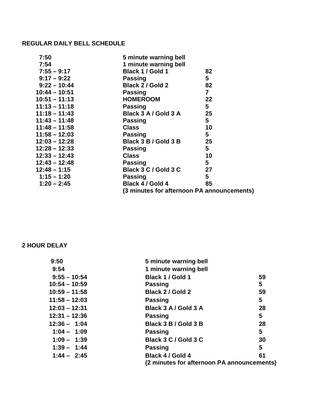# **REGULAR DAILY BELL SCHEDULE**

| 7:50            | 5 minute warning bell                      |                         |
|-----------------|--------------------------------------------|-------------------------|
| 7:54            | 1 minute warning bell                      |                         |
| $7:55 - 9:17$   | Black 1 / Gold 1                           | 82                      |
| $9:17 - 9:22$   | <b>Passing</b>                             | 5                       |
| $9:22 - 10:44$  | Black 2 / Gold 2                           | 82                      |
| $10:44 - 10:51$ | <b>Passing</b>                             | $\overline{\mathbf{r}}$ |
| $10:51 - 11:13$ | <b>HOMEROOM</b>                            | 22                      |
| $11:13 - 11:18$ | <b>Passing</b>                             | $5\phantom{.0}$         |
| $11:18 - 11:43$ | Black 3 A / Gold 3 A                       | 25                      |
| $11:43 - 11:48$ | <b>Passing</b>                             | $5\overline{)}$         |
| $11:48 - 11:58$ | <b>Class</b>                               | 10                      |
| $11:58 - 12:03$ | <b>Passing</b>                             | 5                       |
| $12:03 - 12:28$ | Black 3 B / Gold 3 B                       | 25                      |
| $12:28 - 12:33$ | <b>Passing</b>                             | 5                       |
| $12:33 - 12:43$ | <b>Class</b>                               | 10                      |
| $12:43 - 12:48$ | <b>Passing</b>                             | 5                       |
| $12:48 - 1:15$  | Black 3 C / Gold 3 C                       | 27                      |
| $1:15 - 1:20$   | <b>Passing</b>                             | 5                       |
| $1:20 - 2:45$   | Black 4 / Gold 4                           | 85                      |
|                 | (3 minutes for afternoon PA announcements) |                         |

# **2 HOUR DELAY**

| 9:50            | 5 minute warning bell                      |    |
|-----------------|--------------------------------------------|----|
| 9:54            | 1 minute warning bell                      |    |
| $9:55 - 10:54$  | Black 1 / Gold 1                           | 59 |
| $10:54 - 10:59$ | <b>Passing</b>                             | 5  |
| $10:59 - 11:58$ | Black 2 / Gold 2                           | 59 |
| $11:58 - 12:03$ | <b>Passing</b>                             | 5  |
| $12:03 - 12:31$ | Black 3 A / Gold 3 A                       | 28 |
| $12:31 - 12:36$ | <b>Passing</b>                             | 5  |
| $12:36 - 1:04$  | Black 3 B / Gold 3 B                       | 28 |
| $1:04 - 1:09$   | <b>Passing</b>                             | 5  |
| $1:09 - 1:39$   | Black 3 C / Gold 3 C                       | 30 |
| $1:39 - 1:44$   | <b>Passing</b>                             | 5  |
| $1:44 - 2:45$   | Black 4 / Gold 4                           | 61 |
|                 | (2 minutes for afternoon PA announcements) |    |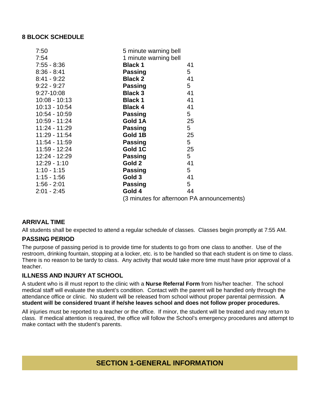# **8 BLOCK SCHEDULE**

| 7:50            | 5 minute warning bell |                                            |
|-----------------|-----------------------|--------------------------------------------|
| 7:54            | 1 minute warning bell |                                            |
| $7:55 - 8:36$   | <b>Black 1</b>        | 41                                         |
| $8:36 - 8:41$   | <b>Passing</b>        | 5                                          |
| $8:41 - 9:22$   | <b>Black 2</b>        | 41                                         |
| $9:22 - 9:27$   | <b>Passing</b>        | 5                                          |
| $9:27-10:08$    | <b>Black 3</b>        | 41                                         |
| $10:08 - 10:13$ | <b>Black 1</b>        | 41                                         |
| 10:13 - 10:54   | <b>Black 4</b>        | 41                                         |
| 10:54 - 10:59   | <b>Passing</b>        | 5                                          |
| 10:59 - 11:24   | Gold 1A               | 25                                         |
| $11:24 - 11:29$ | <b>Passing</b>        | 5                                          |
| 11:29 - 11:54   | Gold 1B               | 25                                         |
| 11:54 - 11:59   | <b>Passing</b>        | 5                                          |
| 11:59 - 12:24   | Gold 1C               | 25                                         |
| 12:24 - 12:29   | <b>Passing</b>        | 5                                          |
| $12:29 - 1:10$  | Gold 2                | 41                                         |
| $1:10 - 1:15$   | <b>Passing</b>        | 5                                          |
| $1:15 - 1:56$   | Gold 3                | 41                                         |
| $1:56 - 2:01$   | <b>Passing</b>        | 5                                          |
| $2:01 - 2:45$   | Gold 4                | 44                                         |
|                 |                       | (3 minutes for afternoon PA announcements) |

# **ARRIVAL TIME**

All students shall be expected to attend a regular schedule of classes. Classes begin promptly at 7:55 AM.

# **PASSING PERIOD**

The purpose of passing period is to provide time for students to go from one class to another. Use of the restroom, drinking fountain, stopping at a locker, etc. is to be handled so that each student is on time to class. There is no reason to be tardy to class. Any activity that would take more time must have prior approval of a teacher.

# **ILLNESS AND INJURY AT SCHOOL**

A student who is ill must report to the clinic with a **Nurse Referral Form** from his/her teacher. The school medical staff will evaluate the student's condition. Contact with the parent will be handled only through the attendance office or clinic. No student will be released from school without proper parental permission. **A student will be considered truant if he/she leaves school and does not follow proper procedures.**

All injuries must be reported to a teacher or the office. If minor, the student will be treated and may return to class. If medical attention is required, the office will follow the School's emergency procedures and attempt to make contact with the student's parents.

# **SECTION 1-GENERAL INFORMATION**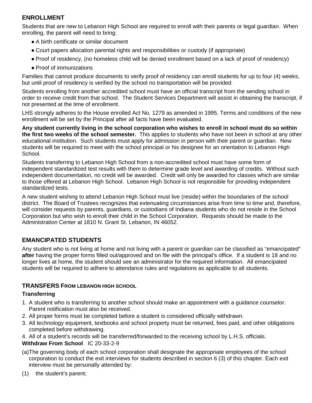# **ENROLLMENT**

Students that are new to Lebanon High School are required to enroll with their parents or legal guardian. When enrolling, the parent will need to bring:

- A birth certificate or similar document
- Court papers allocation parental rights and responsibilities or custody (if appropriate)
- Proof of residency, (no homeless child will be denied enrollment based on a lack of proof of residency)
- Proof of immunizations

Families that cannot produce documents to verify proof of residency can enroll students for up to four (4) weeks, but until proof of residency is verified by the school no transportation will be provided.

Students enrolling from another accredited school must have an official transcript from the sending school in order to receive credit from that school. The Student Services Department will assist in obtaining the transcript, if not presented at the time of enrollment.

LHS strongly adheres to the House enrolled Act No. 1279 as amended in 1995. Terms and conditions of the new enrollment will be set by the Principal after all facts have been evaluated.

**Any student currently living in the school corporation who wishes to enroll in school must do so within the first two weeks of the school semester.** This applies to students who have not been in school at any other educational institution. Such students must apply for admission in person with their parent or guardian. New students will be required to meet with the school principal or his designee for an orientation to Lebanon High School.

Students transferring to Lebanon High School from a non-accredited school must have some form of independent standardized test results with them to determine grade level and awarding of credits. Without such independent documentation, no credit will be awarded. Credit will only be awarded for classes which are similar to those offered at Lebanon High School. Lebanon High School is not responsible for providing independent standardized tests.

A new student wishing to attend Lebanon High School must live (reside) within the boundaries of the school district. The Board of Trustees recognizes that extenuating circumstances arise from time to time and, therefore, will consider requests by parents, guardians, or custodians of Indiana students who do not reside in the School Corporation but who wish to enroll their child in the School Corporation. Requests should be made to the Administration Center at 1810 N. Grant St. Lebanon, IN 46052.

# **EMANCIPATED STUDENTS**

Any student who is not living at home and not living with a parent or guardian can be classified as "emancipated" **after** having the proper forms filled out/approved and on file with the principal's office. If a student is 18 and no longer lives at home, the student should see an administrator for the required information. All emancipated students will be required to adhere to attendance rules and regulations as applicable to all students.

# **TRANSFERS FROM LEBANON HIGH SCHOOL**

# **Transferring**

- 1. A student who is transferring to another school should make an appointment with a guidance counselor. Parent notification must also be received.
- 2. All proper forms must be completed before a student is considered officially withdrawn.
- 3. All technology equipment, textbooks and school property must be returned, fees paid, and other obligations completed before withdrawing.
- 4. All of a student's records will be transferred/forwarded to the receiving school by L.H.S. officials.

# **Withdraw From School** IC 20-33-2-9

- (a)The governing body of each school corporation shall designate the appropriate employees of the school corporation to conduct the exit interviews for students described in section 6 (3) of this chapter. Each exit interview must be personally attended by:
- (1) the student's parent;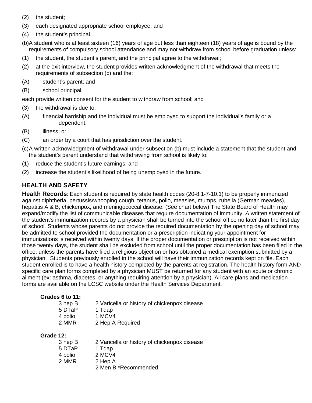- (2) the student;
- (3) each designated appropriate school employee; and
- (4) the student's principal.

(b)A student who is at least sixteen (16) years of age but less than eighteen (18) years of age is bound by the requirements of compulsory school attendance and may not withdraw from school before graduation unless:

- (1) the student, the student's parent, and the principal agree to the withdrawal;
- (2) at the exit interview, the student provides written acknowledgment of the withdrawal that meets the requirements of subsection (c) and the:
- (A) student's parent; and
- (B) school principal;

each provide written consent for the student to withdraw from school; and

- (3) the withdrawal is due to:
- (A) financial hardship and the individual must be employed to support the individual's family or a dependent;
- (B) illness; or
- (C) an order by a court that has jurisdiction over the student.
- (c)A written acknowledgment of withdrawal under subsection (b) must include a statement that the student and the student's parent understand that withdrawing from school is likely to:
- (1) reduce the student's future earnings; and
- (2) increase the student's likelihood of being unemployed in the future.

# **HEALTH AND SAFETY**

**Health Records***:* Each student is required by state health codes (20-8.1-7-10.1) to be properly immunized against diphtheria, pertussis/whooping cough, tetanus, polio, measles, mumps, rubella (German measles), hepatitis A & B, chickenpox, and meningococcal disease. (See chart below) The State Board of Health may expand/modify the list of communicable diseases that require documentation of immunity. *A* written statement of the student's immunization records by a physician shall be turned into the school office no later than the first day of school. Students whose parents do not provide the required documentation by the opening day of school may be admitted to school provided the documentation or a prescription indicating your appointment for immunizations is received within twenty days. If the proper documentation or prescription is not received within those twenty days, the student shall be excluded from school until the proper documentation has been filed in the office, unless the parents have filed a religious objection or has obtained a medical exemption submitted by a physician.Students previously enrolled in the school will have their immunization records kept on file. Each student enrolled is to have a health history completed by the parents at registration. The health history form AND specific care plan forms completed by a physician MUST be returned for any student with an acute or chronic ailment (ex: asthma, diabetes, or anything requiring attention by a physician). All care plans and medication forms are available on the LCSC website under the Health Services Department.

#### **Grades 6 to 11:**

| 3 hep B | 2 Varicella or history of chickenpox disease |
|---------|----------------------------------------------|
| 5 DTaP  | 1 Tdap                                       |
| 4 polio | 1 MCV4                                       |
| 2 MMR   | 2 Hep A Required                             |

#### **Grade 12:**

| 3 hep B | 2 Varicella or history of chickenpox disease |
|---------|----------------------------------------------|
| 5 DTaP  | 1 Tdap                                       |
| 4 polio | 2 MCV4                                       |
| 2 MMR   | 2 Hep A                                      |
|         | 2 Men B *Recommended                         |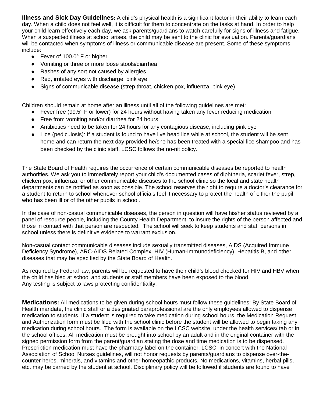**Illness and Sick Day Guidelines:** A child's physical health is a significant factor in their ability to learn each day. When a child does not feel well, it is difficult for them to concentrate on the tasks at hand. In order to help your child learn effectively each day, we ask parents/guardians to watch carefully for signs of illness and fatigue. When a suspected illness at school arises, the child may be sent to the clinic for evaluation. Parents/quardians will be contacted when symptoms of illness or communicable disease are present. Some of these symptoms include:

- Fever of 100.0° F or higher
- Vomiting or three or more loose stools/diarrhea
- Rashes of any sort not caused by allergies
- Red, irritated eyes with discharge, pink eye
- Signs of communicable disease (strep throat, chicken pox, influenza, pink eye)

Children should remain at home after an illness until all of the following guidelines are met:

- Fever free (99.5° F or lower) for 24 hours without having taken any fever reducing medication
- Free from vomiting and/or diarrhea for 24 hours
- Antibiotics need to be taken for 24 hours for any contagious disease, including pink eye
- Lice (pediculosis): If a student is found to have live head lice while at school, the student will be sent home and can return the next day provided he/she has been treated with a special lice shampoo and has been checked by the clinic staff. LCSC follows the no-nit policy.

The State Board of Health requires the occurrence of certain communicable diseases be reported to health authorities. We ask you to immediately report your child's documented cases of diphtheria, scarlet fever, strep, chicken pox, influenza, or other communicable diseases to the school clinic so the local and state health departments can be notified as soon as possible. The school reserves the right to require a doctor's clearance for a student to return to school whenever school officials feel it necessary to protect the health of either the pupil who has been ill or of the other pupils in school.

In the case of non-casual communicable diseases, the person in question will have his/her status reviewed by a panel of resource people, including the County Health Department, to insure the rights of the person affected and those in contact with that person are respected. The school will seek to keep students and staff persons in school unless there is definitive evidence to warrant exclusion.

Non-casual contact communicable diseases include sexually transmitted diseases, AIDS (Acquired Immune Deficiency Syndrome), ARC-AIDS Related Complex, HIV (Human-Immunodeficiency), Hepatitis B, and other diseases that may be specified by the State Board of Health.

As required by Federal law, parents will be requested to have their child's blood checked for HIV and HBV when the child has bled at school and students or staff members have been exposed to the blood. Any testing is subject to laws protecting confidentiality.

**Medications:** All medications to be given during school hours must follow these guidelines: By State Board of Health mandate, the clinic staff or a designated paraprofessional are the only employees allowed to dispense medication to students. If a student is required to take medication during school hours, the Medication Request and Authorization form must be filed with the school clinic before the student will be allowed to begin taking any medication during school hours. The form is available on the LCSC website, under the health services/ tab or in the school offices. All medication must be brought into school by an adult and in the original container with the signed permission form from the parent/guardian stating the dose and time medication is to be dispensed. Prescription medication must have the pharmacy label on the container. LCSC, in concert with the National Association of School Nurses guidelines, will not honor requests by parents/guardians to dispense over-thecounter herbs, minerals, and vitamins and other homeopathic products. No medications, vitamins, herbal pills, etc. may be carried by the student at school. Disciplinary policy will be followed if students are found to have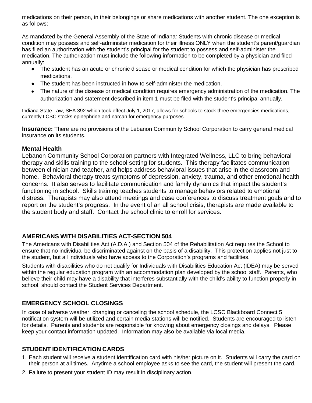medications on their person, in their belongings or share medications with another student. The one exception is as follows:

As mandated by the General Assembly of the State of Indiana*:* Students with chronic disease or medical condition may possess and self-administer medication for their illness ONLY when the student's parent/guardian has filed an authorization with the student's principal for the student to possess and self-administer the medication. The authorization must include the following information to be completed by a physician and filed annually:

- The student has an acute or chronic disease or medical condition for which the physician has prescribed medications.
- The student has been instructed in how to self-administer the medication.
- The nature of the disease or medical condition requires emergency administration of the medication. The authorization and statement described in item 1 must be filed with the student's principal annually.

Indiana State Law, SEA 392 which took effect July 1, 2017, allows for schools to stock three emergencies medications, currently LCSC stocks epinephrine and narcan for emergency purposes.

**Insurance:** There are no provisions of the Lebanon Community School Corporation to carry general medical insurance on its students.

# **Mental Health**

Lebanon Community School Corporation partners with Integrated Wellness, LLC to bring behavioral therapy and skills training to the school setting for students. This therapy facilitates communication between clinician and teacher, and helps address behavioral issues that arise in the classroom and home. Behavioral therapy treats symptoms of depression, anxiety, trauma, and other emotional health concerns. It also serves to facilitate communication and family dynamics that impact the student's functioning in school. Skills training teaches students to manage behaviors related to emotional distress. Therapists may also attend meetings and case conferences to discuss treatment goals and to report on the student's progress. In the event of an all school crisis, therapists are made available to the student body and staff. Contact the school clinic to enroll for services.

# **AMERICANS WITH DISABILITIES ACT-SECTION 504**

The Americans with Disabilities Act (A.D.A.) and Section 504 of the Rehabilitation Act requires the School to ensure that no individual be discriminated against on the basis of a disability. This protection applies not just to the student, but all individuals who have access to the Corporation's programs and facilities.

Students with disabilities who do not qualify for Individuals with Disabilities Education Act (IDEA) may be served within the regular education program with an accommodation plan developed by the school staff. Parents, who believe their child may have a disability that interferes substantially with the child's ability to function properly in school, should contact the Student Services Department.

# **EMERGENCY SCHOOL CLOSINGS**

In case of adverse weather, changing or canceling the school schedule, the LCSC Blackboard Connect 5 notification system will be utilized and certain media stations will be notified. Students are encouraged to listen for details. Parents and students are responsible for knowing about emergency closings and delays. Please keep your contact information updated. Information may also be available via local media.

# **STUDENT IDENTIFICATION CARDS**

- 1. Each student will receive a student identification card with his/her picture on it. Students will carry the card on their person at all times. Anytime a school employee asks to see the card, the student will present the card.
- 2. Failure to present your student ID may result in disciplinary action.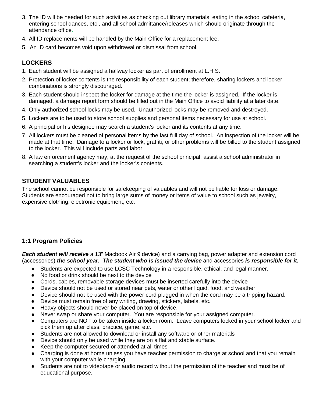- 3. The ID will be needed for such activities as checking out library materials, eating in the school cafeteria, entering school dances, etc., and all school admittance/releases which should originate through the attendance office.
- 4. All ID replacements will be handled by the Main Office for a replacement fee.
- 5. An ID card becomes void upon withdrawal or dismissal from school.

# **LOCKERS**

- 1. Each student will be assigned a hallway locker as part of enrollment at L.H.S.
- 2. Protection of locker contents is the responsibility of each student; therefore, sharing lockers and locker combinations is strongly discouraged.
- 3. Each student should inspect the locker for damage at the time the locker is assigned. If the locker is damaged, a damage report form should be filled out in the Main Office to avoid liability at a later date.
- 4. Only authorized school locks may be used. Unauthorized locks may be removed and destroyed.
- 5. Lockers are to be used to store school supplies and personal items necessary for use at school.
- 6. A principal or his designee may search a student's locker and its contents at any time.
- 7. All lockers must be cleaned of personal items by the last full day of school. An inspection of the locker will be made at that time. Damage to a locker or lock, graffiti, or other problems will be billed to the student assigned to the locker. This will include parts and labor.
- 8. A law enforcement agency may, at the request of the school principal, assist a school administrator in searching a student's locker and the locker's contents.

# **STUDENT VALUABLES**

The school cannot be responsible for safekeeping of valuables and will not be liable for loss or damage. Students are encouraged not to bring large sums of money or items of value to school such as jewelry, expensive clothing, electronic equipment, etc.

# **1:1 Program Policies**

*Each student will receive* a 13" Macbook Air 9 device) and a carrying bag, power adapter and extension cord (accessories) *the school year. The student who is issued the device* and accessories *is responsible for it.*

- Students are expected to use LCSC Technology in a responsible, ethical, and legal manner.
- No food or drink should be next to the device
- Cords, cables, removable storage devices must be inserted carefully into the device
- Device should not be used or stored near pets, water or other liquid, food, and weather.
- Device should not be used with the power cord plugged in when the cord may be a tripping hazard.
- Device must remain free of any writing, drawing, stickers, labels, etc.
- Heavy objects should never be placed on top of device.
- Never swap or share your computer. You are responsible for your assigned computer.
- Computers are NOT to be taken inside a locker room. Leave computers locked in your school locker and pick them up after class, practice, game, etc.
- Students are not allowed to download or install any software or other materials
- Device should only be used while they are on a flat and stable surface.
- Keep the computer secured or attended at all times
- Charging is done at home unless you have teacher permission to charge at school and that you remain with your computer while charging.
- Students are not to videotape or audio record without the permission of the teacher and must be of educational purpose.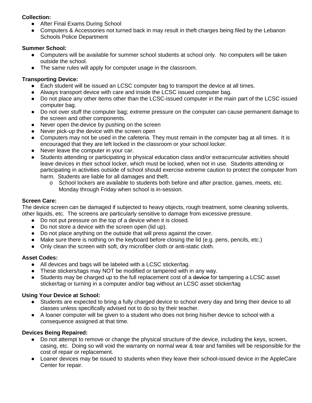## **Collection:**

- After Final Exams During School
- Computers & Accessories not turned back in may result in theft charges being filed by the Lebanon Schools Police Department

## **Summer School:**

- Computers will be available for summer school students at school only. No computers will be taken outside the school.
- The same rules will apply for computer usage in the classroom.

# **Transporting Device:**

- Each student will be issued an LCSC computer bag to transport the device at all times.
- Always transport device with care and inside the LCSC issued computer bag.
- Do not place any other items other than the LCSC-issued computer in the main part of the LCSC issued computer bag.
- Do not over stuff the computer bag; extreme pressure on the computer can cause permanent damage to the screen and other components.
- Never open the-device by pushing on the screen
- Never pick-up the device with the screen open
- Computers may not be used in the cafeteria. They must remain in the computer bag at all times. It is encouraged that they are left locked in the classroom or your school locker.
- Never leave the computer in your car.
- Students attending or participating in physical education class and/or extracurricular activities should leave devices in their school locker, which must be locked, when not in use. Students attending or participating in activities outside of school should exercise extreme caution to protect the computer from harm. Students are liable for all damages and theft.
	- o School lockers are available to students both before and after practice, games, meets, etc. Monday through Friday when school is in-session.

#### **Screen Care:**

The device screen can be damaged if subjected to heavy objects, rough treatment, some cleaning solvents, other liquids, etc. The screens are particularly sensitive to damage from excessive pressure.

- Do not put pressure on the top of a device when it is closed.
- Do not store a device with the screen open (lid up).
- Do not place anything on the outside that will press against the cover.
- Make sure there is nothing on the keyboard before closing the lid (e.g. pens, pencils, etc.)
- Only clean the screen with soft, dry microfiber cloth or anti-static cloth.

#### **Asset Codes:**

- All devices and bags will be labeled with a LCSC sticker/tag.
- These stickers/tags may NOT be modified or tampered with in any way.
- Students may be charged up to the full replacement cost of a device for tampering a LCSC asset sticker/tag or turning in a computer and/or bag without an LCSC asset sticker/tag

# **Using Your Device at School:**

- Students are expected to bring a fully charged device to school every day and bring their device to all classes unless specifically advised not to do so by their teacher.
- A loaner computer will be given to a student who does not bring his/her device to school with a consequence assigned at that time.

# **Devices Being Repaired:**

- Do not attempt to remove or change the physical structure of the device, including the keys, screen, casing, etc. Doing so will void the warranty on normal wear & tear and families will be responsible for the cost of repair or replacement.
- Loaner devices may be issued to students when they leave their school-issued device in the AppleCare Center for repair.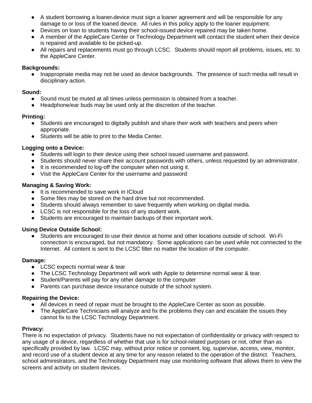- A student borrowing a loaner device must sign a loaner agreement and will be responsible for any damage to or loss of the loaned device. All rules in this policy apply to the loaner equipment.
- Devices on loan to students having their school-issued device repaired may be taken home.
- A member of the AppleCare Center or Technology Department will contact the student when their device is repaired and available to be picked-up.
- All repairs and replacements must go through LCSC. Students should report all problems, issues, etc. to the AppleCare Center.

#### **Backgrounds:**

● Inappropriate media may not be used as device backgrounds. The presence of such media will result in disciplinary action.

#### **Sound:**

- Sound must be muted at all times unless permission is obtained from a teacher.
- Headphone/ear buds may be used only at the discretion of the teacher.

#### **Printing:**

- Students are encouraged to digitally publish and share their work with teachers and peers when appropriate.
- Students will be able to print to the Media Center.

#### **Logging onto a Device:**

- Students will login to their device using their school issued username and password.
- Students should never share their account passwords with others, unless requested by an administrator.
- It is recommended to log-off the computer when not using it.
- Visit the AppleCare Center for the username and password

#### **Managing & Saving Work:**

- It is recommended to save work in ICloud
- Some files may be stored on the hard drive but not recommended.
- Students should always remember to save frequently when working on digital media.
- LCSC is not responsible for the loss of any student work.
- Students are encouraged to maintain backups of their important work.

#### **Using Device Outside School:**

● Students are encouraged to use their device at home and other locations outside of school. Wi-Fi connection is encouraged, but not mandatory. Some applications can be used while not connected to the Internet. All content is sent to the LCSC filter no matter the location of the computer.

#### **Damage:**

- LCSC expects normal wear & tear
- The LCSC Technology Department will work with Apple to determine normal wear & tear.
- Student/Parents will pay for any other damage to the computer
- Parents can purchase device insurance outside of the school system.

#### **Repairing the Device:**

- All devices in need of repair must be brought to the AppleCare Center as soon as possible.
- The AppleCare Technicians will analyze and fix the problems they can and escalate the issues they cannot fix to the LCSC Technology Department.

#### **Privacy:**

There is no expectation of privacy. Students have no not expectation of confidentiality or privacy with respect to any usage of a device, regardless of whether that use is for school-related purposes or not, other than as specifically provided by law. LCSC may, without prior notice or consent, log, supervise, access, view, monitor, and record use of a student device at any time for any reason related to the operation of the district. Teachers, school administrators, and the Technology Department may use monitoring software that allows them to view the screens and activity on student devices.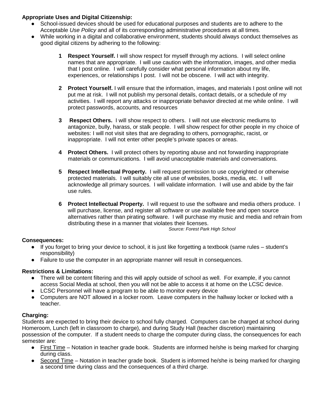# **Appropriate Uses and Digital Citizenship:**

- School-issued devices should be used for educational purposes and students are to adhere to the Acceptable *Use Policy* and all of its corresponding administrative procedures at all times.
- While working in a digital and collaborative environment, students should always conduct themselves as good digital citizens by adhering to the following:
	- **1 Respect Yourself.** I will show respect for myself through my actions. I will select online names that are appropriate. I will use caution with the information, images, and other media that I post online. I will carefully consider what personal information about my life, experiences, or relationships I post. I will not be obscene. I will act with integrity.
	- **2 Protect Yourself.** I will ensure that the information, images, and materials I post online will not put me at risk. I will not publish my personal details, contact details, or a schedule of my activities. I will report any attacks or inappropriate behavior directed at me while online. I will protect passwords, accounts, and resources
	- **3 Respect Others.** I will show respect to others. I will not use electronic mediums to antagonize, bully, harass, or stalk people. I will show respect for other people in my choice of websites: I will not visit sites that are degrading to others, pornographic, racist, or inappropriate. I will not enter other people's private spaces or areas.
	- **4 Protect Others.** I will protect others by reporting abuse and not forwarding inappropriate materials or communications. I will avoid unacceptable materials and conversations.
	- **5 Respect Intellectual Property.** I will request permission to use copyrighted or otherwise protected materials. I will suitably cite all use of websites, books, media, etc. I will acknowledge all primary sources. I will validate information. I will use and abide by the fair use rules.
	- **6 Protect Intellectual Property.** I will request to use the software and media others produce. I will purchase, license, and register all software or use available free and open source alternatives rather than pirating software. I will purchase my music and media and refrain from distributing these in a manner that violates their licenses.

*Source: Forest Park High School*

# **Consequences:**

- If you forget to bring your device to school, it is just like forgetting a textbook (same rules student's responsibility)
- Failure to use the computer in an appropriate manner will result in consequences.

# **Restrictions & Limitations:**

- There will be content filtering and this will apply outside of school as well. For example, if you cannot access Social Media at school, then you will not be able to access it at home on the LCSC device.
- LCSC Personnel will have a program to be able to monitor every device
- Computers are NOT allowed in a locker room. Leave computers in the hallway locker or locked with a teacher.

#### **Charging:**

Students are expected to bring their device to school fully charged. Computers can be charged at school during Homeroom, Lunch (left in classroom to charge), and during Study Hall (teacher discretion) maintaining possession of the computer. If a student needs to charge the computer during class, the consequences for each semester are:

- First Time Notation in teacher grade book. Students are informed he/she is being marked for charging during class.
- Second Time Notation in teacher grade book. Student is informed he/she is being marked for charging a second time during class and the consequences of a third charge.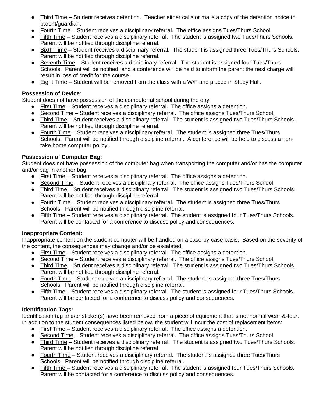- Third Time Student receives detention. Teacher either calls or mails a copy of the detention notice to parent/guardian.
- Fourth Time Student receives a disciplinary referral. The office assigns Tues/Thurs School.
- Fifth Time Student receives a disciplinary referral. The student is assigned two Tues/Thurs Schools. Parent will be notified through discipline referral.
- Sixth Time Student receives a disciplinary referral. The student is assigned three Tues/Thurs Schools. Parent will be notified through discipline referral.
- Seventh Time Student receives a disciplinary referral. The student is assigned four Tues/Thurs Schools. Parent will be notified, and a conference will be held to inform the parent the next charge will result in loss of credit for the course.
- Eight Time Student will be removed from the class with a W/F and placed in Study Hall.

# **Possession of Device:**

Student does not have possession of the computer at school during the day:

- First Time Student receives a disciplinary referral. The office assigns a detention.
- Second Time Student receives a disciplinary referral. The office assigns Tues/Thurs School.
- Third Time Student receives a disciplinary referral. The student is assigned two Tues/Thurs Schools. Parent will be notified through discipline referral.
- Fourth Time Student receives a disciplinary referral. The student is assigned three Tues/Thurs Schools. Parent will be notified through discipline referral. A conference will be held to discuss a nontake home computer policy.

# **Possession of Computer Bag:**

Student does not have possession of the computer bag when transporting the computer and/or has the computer and/or bag in another bag:

- First Time Student receives a disciplinary referral. The office assigns a detention.
- Second Time Student receives a disciplinary referral. The office assigns Tues/Thurs School.
- Third Time Student receives a disciplinary referral. The student is assigned two Tues/Thurs Schools. Parent will be notified through discipline referral.
- Fourth Time Student receives a disciplinary referral. The student is assigned three Tues/Thurs Schools. Parent will be notified through discipline referral.
- Fifth Time Student receives a disciplinary referral. The student is assigned four Tues/Thurs Schools. Parent will be contacted for a conference to discuss policy and consequences.

# **Inappropriate Content:**

Inappropriate content on the student computer will be handled on a case-by-case basis. Based on the severity of the content, the consequences may change and/or be escalated.

- First Time Student receives a disciplinary referral. The office assigns a detention.
- Second Time Student receives a disciplinary referral. The office assigns Tues/Thurs School.
- Third Time Student receives a disciplinary referral. The student is assigned two Tues/Thurs Schools. Parent will be notified through discipline referral.
- Fourth Time Student receives a disciplinary referral. The student is assigned three Tues/Thurs Schools. Parent will be notified through discipline referral.
- Fifth Time Student receives a disciplinary referral. The student is assigned four Tues/Thurs Schools. Parent will be contacted for a conference to discuss policy and consequences.

# **Identification Tags:**

Identification tag and/or sticker(s) have been removed from a piece of equipment that is not normal wear-&-tear. In addition to the student consequences listed below, the student will incur the cost of replacement items:

- First Time Student receives a disciplinary referral. The office assigns a detention.
- Second Time Student receives a disciplinary referral. The office assigns Tues/Thurs School.
- Third Time Student receives a disciplinary referral. The student is assigned two Tues/Thurs Schools. Parent will be notified through discipline referral.
- Fourth Time Student receives a disciplinary referral. The student is assigned three Tues/Thurs Schools. Parent will be notified through discipline referral.
- Fifth Time Student receives a disciplinary referral. The student is assigned four Tues/Thurs Schools. Parent will be contacted for a conference to discuss policy and consequences.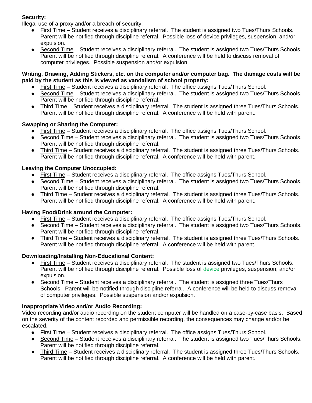# **Security:**

Illegal use of a proxy and/or a breach of security:

- First Time Student receives a disciplinary referral. The student is assigned two Tues/Thurs Schools. Parent will be notified through discipline referral. Possible loss of device privileges, suspension, and/or expulsion.
- Second Time Student receives a disciplinary referral. The student is assigned two Tues/Thurs Schools. Parent will be notified through discipline referral. A conference will be held to discuss removal of computer privileges. Possible suspension and/or expulsion.

#### **Writing, Drawing, Adding Stickers, etc. on the computer and/or computer bag. The damage costs will be paid by the student as this is viewed as vandalism of school property:**

- First Time Student receives a disciplinary referral. The office assigns Tues/Thurs School.
- Second Time Student receives a disciplinary referral. The student is assigned two Tues/Thurs Schools. Parent will be notified through discipline referral.
- Third Time Student receives a disciplinary referral. The student is assigned three Tues/Thurs Schools. Parent will be notified through discipline referral. A conference will be held with parent.

# **Swapping or Sharing the Computer:**

- First Time Student receives a disciplinary referral. The office assigns Tues/Thurs School.
- Second Time Student receives a disciplinary referral. The student is assigned two Tues/Thurs Schools. Parent will be notified through discipline referral.
- Third Time Student receives a disciplinary referral. The student is assigned three Tues/Thurs Schools. Parent will be notified through discipline referral. A conference will be held with parent.

# **Leaving the Computer Unoccupied:**

- First Time Student receives a disciplinary referral. The office assigns Tues/Thurs School.
- Second Time Student receives a disciplinary referral. The student is assigned two Tues/Thurs Schools. Parent will be notified through discipline referral.
- Third Time Student receives a disciplinary referral. The student is assigned three Tues/Thurs Schools. Parent will be notified through discipline referral. A conference will be held with parent.

# **Having Food/Drink around the Computer:**

- First Time Student receives a disciplinary referral. The office assigns Tues/Thurs School.
- Second Time Student receives a disciplinary referral. The student is assigned two Tues/Thurs Schools. Parent will be notified through discipline referral.
- Third Time Student receives a disciplinary referral. The student is assigned three Tues/Thurs Schools. Parent will be notified through discipline referral. A conference will be held with parent.

# **Downloading/Installing Non-Educational Content:**

- First Time Student receives a disciplinary referral. The student is assigned two Tues/Thurs Schools. Parent will be notified through discipline referral. Possible loss of device privileges, suspension, and/or expulsion.
- Second Time Student receives a disciplinary referral. The student is assigned three Tues/Thurs Schools. Parent will be notified through discipline referral. A conference will be held to discuss removal of computer privileges. Possible suspension and/or expulsion.

# **Inappropriate Video and/or Audio Recording:**

Video recording and/or audio recording on the student computer will be handled on a case-by-case basis. Based on the severity of the content recorded and permissible recording, the consequences may change and/or be escalated.

- First Time Student receives a disciplinary referral. The office assigns Tues/Thurs School.
- Second Time Student receives a disciplinary referral. The student is assigned two Tues/Thurs Schools. Parent will be notified through discipline referral.
- Third Time Student receives a disciplinary referral. The student is assigned three Tues/Thurs Schools. Parent will be notified through discipline referral. A conference will be held with parent.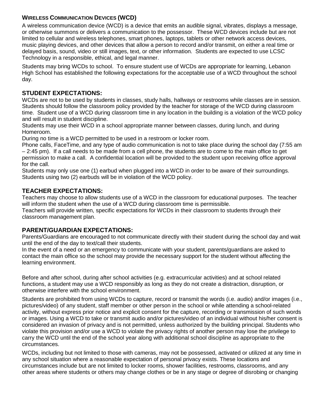# **WIRELESS COMMUNICATION DEVICES (WCD)**

A wireless communication device (WCD) is a device that emits an audible signal, vibrates, displays a message, or otherwise summons or delivers a communication to the possessor. These WCD devices include but are not limited to cellular and wireless telephones, smart phones, laptops, tablets or other network access devices, music playing devices, and other devices that allow a person to record and/or transmit, on either a real time or delayed basis, sound, video or still images, text, or other information. Students are expected to use LCSC Technology in a responsible, ethical, and legal manner.

Students may bring WCDs to school. To ensure student use of WCDs are appropriate for learning, Lebanon High School has established the following expectations for the acceptable use of a WCD throughout the school day.

# **STUDENT EXPECTATIONS:**

WCDs are not to be used by students in classes, study halls, hallways or restrooms while classes are in session. Students should follow the classroom policy provided by the teacher for storage of the WCD during classroom time. Student use of a WCD during classroom time in any location in the building is a violation of the WCD policy and will result in student discipline.

Students may use their WCD in a school appropriate manner between classes, during lunch, and during Homeroom.

During no time is a WCD permitted to be used in a restroom or locker room.

Phone calls, FaceTime, and any type of audio communication is not to take place during the school day (7:55 am – 2:45 pm). If a call needs to be made from a cell phone, the students are to come to the main office to get permission to make a call. A confidential location will be provided to the student upon receiving office approval for the call.

Students may only use one (1) earbud when plugged into a WCD in order to be aware of their surroundings. Students using two (2) earbuds will be in violation of the WCD policy.

# **TEACHER EXPECTATIONS:**

Teachers may choose to allow students use of a WCD in the classroom for educational purposes. The teacher will inform the student when the use of a WCD during classroom time is permissible.

Teachers will provide written, specific expectations for WCDs in their classroom to students through their classroom management plan.

# **PARENT/GUARDIAN EXPECTATIONS:**

Parents/Guardians are encouraged to not communicate directly with their student during the school day and wait until the end of the day to text/call their students.

In the event of a need or an emergency to communicate with your student, parents/guardians are asked to contact the main office so the school may provide the necessary support for the student without affecting the learning environment.

Before and after school, during after school activities (e.g. extracurricular activities) and at school related functions, a student may use a WCD responsibly as long as they do not create a distraction, disruption, or otherwise interfere with the school environment.

Students are prohibited from using WCDs to capture, record or transmit the words (i.e. audio) and/or images (i.e., pictures/video) of any student, staff member or other person in the school or while attending a school-related activity, without express prior notice and explicit consent for the capture, recording or transmission of such words or images. Using a WCD to take or transmit audio and/or pictures/video of an individual without his/her consent is considered an invasion of privacy and is not permitted, unless authorized by the building principal. Students who violate this provision and/or use a WCD to violate the privacy rights of another person may lose the privilege to carry the WCD until the end of the school year along with additional school discipline as appropriate to the circumstances.

WCDs, including but not limited to those with cameras, may not be possessed, activated or utilized at any time in any school situation where a reasonable expectation of personal privacy exists. These locations and circumstances include but are not limited to locker rooms, shower facilities, restrooms, classrooms, and any other areas where students or others may change clothes or be in any stage or degree of disrobing or changing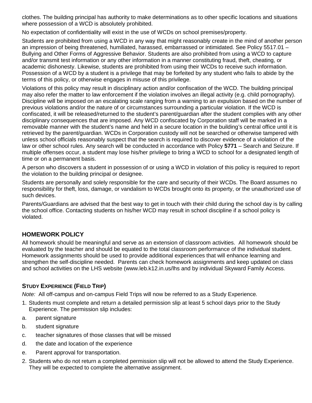clothes. The building principal has authority to make determinations as to other specific locations and situations where possession of a WCD is absolutely prohibited.

No expectation of confidentiality will exist in the use of WCDs on school premises/property.

Students are prohibited from using a WCD in any way that might reasonably create in the mind of another person an impression of being threatened, humiliated, harassed, embarrassed or intimidated. See Policy 5517.01 – Bullying and Other Forms of Aggressive Behavior. Students are also prohibited from using a WCD to capture and/or transmit test information or any other information in a manner constituting fraud, theft, cheating, or academic dishonesty. Likewise, students are prohibited from using their WCDs to receive such information. Possession of a WCD by a student is a privilege that may be forfeited by any student who fails to abide by the terms of this policy, or otherwise engages in misuse of this privilege.

Violations of this policy may result in disciplinary action and/or confiscation of the WCD. The building principal may also refer the matter to law enforcement if the violation involves an illegal activity (e.g. child pornography). Discipline will be imposed on an escalating scale ranging from a warning to an expulsion based on the number of previous violations and/or the nature of or circumstances surrounding a particular violation. If the WCD is confiscated, it will be released/returned to the student's parent/guardian after the student complies with any other disciplinary consequences that are imposed. Any WCD confiscated by Corporation staff will be marked in a removable manner with the student's name and held in a secure location in the building's central office until it is retrieved by the parent/guardian. WCDs in Corporation custody will not be searched or otherwise tampered with unless school officials reasonably suspect that the search is required to discover evidence of a violation of the law or other school rules. Any search will be conducted in accordance with Policy **5771** – Search and Seizure. If multiple offenses occur, a student may lose his/her privilege to bring a WCD to school for a designated length of time or on a permanent basis.

A person who discovers a student in possession of or using a WCD in violation of this policy is required to report the violation to the building principal or designee.

Students are personally and solely responsible for the care and security of their WCDs. The Board assumes no responsibility for theft, loss, damage, or vandalism to WCDs brought onto its property, or the unauthorized use of such devices.

Parents/Guardians are advised that the best way to get in touch with their child during the school day is by calling the school office. Contacting students on his/her WCD may result in school discipline if a school policy is violated.

# **HOMEWORK POLICY**

All homework should be meaningful and serve as an extension of classroom activities. All homework should be evaluated by the teacher and should be equated to the total classroom performance of the individual student. Homework assignments should be used to provide additional experiences that will enhance learning and strengthen the self-discipline needed. Parents can check homework assignments and keep updated on class and school activities on the LHS website (www.leb.k12.in.us/lhs and by individual Skyward Family Access.

# **STUDY EXPERIENCE (FIELD TRIP)**

*Note:* All off-campus and on-campus Field Trips will now be referred to as a Study Experience*.*

- 1. Students must complete and return a detailed permission slip at least 5 school days prior to the Study Experience. The permission slip includes:
- a. parent signature
- b. student signature
- c. teacher signatures of those classes that will be missed
- d. the date and location of the experience
- e. Parent approval for transportation.
- 2. Students who do not return a completed permission slip will not be allowed to attend the Study Experience. They will be expected to complete the alternative assignment.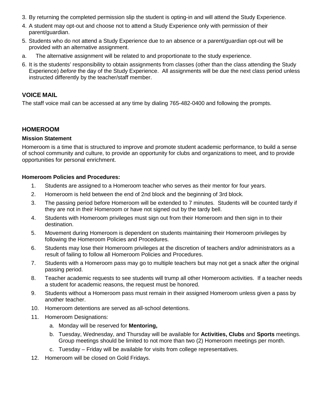- 3. By returning the completed permission slip the student is opting-in and will attend the Study Experience.
- 4. A student may opt-out and choose not to attend a Study Experience only with permission of their parent/guardian.
- 5. Students who do not attend a Study Experience due to an absence or a parent/guardian opt-out will be provided with an alternative assignment.
- a. The alternative assignment will be related to and proportionate to the study experience.
- 6. It is the students' responsibility to obtain assignments from classes (other than the class attending the Study Experience) *before* the day of the Study Experience. All assignments will be due the next class period unless instructed differently by the teacher/staff member.

# **VOICE MAIL**

The staff voice mail can be accessed at any time by dialing 765-482-0400 and following the prompts.

# **HOMEROOM**

#### **Mission Statement**

Homeroom is a time that is structured to improve and promote student academic performance, to build a sense of school community and culture, to provide an opportunity for clubs and organizations to meet, and to provide opportunities for personal enrichment.

#### **Homeroom Policies and Procedures:**

- 1. Students are assigned to a Homeroom teacher who serves as their mentor for four years.
- 2. Homeroom is held between the end of 2nd block and the beginning of 3rd block.
- 3. The passing period before Homeroom will be extended to 7 minutes. Students will be counted tardy if they are not in their Homeroom or have not signed out by the tardy bell.
- 4. Students with Homeroom privileges must sign out from their Homeroom and then sign in to their destination.
- 5. Movement during Homeroom is dependent on students maintaining their Homeroom privileges by following the Homeroom Policies and Procedures.
- 6. Students may lose their Homeroom privileges at the discretion of teachers and/or administrators as a result of failing to follow all Homeroom Policies and Procedures.
- 7. Students with a Homeroom pass may go to multiple teachers but may not get a snack after the original passing period.
- 8. Teacher academic requests to see students will trump all other Homeroom activities. If a teacher needs a student for academic reasons, the request must be honored.
- 9. Students without a Homeroom pass must remain in their assigned Homeroom unless given a pass by another teacher.
- 10. Homeroom detentions are served as all-school detentions.
- 11. Homeroom Designations:
	- a. Monday will be reserved for **Mentoring,**
	- b. Tuesday, Wednesday, and Thursday will be available for **Activities, Clubs** and **Sports** meetings. Group meetings should be limited to not more than two (2) Homeroom meetings per month.
	- c. Tuesday Friday will be available for visits from college representatives.
- 12. Homeroom will be closed on Gold Fridays.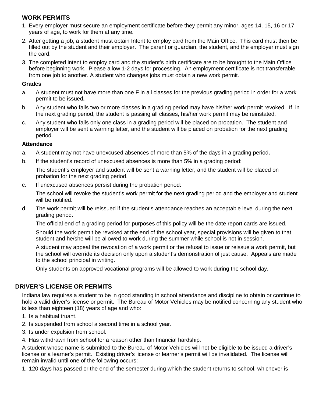# **WORK PERMITS**

- 1. Every employer must secure an employment certificate before they permit any minor, ages 14, 15, 16 or 17 years of age, to work for them at any time.
- 2. After getting a job, a student must obtain Intent to employ card from the Main Office. This card must then be filled out by the student and their employer. The parent or guardian, the student, and the employer must sign the card.
- 3. The completed intent to employ card and the student's birth certificate are to be brought to the Main Office before beginning work. Please allow 1-2 days for processing. An employment certificate is not transferable from one job to another. A student who changes jobs must obtain a new work permit.

#### **Grades**

- a. A student must not have more than one F in all classes for the previous grading period in order for a work permit to be issued**.**
- b. Any student who fails two or more classes in a grading period may have his/her work permit revoked. If, in the next grading period, the student is passing all classes, his/her work permit may be reinstated.
- c. Any student who fails only one class in a grading period will be placed on probation. The student and employer will be sent a warning letter, and the student will be placed on probation for the next grading period.

# **Attendance**

- a. A student may not have unexcused absences of more than 5% of the days in a grading period**.**
- b. If the student's record of unexcused absences is more than 5% in a grading period:

The student's employer and student will be sent a warning letter, and the student will be placed on probation for the next grading period.

c. If unexcused absences persist during the probation period:

The school will revoke the student's work permit for the next grading period and the employer and student will be notified.

d. The work permit will be reissued if the student's attendance reaches an acceptable level during the next grading period.

The official end of a grading period for purposes of this policy will be the date report cards are issued.

Should the work permit be revoked at the end of the school year, special provisions will be given to that student and he/she will be allowed to work during the summer while school is not in session.

A student may appeal the revocation of a work permit or the refusal to issue or reissue a work permit, but the school will override its decision only upon a student's demonstration of just cause. Appeals are made to the school principal in writing.

Only students on approved vocational programs will be allowed to work during the school day.

# **DRIVER'S LICENSE OR PERMITS**

Indiana law requires a student to be in good standing in school attendance and discipline to obtain or continue to hold a valid driver's license or permit. The Bureau of Motor Vehicles may be notified concerning any student who is less than eighteen (18) years of age and who:

- 1. Is a habitual truant.
- 2. Is suspended from school a second time in a school year.
- 3. Is under expulsion from school.
- 4. Has withdrawn from school for a reason other than financial hardship.

A student whose name is submitted to the Bureau of Motor Vehicles will not be eligible to be issued a driver's license or a learner's permit. Existing driver's license or learner's permit will be invalidated. The license will remain invalid until one of the following occurs:

1. 120 days has passed or the end of the semester during which the student returns to school, whichever is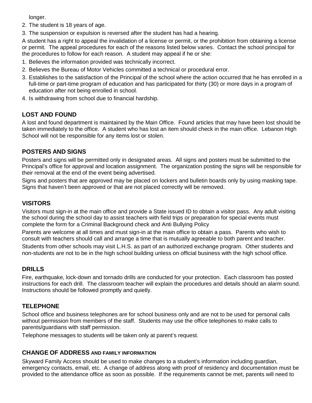longer.

- 2. The student is 18 years of age.
- 3. The suspension or expulsion is reversed after the student has had a hearing.

A student has a right to appeal the invalidation of a license or permit, or the prohibition from obtaining a license or permit. The appeal procedures for each of the reasons listed below varies. Contact the school principal for the procedures to follow for each reason. A student may appeal if he or she:

- 1. Believes the information provided was technically incorrect.
- 2. Believes the Bureau of Motor Vehicles committed a technical or procedural error.
- 3. Establishes to the satisfaction of the Principal of the school where the action occurred that he has enrolled in a full-time or part-time program of education and has participated for thirty (30) or more days in a program of education after not being enrolled in school.
- 4. Is withdrawing from school due to financial hardship.

# **LOST AND FOUND**

A lost and found department is maintained by the Main Office. Found articles that may have been lost should be taken immediately to the office. A student who has lost an item should check in the main office. Lebanon High School will not be responsible for any items lost or stolen.

# **POSTERS AND SIGNS**

Posters and signs will be permitted only in designated areas. All signs and posters must be submitted to the Principal's office for approval and location assignment. The organization posting the signs will be responsible for their removal at the end of the event being advertised.

Signs and posters that are approved may be placed on lockers and bulletin boards only by using masking tape. Signs that haven't been approved or that are not placed correctly will be removed.

# **VISITORS**

Visitors must sign-in at the main office and provide a State issued ID to obtain a visitor pass. Any adult visiting the school during the school day to assist teachers with field trips or preparation for special events must complete the form for a Criminal Background check and Anti Bullying Policy

Parents are welcome at all times and must sign-in at the main office to obtain a pass. Parents who wish to consult with teachers should call and arrange a time that is mutually agreeable to both parent and teacher. Students from other schools may visit L.H.S. as part of an authorized exchange program. Other students and

non-students are not to be in the high school building unless on official business with the high school office.

# **DRILLS**

Fire, earthquake, lock-down and tornado drills are conducted for your protection. Each classroom has posted instructions for each drill. The classroom teacher will explain the procedures and details should an alarm sound. Instructions should be followed promptly and quietly.

# **TELEPHONE**

School office and business telephones are for school business only and are not to be used for personal calls without permission from members of the staff. Students may use the office telephones to make calls to parents/guardians with staff permission.

Telephone messages to students will be taken only at parent's request.

# **CHANGE OF ADDRESS AND FAMILY INFORMATION**

Skyward Family Access should be used to make changes to a student's information including guardian, emergency contacts, email, etc. A change of address along with proof of residency and documentation must be provided to the attendance office as soon as possible. If the requirements cannot be met, parents will need to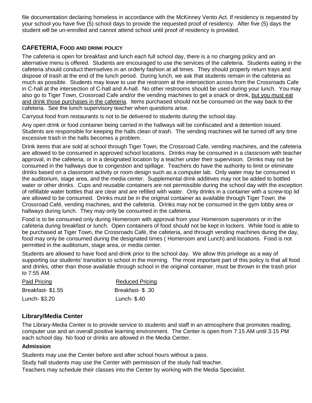file documentation declaring homeless in accordance with the McKinney Vento Act. If residency is requested by your school you have five (5) school days to provide the requested proof of residency. After five (5) days the student will be un-enrolled and cannot attend school until proof of residency is provided.

# **CAFETERIA, FOOD AND DRINK POLICY**

The cafeteria is open for breakfast and lunch each full school day, there is a no charging policy and an alternative menu is offered. Students are encouraged to use the services of the cafeteria. Students eating in the cafeteria should conduct themselves in an orderly fashion at all times. They should properly return trays and dispose of trash at the end of the lunch period. During lunch, we ask that students remain in the cafeteria as much as possible. Students may leave to use the restroom at the intersection across from the Crossroads Cafe in C-hall at the intersection of C-hall and A-hall. No other restrooms should be used during your lunch. You may also go to Tiger Town, Crossroad Cafe and/or the vending machines to get a snack or drink, but you must eat and drink those purchases in the cafeteria. Items purchased should not be consumed on the way back to the cafeteria. See the lunch supervisory teacher when questions arise.

Carryout food from restaurants is not to be delivered to students during the school day.

Any open drink or food container being carried in the hallways will be confiscated and a detention issued. Students are responsible for keeping the halls clean of trash. The vending machines will be turned off any time excessive trash in the halls becomes a problem.

Drink items that are sold at school through Tiger Town, the Crossroad Cafe, vending machines, and the cafeteria are allowed to be consumed in approved school locations. Drinks may be consumed in a classroom with teacher approval, in the cafeteria, or in a designated location by a teacher under their supervision. Drinks may not be consumed in the hallways due to congestion and spillage. Teachers do have the authority to limit or eliminate drinks based on a classroom activity or room design such as a computer lab. Only water may be consumed in the auditorium, stage area, and the media center. Supplemental drink additives may not be added to bottled water or other drinks. Cups and reusable containers are not permissible during the school day with the exception of refillable water bottles that are clear and are refilled with water. Only drinks in a container with a screw-top lid are allowed to be consumed. Drinks must be in the original container as available through Tiger Town, the Crossroad Café, vending machines, and the cafeteria. Drinks may not be consumed in the gym lobby area or hallways during lunch. They may only be consumed in the cafeteria.

Food is to be consumed only during Homeroom with approval from your Homeroom supervisors or in the cafeteria during breakfast or lunch. Open containers of food should not be kept in lockers. While food is able to be purchased at Tiger Town, the Crossroads Café, the cafeteria, and through vending machines during the day, food may only be consumed during the designated times ( Homeroom and Lunch) and locations. Food is not permitted in the auditorium, stage area, or media center.

Students are allowed to have food and drink prior to the school day. We allow this privilege as a way of supporting our students' transition to school in the morning. The most important part of this policy is that all food and drinks, other than those available through school in the original container, must be thrown in the trash prior to 7:55 AM.

| Paid Pricing     | <b>Reduced Pricing</b> |
|------------------|------------------------|
| Breakfast-\$1.55 | Breakfast- \$.30       |
| Lunch- \$3.20    | Lunch- \$.40           |

# **Library/Media Center**

The Library-Media Center is to provide service to students and staff in an atmosphere that promotes reading, computer use and an overall positive learning environment. The Center is open from 7:15 AM until 3:15 PM each school day. No food or drinks are allowed in the Media Center.

#### **Admission**

Students may use the Center before and after school hours without a pass.

Study hall students may use the Center with permission of the study hall teacher.

Teachers may schedule their classes into the Center by working with the Media Specialist.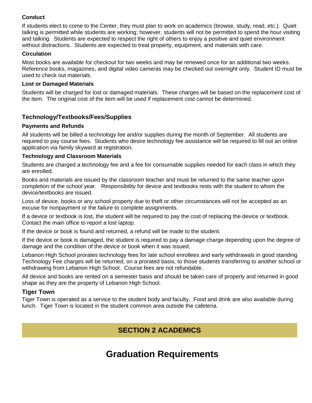# **Conduct**

If students elect to come to the Center, they must plan to work on academics (browse, study, read, etc.). Quiet talking is permitted while students are working; however, students will not be permitted to spend the hour visiting and talking. Students are expected to respect the right of others to enjoy a positive and quiet environment without distractions. Students are expected to treat property, equipment, and materials with care.

# **Circulation**

Most books are available for checkout for two weeks and may be renewed once for an additional two weeks. Reference books, magazines, and digital video cameras may be checked out overnight only. Student ID must be used to check out materials.

## **Lost or Damaged Materials**

Students will be charged for lost or damaged materials. These charges will be based on the replacement cost of the item. The original cost of the item will be used if replacement cost cannot be determined.

# **Technology/Textbooks/Fees/Supplies**

## **Payments and Refunds**

All students will be billed a technology fee and/or supplies during the month of September. All students are required to pay course fees. Students who desire technology fee assistance will be required to fill out an online application via family skyward at registration.

## **Technology and Classroom Materials**

Students are charged a technology fee and a fee for consumable supplies needed for each class in which they are enrolled.

Books and materials are issued by the classroom teacher and must be returned to the same teacher upon completion of the school year. Responsibility for device and textbooks rests with the student to whom the device/textbooks are issued.

Loss of device, books or any school property due to theft or other circumstances will not be accepted as an excuse for nonpayment or the failure to complete assignments.

If a device or textbook is lost, the student will be required to pay the cost of replacing the device or textbook. Contact the main office to report a lost laptop.

If the device or book is found and returned, a refund will be made to the student.

If the device or book is damaged, the student is required to pay a damage charge depending upon the degree of damage and the condition of the device or book when it was issued.

Lebanon High School prorates technology fees for late school enrollees and early withdrawals in good standing Technology Fee charges will be returned, on a prorated basis, to those students transferring to another school or withdrawing from Lebanon High School. Course fees are not refundable.

All device and books are rented on a semester basis and should be taken care of properly and returned in good shape as they are the property of Lebanon High School.

# **Tiger Town**

Tiger Town is operated as a service to the student body and faculty. Food and drink are also available during lunch. Tiger Town is located in the student common area outside the cafeteria.

# **SECTION 2 ACADEMICS**

# **Graduation Requirements**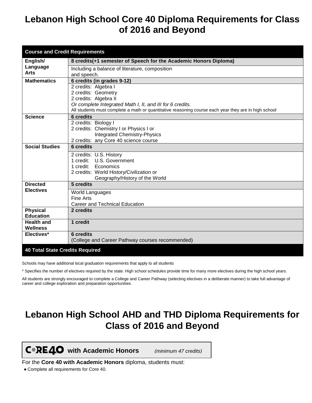# **Lebanon High School Core 40 Diploma Requirements for Class of 2016 and Beyond**

| <b>Course and Credit Requirements</b>  |                                                                                                                                                                   |
|----------------------------------------|-------------------------------------------------------------------------------------------------------------------------------------------------------------------|
| English/                               | 8 credits(+1 semester of Speech for the Academic Honors Diploma)                                                                                                  |
| Language                               | Including a balance of literature, composition                                                                                                                    |
| Arts                                   | and speech.                                                                                                                                                       |
| <b>Mathematics</b>                     | 6 credits (in grades 9-12)                                                                                                                                        |
|                                        | 2 credits: Algebra I                                                                                                                                              |
|                                        | 2 credits: Geometry                                                                                                                                               |
|                                        | 2 credits: Algebra II                                                                                                                                             |
|                                        | Or complete Integrated Math I, II, and III for 6 credits.<br>All students must complete a math or quantitative reasoning course each year they are in high school |
| <b>Science</b>                         | <b>6 credits</b>                                                                                                                                                  |
|                                        | 2 credits: Biology I                                                                                                                                              |
|                                        | 2 credits: Chemistry I or Physics I or                                                                                                                            |
|                                        | <b>Integrated Chemistry-Physics</b>                                                                                                                               |
|                                        | 2 credits: any Core 40 science course                                                                                                                             |
| <b>Social Studies</b>                  | <b>6</b> credits                                                                                                                                                  |
|                                        | 2 credits: U.S. History                                                                                                                                           |
|                                        | 1 credit: U.S. Government                                                                                                                                         |
|                                        | 1 credit: Economics                                                                                                                                               |
|                                        | 2 credits: World History/Civilization or                                                                                                                          |
|                                        | Geography/History of the World                                                                                                                                    |
| <b>Directed</b>                        | 5 credits                                                                                                                                                         |
| <b>Electives</b>                       | <b>World Languages</b>                                                                                                                                            |
|                                        | <b>Fine Arts</b>                                                                                                                                                  |
|                                        | Career and Technical Education                                                                                                                                    |
| <b>Physical</b>                        | 2 credits                                                                                                                                                         |
| <b>Education</b>                       |                                                                                                                                                                   |
| <b>Health and</b><br>Wellness          | 1 credit                                                                                                                                                          |
| Electives*                             | <b>6 credits</b>                                                                                                                                                  |
|                                        | (College and Career Pathway courses recommended)                                                                                                                  |
| <b>40 Total State Credits Required</b> |                                                                                                                                                                   |

Schools may have additional local graduation requirements that apply to all students

\* Specifies the number of electives required by the state. High school schedules provide time for many more electives during the high school years.

All students are strongly encouraged to complete a College and Career Pathway (selecting electives in a deliberate manner) to take full advantage of career and college exploration and preparation opportunities.

# **Lebanon High School AHD and THD Diploma Requirements for Class of 2016 and Beyond**

**with Academic Honors** *(minimum 47 credits)*

For the **Core 40 with Academic Honors** diploma, students must:

● Complete all requirements for Core 40.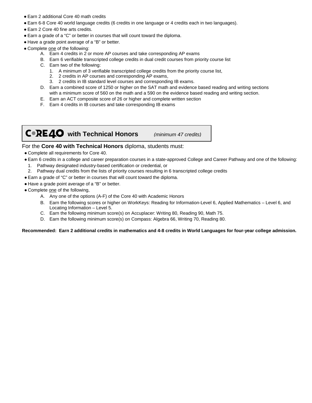- Earn 2 additional Core 40 math credits
- Earn 6-8 Core 40 world language credits (6 credits in one language or 4 credits each in two languages).
- Earn 2 Core 40 fine arts credits.
- Earn a grade of a "C" or better in courses that will count toward the diploma.
- Have a grade point average of a "B" or better.
- Complete one of the following:
	- A. Earn 4 credits in 2 or more AP courses and take corresponding AP exams
	- B. Earn 6 verifiable transcripted college credits in dual credit courses from priority course list
	- C. Earn two of the following:
		- 1. A minimum of 3 verifiable transcripted college credits from the priority course list,
		- 2. 2 credits in AP courses and corresponding AP exams,
		- 3. 2 credits in IB standard level courses and corresponding IB exams.
	- D. Earn a combined score of 1250 or higher on the SAT math and evidence based reading and writing sections with a minimum score of 560 on the math and a 590 on the evidence based reading and writing section.
	- E. Earn an ACT composite score of 26 or higher and complete written section
	- F. Earn 4 credits in IB courses and take corresponding IB exams

**with Technical Honors** *(minimum 47 credits)*

#### For the **Core 40 with Technical Honors** diploma, students must:

- Complete all requirements for Core 40.
- Earn 6 credits in a college and career preparation courses in a state-approved College and Career Pathway and one of the following:
- Pathway designated industry-based certification or credential, or
- 2. Pathway dual credits from the lists of priority courses resulting in 6 transcripted college credits
- Earn a grade of "C" or better in courses that will count toward the diploma.
- Have a grade point average of a "B" or better.
- Complete one of the following,
	- A. Any one of the options (A-F) of the Core 40 with Academic Honors
	- B. Earn the following scores or higher on WorkKeys: Reading for Information-Level 6, Applied Mathematics Level 6, and Locating Information – Level 5.
	- C. Earn the following minimum score(s) on Accuplacer: Writing 80, Reading 90, Math 75.
	- D. Earn the following minimum score(s) on Compass: Algebra 66, Writing 70, Reading 80.

**Recommended: Earn 2 additional credits in mathematics and 4-8 credits in World Languages for four-year college admission.**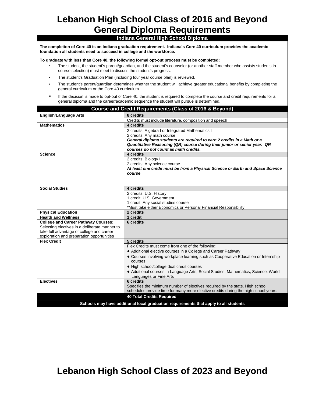# **Lebanon High School Class of 2016 and Beyond General Diploma Requirements**

# **Indiana General High School Diploma**

**The completion of Core 40 is an Indiana graduation requirement. Indiana's Core 40 curriculum provides the academic foundation all students need to succeed in college and the workforce.** 

**To graduate with less than Core 40, the following formal opt-out process must be completed:** 

- The student, the student's parent/guardian, and the student's counselor (or another staff member who assists students in course selection) must meet to discuss the student's progress.
- The student's Graduation Plan (including four year course plan) is reviewed.
- The student's parent/guardian determines whether the student will achieve greater educational benefits by completing the general curriculum or the Core 40 curriculum.
- If the decision is made to opt-out of Core 40, the student is required to complete the course and credit requirements for a general diploma and the career/academic sequence the student will pursue is determined.

| Course and Credit Requirements (Class of 2016 & Beyond)                              |                                                                                     |  |
|--------------------------------------------------------------------------------------|-------------------------------------------------------------------------------------|--|
| <b>English/Language Arts</b>                                                         | 8 credits                                                                           |  |
|                                                                                      | Credits must include literature, composition and speech                             |  |
| <b>Mathematics</b>                                                                   | 4 credits                                                                           |  |
|                                                                                      | 2 credits: Algebra I or Integrated Mathematics I                                    |  |
|                                                                                      | 2 credits: Any math course                                                          |  |
|                                                                                      | General diploma students are required to earn 2 credits in a Math or a              |  |
|                                                                                      | Quantitative Reasoning (QR) course during their junior or senior year. QR           |  |
|                                                                                      | courses do not count as math credits.                                               |  |
| <b>Science</b>                                                                       | 4 credits                                                                           |  |
|                                                                                      | 2 credits: Biology I                                                                |  |
|                                                                                      | 2 credits: Any science course                                                       |  |
|                                                                                      | At least one credit must be from a Physical Science or Earth and Space Science      |  |
|                                                                                      | course                                                                              |  |
|                                                                                      |                                                                                     |  |
|                                                                                      |                                                                                     |  |
| <b>Social Studies</b>                                                                | 4 credits                                                                           |  |
|                                                                                      | 2 credits: U.S. History                                                             |  |
|                                                                                      | 1 credit: U.S. Government                                                           |  |
|                                                                                      | 1 credit: Any social studies course                                                 |  |
|                                                                                      | *Must take either Economics or Personal Financial Responsibility                    |  |
| <b>Physical Education</b>                                                            | 2 credits                                                                           |  |
| <b>Health and Wellness</b>                                                           | 1 credit                                                                            |  |
| <b>College and Career Pathway Courses:</b>                                           | 6 credits                                                                           |  |
| Selecting electives in a deliberate manner to                                        |                                                                                     |  |
| take full advantage of college and career                                            |                                                                                     |  |
| exploration and preparation opportunities                                            |                                                                                     |  |
| <b>Flex Credit</b>                                                                   | 5 credits                                                                           |  |
|                                                                                      | Flex Credits must come from one of the following:                                   |  |
|                                                                                      | • Additional elective courses in a College and Career Pathway                       |  |
|                                                                                      | • Courses involving workplace learning such as Cooperative Education or Internship  |  |
|                                                                                      | courses                                                                             |  |
|                                                                                      | • High school/college dual credit courses                                           |  |
|                                                                                      | • Additional courses in Language Arts, Social Studies, Mathematics, Science, World  |  |
|                                                                                      | Languages or Fine Arts                                                              |  |
| <b>Electives</b>                                                                     | 6 credits                                                                           |  |
|                                                                                      | Specifies the minimum number of electives required by the state. High school        |  |
|                                                                                      | schedules provide time for many more elective credits during the high school years. |  |
| <b>40 Total Credits Required</b>                                                     |                                                                                     |  |
| Schools may have additional local graduation requirements that apply to all students |                                                                                     |  |

# **Lebanon High School Class of 2023 and Beyond**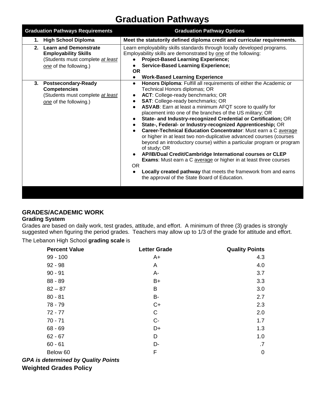# **Graduation Pathways**

| <b>Graduation Pathways Requirements</b>                                                                                         | <b>Graduation Pathway Options</b>                                                                                                                                                                                                                                                                                                                                                                                                                                                                                                                                                                                                                                                                                                                                                                                                                                                                                                                 |
|---------------------------------------------------------------------------------------------------------------------------------|---------------------------------------------------------------------------------------------------------------------------------------------------------------------------------------------------------------------------------------------------------------------------------------------------------------------------------------------------------------------------------------------------------------------------------------------------------------------------------------------------------------------------------------------------------------------------------------------------------------------------------------------------------------------------------------------------------------------------------------------------------------------------------------------------------------------------------------------------------------------------------------------------------------------------------------------------|
| <b>High School Diploma</b><br>1.                                                                                                | Meet the statutorily defined diploma credit and curricular requirements.                                                                                                                                                                                                                                                                                                                                                                                                                                                                                                                                                                                                                                                                                                                                                                                                                                                                          |
| <b>Learn and Demonstrate</b><br>2.<br><b>Employability Skills</b><br>(Students must complete at least<br>one of the following.) | Learn employability skills standards through locally developed programs.<br>Employability skills are demonstrated by one of the following:<br><b>Project-Based Learning Experience;</b><br><b>Service-Based Learning Experience;</b><br><b>OR</b><br><b>Work-Based Learning Experience</b>                                                                                                                                                                                                                                                                                                                                                                                                                                                                                                                                                                                                                                                        |
| 3. Postsecondary-Ready<br><b>Competencies</b><br>(Students must complete at least<br>one of the following.)                     | Honors Diploma: Fulfill all requirements of either the Academic or<br>Technical Honors diplomas; OR<br>ACT: College-ready benchmarks; OR<br>SAT: College-ready benchmarks; OR<br>ASVAB: Earn at least a minimum AFQT score to qualify for<br>placement into one of the branches of the US military; OR<br>State- and Industry-recognized Credential or Certification; OR<br>State-, Federal- or Industry-recognized Apprenticeship; OR<br>Career-Technical Education Concentrator: Must earn a C average<br>or higher in at least two non-duplicative advanced courses (courses<br>beyond an introductory course) within a particular program or program<br>of study; OR<br>AP/IB/Dual Credit/Cambridge International courses or CLEP<br><b>Exams:</b> Must earn a C average or higher in at least three courses<br><b>OR</b><br>Locally created pathway that meets the framework from and earns<br>the approval of the State Board of Education. |

# **GRADES/ACADEMIC WORK**

#### **Grading System**

Grades are based on daily work, test grades, attitude, and effort. A minimum of three (3) grades is strongly suggested when figuring the period grades. Teachers may allow up to 1/3 of the grade for attitude and effort.

The Lebanon High School **grading scale** is

| <b>Percent Value</b>                       | <b>Letter Grade</b> | <b>Quality Points</b> |
|--------------------------------------------|---------------------|-----------------------|
| $99 - 100$                                 | $A+$                | 4.3                   |
| $92 - 98$                                  | A                   | 4.0                   |
| $90 - 91$                                  | А-                  | 3.7                   |
| $88 - 89$                                  | B+                  | 3.3                   |
| $82 - 87$                                  | B                   | 3.0                   |
| $80 - 81$                                  | <b>B-</b>           | 2.7                   |
| 78 - 79                                    | $C+$                | 2.3                   |
| $72 - 77$                                  | $\mathsf C$         | 2.0                   |
| $70 - 71$                                  | $C -$               | 1.7                   |
| $68 - 69$                                  | D+                  | 1.3                   |
| $62 - 67$                                  | D                   | 1.0                   |
| $60 - 61$                                  | D-                  | .7                    |
| Below 60                                   | F                   | $\mathbf 0$           |
| <b>GPA is determined by Quality Points</b> |                     |                       |

**Weighted Grades Policy**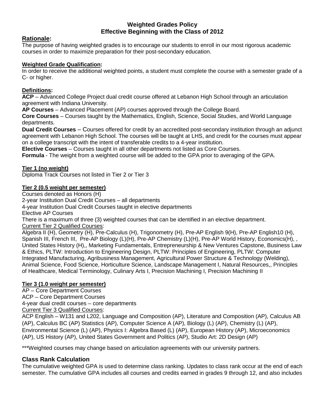## **Weighted Grades Policy Effective Beginning with the Class of 2012**

# **Rationale:**

The purpose of having weighted grades is to encourage our students to enroll in our most rigorous academic courses in order to maximize preparation for their post-secondary education.

# **Weighted Grade Qualification:**

In order to receive the additional weighted points, a student must complete the course with a semester grade of a C- or higher.

## **Definitions:**

**ACP** – Advanced College Project dual credit course offered at Lebanon High School through an articulation agreement with Indiana University.

**AP Courses** – Advanced Placement (AP) courses approved through the College Board.

**Core Courses** – Courses taught by the Mathematics, English, Science, Social Studies, and World Language departments.

**Dual Credit Courses** – Courses offered for credit by an accredited post-secondary institution through an adjunct agreement with Lebanon High School. The courses will be taught at LHS, and credit for the courses must appear on a college transcript with the intent of transferable credits to a 4-year institution.

**Elective Courses** – Courses taught in all other departments not listed as Core Courses.

**Formula** - The weight from a weighted course will be added to the GPA prior to averaging of the GPA.

## **Tier 1 (no weight)**

Diploma Track Courses not listed in Tier 2 or Tier 3

## **Tier 2 (0.5 weight per semester)**

Courses denoted as Honors (H)

2-year Institution Dual Credit Courses – all departments

4-year Institution Dual Credit Courses taught in elective departments

Elective AP Courses

There is a maximum of three (3) weighted courses that can be identified in an elective department.

Current Tier 2 Qualified Courses:

Algebra II (H), Geometry (H), Pre-Calculus (H), Trigonometry (H), Pre-AP English 9(H), Pre-AP English10 (H), Spanish III, French III, Pre-AP Biology (L)(H), Pre-AP Chemistry (L)(H), Pre-AP World History, Economics(H), , United States History (H),, Marketing Fundamentals, Entrepreneurship & New Ventures Capstone, Business Law & Ethics, PLTW: Introduction to Engineering Design, PLTW: Principles of Engineering, PLTW: Computer Integrated Manufacturing, Agribusiness Management, Agricultural Power Structure & Technology (Welding), Animal Science, Food Science, Horticulture Science, Landscape Management I, Natural Resources,, Principles of Healthcare, Medical Terminology, Culinary Arts I, Precision Machining I, Precision Machining II

# **Tier 3 (1.0 weight per semester)**

AP – Core Department Courses ACP – Core Department Courses 4-year dual credit courses – core departments Current Tier 3 Qualified Courses:

ACP English – W131 and L202, Language and Composition (AP), Literature and Composition (AP), Calculus AB (AP), Calculus BC (AP) Statistics (AP), Computer Science A (AP), Biology (L) (AP), Chemistry (L) (AP), Environmental Science (L) (AP), Physics I: Algebra Based (L) (AP), European History (AP), Microeconomics (AP), US History (AP), United States Government and Politics (AP), Studio Art: 2D Design (AP)

\*\*\*Weighted courses may change based on articulation agreements with our university partners.

# **Class Rank Calculation**

The cumulative weighted GPA is used to determine class ranking. Updates to class rank occur at the end of each semester. The cumulative GPA includes all courses and credits earned in grades 9 through 12, and also includes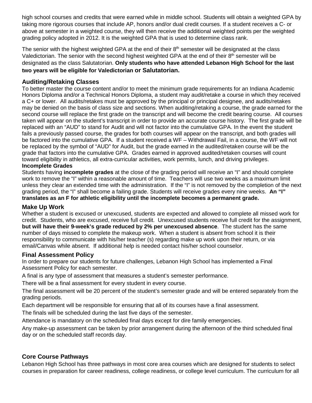high school courses and credits that were earned while in middle school. Students will obtain a weighted GPA by taking more rigorous courses that include AP, honors and/or dual credit courses. If a student receives a C- or above at semester in a weighted course, they will then receive the additional weighted points per the weighted grading policy adopted in 2012. It is the weighted GPA that is used to determine class rank.

The senior with the highest weighted GPA at the end of their  $8<sup>th</sup>$  semester will be designated at the class Valedictorian. The senior with the second highest weighted GPA at the end of their 8<sup>th</sup> semester will be designated as the class Salutatorian. **Only students who have attended Lebanon High School for the last two years will be eligible for Valedictorian or Salutatorian.**

# **Auditing/Retaking Classes**

To better master the course content and/or to meet the minimum grade requirements for an Indiana Academic Honors Diploma and/or a Technical Honors Diploma, a student may audit/retake a course in which they received a C+ or lower. All audits/retakes must be approved by the principal or principal designee, and audits/retakes may be denied on the basis of class size and sections. When auditing/retaking a course, the grade earned for the second course will replace the first grade on the transcript and will become the credit bearing course. All courses taken will appear on the student's transcript in order to provide an accurate course history. The first grade will be replaced with an "AUD" to stand for Audit and will not factor into the cumulative GPA. In the event the student fails a previously passed course, the grades for both courses will appear on the transcript, and both grades will be factored into the cumulative GPA. If a student received a WF – Withdrawal Fail, in a course, the WF will not be replaced by the symbol of "AUD" for Audit, but the grade earned in the audited/retaken course will be the grade that factors into the cumulative GPA. Grades earned in approved audited/retaken courses will count toward eligibility in athletics, all extra-curricular activities, work permits, lunch, and driving privileges.

# **Incomplete Grades**

Students having **incomplete grades** at the close of the grading period will receive an "I" and should complete work to remove the "I" within a reasonable amount of time. Teachers will use two weeks as a maximum limit unless they clear an extended time with the administration. If the "I" is not removed by the completion of the next grading period, the "I" shall become a failing grade. Students will receive grades every nine weeks. **An "I" translates as an F for athletic eligibility until the incomplete becomes a permanent grade.**

#### **Make Up Work**

Whether a student is excused or unexcused, students are expected and allowed to complete all missed work for credit. Students, who are excused, receive full credit. Unexcused students receive full credit for the assignment, **but will have their 9-week's grade reduced by 2% per unexcused absence**. The student has the same number of days missed to complete the makeup work. When a student is absent from school it is their responsibility to communicate with his/her teacher (s) regarding make up work upon their return, or via email/Canvas while absent. If additional help is needed contact his/her school counselor.

#### **Final Assessment Policy**

In order to prepare our students for future challenges, Lebanon High School has implemented a Final Assessment Policy for each semester.

A final is any type of assessment that measures a student's semester performance.

There will be a final assessment for every student in every course.

The final assessment will be 20 percent of the student's semester grade and will be entered separately from the grading periods.

Each department will be responsible for ensuring that all of its courses have a final assessment.

The finals will be scheduled during the last five days of the semester.

Attendance is mandatory on the scheduled final days except for dire family emergencies.

Any make-up assessment can be taken by prior arrangement during the afternoon of the third scheduled final day or on the scheduled staff records day.

# **Core Course Pathways**

Lebanon High School has three pathways in most core area courses which are designed for students to select courses in preparation for career readiness, college readiness, or college level curriculum. The curriculum for all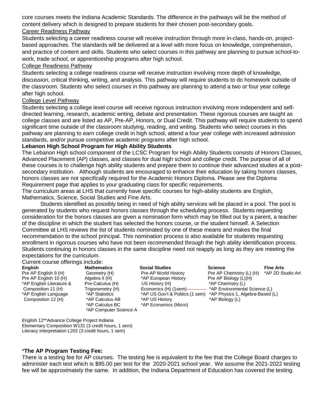core courses meets the Indiana Academic Standards. The difference in the pathways will be the method of content delivery which is designed to prepare students for their chosen post-secondary goals. Career Readiness Pathway

Students selecting a career readiness course will receive instruction through more in-class, hands-on, projectbased approaches. The standards will be delivered at a level with more focus on knowledge, comprehension, and practice of content and skills. Students who select courses in this pathway are planning to pursue school-towork, trade school, or apprenticeship programs after high school.

#### College Readiness Pathway

Students selecting a college readiness course will receive instruction involving more depth of knowledge, discussion, critical thinking, writing, and analysis. This pathway will require students to do homework outside of the classroom. Students who select courses in this pathway are planning to attend a two or four year college after high school.

#### College Level Pathway

Students selecting a college level course will receive rigorous instruction involving more independent and selfdirected learning, research, academic writing, debate and presentation. These rigorous courses are taught as college classes and are listed as AP, Pre-AP, Honors, or Dual Credit. This pathway will require students to spend significant time outside of the classroom studying, reading, and writing. Students who select courses in this pathway are planning to earn college credit in high school, attend a four year college with increased admission standards, and/or pursue competitive academic programs after high school.

#### **Lebanon High School Program for High Ability Students**

The Lebanon High school component of the LCSC Program for High Ability Students consists of Honors Classes, Advanced Placement (AP) classes, and classes for dual high school and college credit. The purpose of all of these courses is to challenge high ability students and prepare them to continue their advanced studies at a postsecondary institution. Although students are encouraged to enhance their education by taking honors classes, honors classes are not specifically required for the Academic Honors Diploma. Please see the Diploma Requirement page that applies to your graduating class for specific requirements.

The curriculum areas at LHS that currently have specific courses for high-ability students are English, Mathematics, Science, Social Studies and Fine Arts.

Students identified as possibly being in need of high ability services will be placed in a pool. The pool is generated by students who request honors classes through the scheduling process. Students requesting consideration for the honors classes are given a nomination form which may be filled out by a parent, a teacher of the discipline in which the student has selected the honors course, or the student himself. A Selection Committee at LHS reviews the list of students nominated by one of these means and makes the final recommendation to the school principal. This nomination process is also available for students requesting enrollment in rigorous courses who have not been recommended through the high ability identification process. Students continuing in honors classes in the same discipline need not reapply as long as they are meeting the expectations for the curriculum.

#### Current course offerings include:

\*AP English Literature & Pre-Calculus (H) US History (H)<br>
Composition 11 (H) Trigonometry (H) Economics (H) (1sem)-

\*AP Computer Science A

Pre AP English 9 (H) Geometry (H) Pre-AP World History Pre AP Chemistry (L) (H) Pre AP English 10 (H) Algebra II (H) Algebra II (H) \*AP European History Pre AP Biology (L)(H)<br>Pre-Calculus (H) US History (H) \*AP Chemistry (L) Composition 12 (H) \*AP Calculus AB \*AP US History \*AP Biology (L) \*AP Calculus BC \*AP Economics (Micro)

**English Mathematics Social Studies Social Studies Science Fine Arts Fine Arts**<br>
Pre AP English 9 (H) Geometry (H) Pre-AP World History Pre AP Chemistry (L) (H) \*AP 2D Studio Art \*AP Environmental Science (L) \*AP English Language \*AP Statistics \*AP US Gov't & Politics (1 sem) \*AP Physics 1, Algebra-Based (L)

English 12\*\*Advance College Project Indiana Elementary Composition W131 (3 credit hours, 1 sem) Literacy Interpretation L202 (3 credit hours, 1 sem)

#### \***The AP Program Testing Fee:**

There is a testing fee for AP courses. The testing fee is equivalent to the fee that the College Board charges to administer each test which is \$95.00 per test for the 2020-2021 school year. We assume the 2021-2022 testing fee will be approximately the same. In addition, the Indiana Department of Education has covered the testing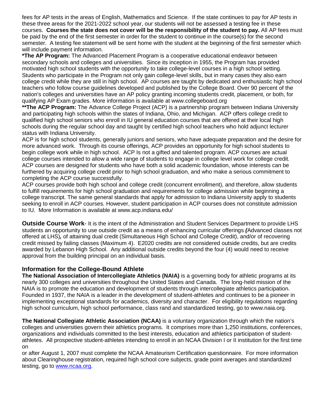fees for AP tests in the areas of English, Mathematics and Science. If the state continues to pay for AP tests in these three areas for the 2021-2022 school year, our students will not be assessed a testing fee in these courses. **Courses the state does not cover will be the responsibility of the student to pay.** All AP fees must be paid by the end of the first semester in order for the student to continue in the course(s) for the second semester. A testing fee statement will be sent home with the student at the beginning of the first semester which will include payment information.

**\*The AP Program:** The Advanced Placement Program is a cooperative educational endeavor between secondary schools and colleges and universities. Since its inception in 1955, the Program has provided motivated high school students with the opportunity to take college-level courses in a high school setting. Students who participate in the Program not only gain college-level skills, but in many cases they also earn college credit while they are still in high school. AP courses are taught by dedicated and enthusiastic high school teachers who follow course guidelines developed and published by the College Board. Over 90 percent of the nation's colleges and universities have an AP policy granting incoming students credit, placement, or both, for qualifying AP Exam grades. More information is available at www.collegeboard.org

**\*\*The ACP Program:** The Advance College Project (ACP) is a partnership program between Indiana University and participating high schools within the states of Indiana, Ohio, and Michigan. ACP offers college credit to qualified high school seniors who enroll in IU general education courses that are offered at their local high schools during the regular school day and taught by certified high school teachers who hold adjunct lecturer status with Indiana University.

ACP is for high school students, generally juniors and seniors, who have adequate preparation and the desire for more advanced work. Through its course offerings, ACP provides an opportunity for high school students to begin college work while in high school. ACP Is not a gifted and talented program. ACP courses are actual college courses intended to allow a wide range of students to engage in college level work for college credit. ACP courses are designed for students who have both a solid academic foundation, whose interests can be furthered by acquiring college credit prior to high school graduation, and who make a serious commitment to completing the ACP course successfully.

ACP courses provide both high school and college credit (concurrent enrollment), and therefore, allow students to fulfill requirements for high school graduation and requirements for college admission while beginning a college transcript. The same general standards that apply for admission to Indiana University apply to students seeking to enroll in ACP courses. However, student participation in ACP courses does not constitute admission to IU. More Information is available at www.acp.indiana.edu/

**Outside Course Work**- It is the intent of the Administration and Student Services Department to provide LHS students an opportunity to use outside credit as a means of enhancing curricular offerings *(*Advanced classes not offered at LHS)*,* of attaining dual credit (Simultaneous High School and College Credit), and/or of recovering credit missed by failing classes (Maximum 4). E2020 credits are not considered outside credits, but are credits awarded by Lebanon High School. Any additional outside credits beyond the four (4) would need to receive approval from the building principal on an individual basis.

# **Information for the College-Bound Athlete**

**The National Association of Intercollegiate Athletics (NAIA)** is a governing body for athletic programs at its nearly 300 colleges and universities throughout the United States and Canada. The long-held mission of the NAIA is to promote the education and development of students through intercollegiate athletics participation. Founded in 1937, the NAIA is a leader in the development of student-athletes and continues to be a pioneer in implementing exceptional standards for academics, diversity and character. For eligibility regulations regarding high school curriculum, high school performance, class rand and standardized testing, go to www.naia.org.

**The National Collegiate Athletic Association (NCAA)** is a voluntary organization through which the nation's colleges and universities govern their athletics programs. It comprises more than 1,250 institutions, conferences, organizations and individuals committed to the best interests, education and athletics participation of studentathletes. All prospective student-athletes intending to enroll in an NCAA Division I or II institution for the first time on

or after August 1, 2007 must complete the NCAA Amateurism Certification questionnaire. For more information about Clearinghouse registration, required high school core subjects, grade point averages and standardized testing, go to [www.ncaa.org.](http://www.ncaa.org/)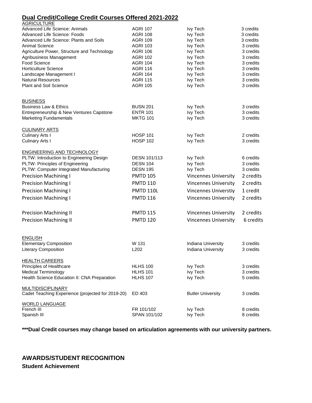# **Dual Credit/College Credit Courses Offered 2021-2022**

| <b>AGRICULTURE</b>                                |                     |                             |           |
|---------------------------------------------------|---------------------|-----------------------------|-----------|
| Advanced Life Science: Animals                    | <b>AGRI 107</b>     | lvy Tech                    | 3 credits |
| Advanced Life Science: Foods                      | <b>AGRI 108</b>     | lvy Tech                    | 3 credits |
| Advanced Life Science: Plants and Soils           | <b>AGRI 109</b>     | lvy Tech                    | 3 credits |
| <b>Animal Science</b>                             | <b>AGRI 103</b>     | lvy Tech                    | 3 credits |
| Agriculture Power, Structure and Technology       | <b>AGRI 106</b>     | lvy Tech                    | 3 credits |
| Agribusiness Management                           | <b>AGRI 102</b>     | lvy Tech                    | 3 credits |
| Food Science                                      | <b>AGRI 104</b>     | Ivy Tech                    | 3 credits |
| <b>Horticulture Science</b>                       | <b>AGRI 116</b>     | lvy Tech                    | 3 credits |
| Landscape Management I                            | <b>AGRI 164</b>     | lvy Tech                    | 3 credits |
| <b>Natural Resources</b>                          | <b>AGRI 115</b>     | lvy Tech                    | 3 credits |
| Plant and Soil Science                            | <b>AGRI 105</b>     | lvy Tech                    | 3 credits |
| <b>BUSINESS</b>                                   |                     |                             |           |
| <b>Business Law &amp; Ethics</b>                  | <b>BUSN 201</b>     | lvy Tech                    | 3 credits |
| Entrepreneurship & New Ventures Capstone          | <b>ENTR 101</b>     | lvy Tech                    | 3 credits |
| <b>Marketing Fundamentals</b>                     | <b>MKTG 101</b>     | lvy Tech                    | 3 credits |
| <b>CULINARY ARTS</b>                              |                     |                             |           |
| Culinary Arts I                                   | <b>HOSP 101</b>     | lvy Tech                    | 2 credits |
| <b>Culinary Arts I</b>                            | <b>HOSP 102</b>     | lvy Tech                    | 3 credits |
| ENGINEERING AND TECHNOLOGY                        |                     |                             |           |
| PLTW: Introduction to Engineering Design          | <b>DESN 101/113</b> | lvy Tech                    | 6 credits |
| PLTW: Principles of Engineering                   | <b>DESN 104</b>     | lvy Tech                    | 3 credits |
| PLTW: Computer Integrated Manufacturing           | <b>DESN 195</b>     | <b>Ivy Tech</b>             | 3 credits |
| <b>Precision Machining I</b>                      | <b>PMTD 105</b>     | <b>Vincennes University</b> | 2 credits |
| <b>Precision Machining I</b>                      | <b>PMTD 110</b>     | <b>Vincennes University</b> | 2 credits |
| <b>Precision Machining I</b>                      | <b>PMTD 110L</b>    | <b>Vincennes Universtiy</b> | 1 credit  |
| <b>Precision Machining I</b>                      | <b>PMTD 116</b>     | <b>Vincennes University</b> | 2 credits |
|                                                   |                     |                             |           |
| <b>Precision Machining II</b>                     | <b>PMTD 115</b>     | Vincennes University        | 2 credits |
| <b>Precision Machining II</b>                     | <b>PMTD 120</b>     | <b>Vincennes University</b> | 6 credits |
|                                                   |                     |                             |           |
| <b>ENGLISH</b>                                    |                     |                             |           |
| <b>Elementary Composition</b>                     | W 131               | Indiana University          | 3 credits |
| Literary Composition                              | L <sub>202</sub>    | Indiana University          | 3 credits |
| <b>HEALTH CAREERS</b>                             |                     |                             |           |
| Principles of Healthcare                          | <b>HLHS 100</b>     | lvy Tech                    | 3 credits |
| <b>Medical Terminology</b>                        | <b>HLHS 101</b>     | lvy Tech                    | 3 credits |
| Health Science Education II: CNA Preparation      | <b>HLHS 107</b>     | lvy Tech                    | 5 credits |
| <b>MULTIDISCIPLINARY</b>                          |                     |                             |           |
| Cadet Teaching Experience (projected for 2019-20) | ED 403              | <b>Butler University</b>    | 3 credits |
| <b>WORLD LANGUAGE</b>                             |                     |                             |           |
| French III                                        | FR 101/102          | <b>Ivy Tech</b>             | 8 credits |
| Spanish III                                       | SPAN 101/102        | lvy Tech                    | 8 credits |

**\*\*\*Dual Credit courses may change based on articulation agreements with our university partners.** 

# **AWARDS/STUDENT RECOGNITION Student Achievement**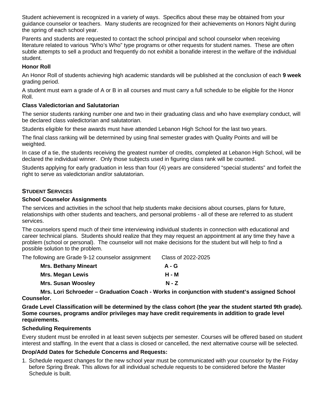Student achievement is recognized in a variety of ways. Specifics about these may be obtained from your guidance counselor or teachers. Many students are recognized for their achievements on Honors Night during the spring of each school year.

Parents and students are requested to contact the school principal and school counselor when receiving literature related to various "Who's Who" type programs or other requests for student names. These are often subtle attempts to sell a product and frequently do not exhibit a bonafide interest in the welfare of the individual student.

# **Honor Roll**

An Honor Roll of students achieving high academic standards will be published at the conclusion of each **9 week**  grading period.

A student must earn a grade of A or B in all courses and must carry a full schedule to be eligible for the Honor Roll.

## **Class Valedictorian and Salutatorian**

The senior students ranking number one and two in their graduating class and who have exemplary conduct, will be declared class valedictorian and salutatorian.

Students eligible for these awards must have attended Lebanon High School for the last two years.

The final class ranking will be determined by using final semester grades with Quality Points and will be weighted.

In case of a tie, the students receiving the greatest number of credits, completed at Lebanon High School, will be declared the individual winner. Only those subjects used in figuring class rank will be counted.

Students applying for early graduation in less than four (4) years are considered "special students" and forfeit the right to serve as valedictorian and/or salutatorian.

# **STUDENT SERVICES**

# **School Counselor Assignments**

The services and activities in the school that help students make decisions about courses, plans for future, relationships with other students and teachers, and personal problems - all of these are referred to as student services.

The counselors spend much of their time interviewing individual students in connection with educational and career technical plans. Students should realize that they may request an appointment at any time they have a problem (school or personal). The counselor will not make decisions for the student but will help to find a possible solution to the problem.

The following are Grade 9-12 counselor assignment Class of 2022-2025

| <b>Mrs. Bethany Mineart</b> | $A - G$ |
|-----------------------------|---------|
| Mrs. Megan Lewis            | н - м   |
| <b>Mrs. Susan Woosley</b>   | $N - Z$ |

**Mrs. Lori Schroeder – Graduation Coach - Works in conjunction with student's assigned School Counselor.**

**Grade Level Classification will be determined by the class cohort (the year the student started 9th grade). Some courses, programs and/or privileges may have credit requirements in addition to grade level requirements.** 

#### **Scheduling Requirements**

Every student must be enrolled in at least seven subjects per semester. Courses will be offered based on student interest and staffing. In the event that a class is closed or cancelled, the next alternative course will be selected.

#### **Drop/Add Dates for Schedule Concerns and Requests:**

1. Schedule request changes for the new school year must be communicated with your counselor by the Friday before Spring Break. This allows for all individual schedule requests to be considered before the Master Schedule is built.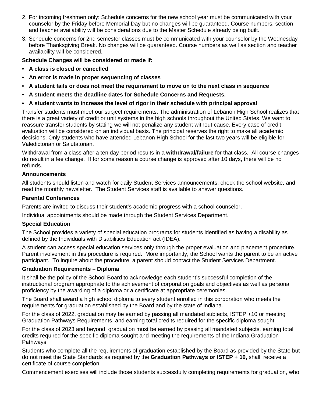- 2. For incoming freshmen only: Schedule concerns for the new school year must be communicated with your counselor by the Friday before Memorial Day but no changes will be guaranteed. Course numbers, section and teacher availability will be considerations due to the Master Schedule already being built.
- 3. Schedule concerns for 2nd semester classes must be communicated with your counselor by the Wednesday before Thanksgiving Break. No changes will be guaranteed. Course numbers as well as section and teacher availability will be considered.

## **Schedule Changes will be considered or made if:**

- **• A class is closed or cancelled**
- **• An error is made in proper sequencing of classes**
- **• A student fails or does not meet the requirement to move on to the next class in sequence**
- **• A student meets the deadline dates for Schedule Concerns and Requests.**
- **• A student wants to increase the level of rigor in their schedule with principal approval**

Transfer students must meet our subject requirements. The administration of Lebanon High School realizes that there is a great variety of credit or unit systems in the high schools throughout the United States. We want to reassure transfer students by stating we will not penalize any student without cause. Every case of credit evaluation will be considered on an individual basis. The principal reserves the right to make all academic decisions. Only students who have attended Lebanon High School for the last two years will be eligible for Valedictorian or Salutatorian.

Withdrawal from a class after a ten day period results in a **withdrawal/failure** for that class. All course changes do result in a fee change. If for some reason a course change is approved after 10 days, there will be no refunds.

#### **Announcements**

All students should listen and watch for daily Student Services announcements, check the school website, and read the monthly newsletter. The Student Services staff is available to answer questions.

#### **Parental Conferences**

Parents are invited to discuss their student's academic progress with a school counselor.

Individual appointments should be made through the Student Services Department.

#### **Special Education**

The School provides a variety of special education programs for students identified as having a disability as defined by the Individuals with Disabilities Education act (IDEA).

A student can access special education services only through the proper evaluation and placement procedure. Parent involvement in this procedure is required. More importantly, the School wants the parent to be an active participant. To inquire about the procedure, a parent should contact the Student Services Department.

#### **Graduation Requirements – Diploma**

It shall be the policy of the School Board to acknowledge each student's successful completion of the instructional program appropriate to the achievement of corporation goals and objectives as well as personal proficiency by the awarding of a diploma or a certificate at appropriate ceremonies.

The Board shall award a high school diploma to every student enrolled in this corporation who meets the requirements for graduation established by the Board and by the state of Indiana.

For the class of 2022, graduation may be earned by passing all mandated subjects, ISTEP +10 or meeting Graduation Pathways Requirements, and earning total credits required for the specific diploma sought.

For the class of 2023 and beyond, graduation must be earned by passing all mandated subjects, earning total credits required for the specific diploma sought and meeting the requirements of the Indiana Graduation Pathways.

Students who complete all the requirements of graduation established by the Board as provided by the State but do not meet the State Standards as required by the **Graduation Pathways or ISTEP + 10,** shall receive a certificate of course completion.

Commencement exercises will include those students successfully completing requirements for graduation, who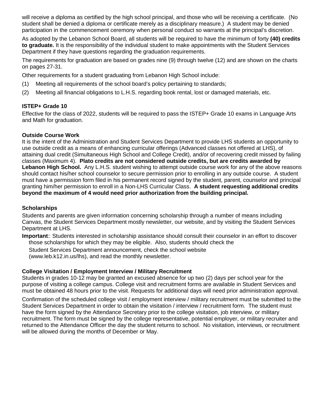will receive a diploma as certified by the high school principal, and those who will be receiving a certificate. (No student shall be denied a diploma or certificate merely as a disciplinary measure.) A student may be denied participation in the commencement ceremony when personal conduct so warrants at the principal's discretion.

As adopted by the Lebanon School Board, all students will be required to have the minimum of forty **(40) credits to graduate.** It is the responsibility of the individual student to make appointments with the Student Services Department if they have questions regarding the graduation requirements.

The requirements for graduation are based on grades nine (9) through twelve (12) and are shown on the charts on pages 27-31.

Other requirements for a student graduating from Lebanon High School include:

- (1) Meeting all requirements of the school board's policy pertaining to standards;
- (2) Meeting all financial obligations to L.H.S. regarding book rental, lost or damaged materials, etc.

# **ISTEP+ Grade 10**

Effective for the class of 2022, students will be required to pass the ISTEP+ Grade 10 exams in Language Arts and Math for graduation.

## **Outside Course Work**

It is the intent of the Administration and Student Services Department to provide LHS students an opportunity to use outside credit as a means of enhancing curricular offerings (Advanced classes not offered at LHS), of attaining dual credit (Simultaneous High School and College Credit), and/or of recovering credit missed by failing classes (Maximum 4). **Plato credits are not considered outside credits, but are credits awarded by Lebanon High School.** Any L.H.S. student wishing to attempt outside course work for any of the above reasons should contact his/her school counselor to secure permission prior to enrolling in any outside course. A student must have a permission form filed in his permanent record signed by the student, parent, counselor and principal granting him/her permission to enroll in a Non-LHS Curricular Class. **A student requesting additional credits beyond the maximum of 4 would need prior authorization from the building principal.**

#### **Scholarships**

Students and parents are given information concerning scholarship through a number of means including Canvas, the Student Services Department mostly newsletter, our website, and by visiting the Student Services Department at LHS.

**Important**:: Students interested in scholarship assistance should consult their counselor in an effort to discover those scholarships for which they may be eligible. Also, students should check the

Student Services Department announcement, check the school website

(www.leb.k12.in.us/lhs), and read the monthly newsletter.

#### **College Visitation / Employment Interview / Military Recruitment**

Students in grades 10-12 may be granted an excused absence for up two (2) days per school year for the purpose of visiting a college campus. College visit and recruitment forms are available in Student Services and must be obtained 48 hours prior to the visit. Requests for additional days will need prior administration approval.

Confirmation of the scheduled college visit / employment interview / military recruitment must be submitted to the Student Services Department in order to obtain the visitation / interview / recruitment form. The student must have the form signed by the Attendance Secretary prior to the college visitation, job interview, or military recruitment. The form must be signed by the college representative, potential employer, or military recruiter and returned to the Attendance Officer the day the student returns to school. No visitation, interviews, or recruitment will be allowed during the months of December or May.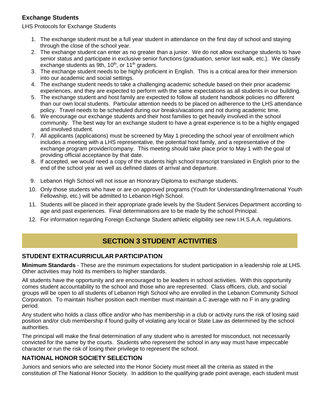### **Exchange Students**

LHS Protocols for Exchange Students

- 1. The exchange student must be a full year student in attendance on the first day of school and staying through the close of the school year.
- 2. The exchange student can enter as no greater than a junior. We do not allow exchange students to have senior status and participate in exclusive senior functions (graduation, senior last walk, etc.). We classify exchange students as 9th,  $10<sup>th</sup>$ , or  $11<sup>th</sup>$  graders.
- 3. The exchange student needs to be highly proficient in English. This is a critical area for their immersion into our academic and social settings.
- 4. The exchange student needs to take a challenging academic schedule based on their prior academic experiences, and they are expected to perform with the same expectations as all students in our building.
- 5. The exchange student and host family are expected to follow all student handbook policies no different than our own local students. Particular attention needs to be placed on adherence to the LHS attendance policy. Travel needs to be scheduled during our breaks/vacations and not during academic time.
- 6. We encourage our exchange students and their host families to get heavily involved in the school community. The best way for an exchange student to have a great experience is to be a highly engaged and involved student.
- 7. All applicants (applications) must be screened by May 1 preceding the school year of enrollment which includes a meeting with a LHS representative, the potential host family, and a representative of the exchange program provider/company. This meeting should take place prior to May 1 with the goal of providing official acceptance by that date.
- 8. If accepted, we would need a copy of the students high school transcript translated in English prior to the end of the school year as well as defined dates of arrival and departure.
- 9. Lebanon High School will not issue an Honorary Diploma to exchange students.
- 10. Only those students who have or are on approved programs (Youth for Understanding/International Youth Fellowship, etc.) will be admitted to Lebanon High School.
- 11. Students will be placed in their appropriate grade levels by the Student Services Department according to age and past experiences. Final determinations are to be made by the school Principal.
- 12. For information regarding Foreign Exchange Student athletic eligibility see new I.H.S.A.A. regulations.

# **SECTION 3 STUDENT ACTIVITIES**

#### **STUDENT EXTRACURRICULAR PARTICIPATION**

**Minimum Standards** - These are the minimum expectations for student participation in a leadership role at LHS. Other activities may hold its members to higher standards.

All students have the opportunity and are encouraged to be leaders in school activities. With this opportunity comes student accountability to the school and those who are represented. Class officers, club, and social groups will be open to all students of Lebanon High School who are enrolled in the Lebanon Community School Corporation. To maintain his/her position each member must maintain a C average with no F in any grading period.

Any student who holds a class office and/or who has membership in a club or activity runs the risk of losing said position and/or club membership if found guilty of violating any local or State Law as determined by the school authorities.

The principal will make the final determination of any student who is arrested for misconduct, not necessarily convicted for the same by the courts. Students who represent the school in any way must have impeccable character or run the risk of losing their privilege to represent the school.

#### **NATIONAL HONOR SOCIETY SELECTION**

Juniors and seniors who are selected into the Honor Society must meet all the criteria as stated in the constitution of The National Honor Society. In addition to the qualifying grade point average, each student must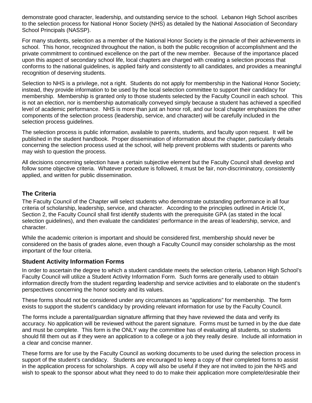demonstrate good character, leadership, and outstanding service to the school. Lebanon High School ascribes to the selection process for National Honor Society (NHS) as detailed by the National Association of Secondary School Principals (NASSP).

For many students, selection as a member of the National Honor Society is the pinnacle of their achievements in school. This honor, recognized throughout the nation, is both the public recognition of accomplishment and the private commitment to continued excellence on the part of the new member. Because of the importance placed upon this aspect of secondary school life, local chapters are charged with creating a selection process that conforms to the national guidelines, is applied fairly and consistently to all candidates, and provides a meaningful recognition of deserving students.

Selection to NHS is a privilege, not a right. Students do not apply for membership in the National Honor Society; instead, they provide information to be used by the local selection committee to support their candidacy for membership. Membership is granted only to those students selected by the Faculty Council in each school. This is not an election, nor is membership automatically conveyed simply because a student has achieved a specified level of academic performance. NHS is more than just an honor roll, and our local chapter emphasizes the other components of the selection process (leadership, service, and character) will be carefully included in the selection process guidelines.

The selection process is public information, available to parents, students, and faculty upon request. It will be published in the student handbook. Proper dissemination of information about the chapter, particularly details concerning the selection process used at the school, will help prevent problems with students or parents who may wish to question the process.

All decisions concerning selection have a certain subjective element but the Faculty Council shall develop and follow some objective criteria. Whatever procedure is followed, it must be fair, non-discriminatory, consistently applied, and written for public dissemination.

#### **The Criteria**

The Faculty Council of the Chapter will select students who demonstrate outstanding performance in all four criteria of scholarship, leadership, service, and character. According to the principles outlined in Article IX, Section 2, the Faculty Council shall first identify students with the prerequisite GPA (as stated in the local selection guidelines), and then evaluate the candidates' performance in the areas of leadership, service, and character.

While the academic criterion is important and should be considered first, membership should never be considered on the basis of grades alone, even though a Faculty Council may consider scholarship as the most important of the four criteria.

#### **Student Activity Information Forms**

In order to ascertain the degree to which a student candidate meets the selection criteria, Lebanon High School's Faculty Council will utilize a Student Activity Information Form. Such forms are generally used to obtain information directly from the student regarding leadership and service activities and to elaborate on the student's perspectives concerning the honor society and its values.

These forms should not be considered under any circumstances as "applications" for membership. The form exists to support the student's candidacy by providing relevant information for use by the Faculty Council.

The forms include a parental/guardian signature affirming that they have reviewed the data and verify its accuracy. No application will be reviewed without the parent signature. Forms must be turned in by the due date and must be complete. This form is the ONLY way the committee has of evaluating all students, so students should fill them out as if they were an application to a college or a job they really desire. Include all information in a clear and concise manner.

These forms are for use by the Faculty Council as working documents to be used during the selection process in support of the student's candidacy. Students are encouraged to keep a copy of their completed forms to assist in the application process for scholarships. A copy will also be useful if they are not invited to join the NHS and wish to speak to the sponsor about what they need to do to make their application more complete/desirable their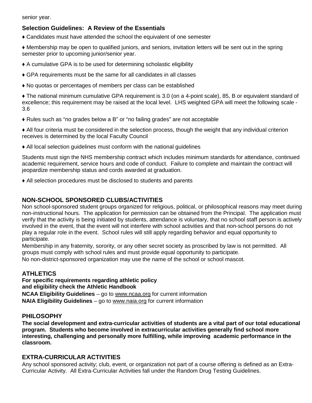senior year.

### **Selection Guidelines: A Review of the Essentials**

♦ Candidates must have attended the school the equivalent of one semester

♦ Membership may be open to qualified juniors, and seniors, invitation letters will be sent out in the spring semester prior to upcoming junior/senior year.

- ♦ A cumulative GPA is to be used for determining scholastic eligibility
- ♦ GPA requirements must be the same for all candidates in all classes
- ♦ No quotas or percentages of members per class can be established

♦ The national minimum cumulative GPA requirement is 3.0 (on a 4-point scale), 85, B or equivalent standard of excellence; this requirement may be raised at the local level. LHS weighted GPA will meet the following scale - 3.6

♦ Rules such as "no grades below a B" or "no failing grades" are not acceptable

♦ All four criteria must be considered in the selection process, though the weight that any individual criterion receives is determined by the local Faculty Council

♦ All local selection guidelines must conform with the national guidelines

Students must sign the NHS membership contract which includes minimum standards for attendance, continued academic requirement, service hours and code of conduct. Failure to complete and maintain the contract will jeopardize membership status and cords awarded at graduation.

♦ All selection procedures must be disclosed to students and parents

#### **NON-SCHOOL SPONSORED CLUBS/ACTIVITIES**

Non school-sponsored student groups organized for religious, political, or philosophical reasons may meet during non-instructional hours. The application for permission can be obtained from the Principal. The application must verify that the activity is being initiated by students, attendance is voluntary, that no school staff person is actively involved in the event, that the event will not interfere with school activities and that non-school persons do not play a regular role in the event. School rules will still apply regarding behavior and equal opportunity to participate.

Membership in any fraternity, sorority, or any other secret society as proscribed by law is not permitted. All groups must comply with school rules and must provide equal opportunity to participate.

No non-district-sponsored organization may use the name of the school or school mascot.

#### **ATHLETICS**

**For specific requirements regarding athletic policy and eligibility check the Athletic Handbook NCAA Eligibility Guidelines** – go to www.ncaa.org for current information **NAIA Eligibility Guidelines** – go to www.naia.org for current information

#### **PHILOSOPHY**

**The social development and extra-curricular activities of students are a vital part of our total educational program. Students who become involved in extracurricular activities generally find school more interesting, challenging and personally more fulfilling, while improving academic performance in the classroom.**

#### **EXTRA-CURRICULAR ACTIVITIES**

Any school sponsored activity; club, event, or organization not part of a course offering is defined as an Extra-Curricular Activity. All Extra-Curricular Activities fall under the Random Drug Testing Guidelines.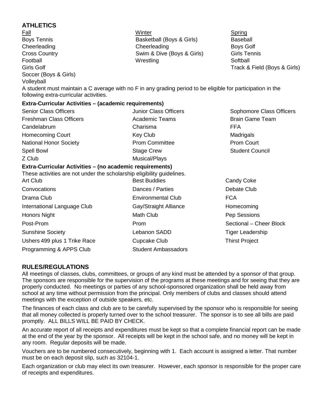| <b>ATHLETICS</b>                                                                                                                                      |                              |                              |
|-------------------------------------------------------------------------------------------------------------------------------------------------------|------------------------------|------------------------------|
| Fall                                                                                                                                                  | Winter                       | Spring                       |
| <b>Boys Tennis</b>                                                                                                                                    | Basketball (Boys & Girls)    | Baseball                     |
| Cheerleading                                                                                                                                          | Cheerleading                 | <b>Boys Golf</b>             |
| <b>Cross Country</b>                                                                                                                                  | Swim & Dive (Boys & Girls)   | <b>Girls Tennis</b>          |
| Football                                                                                                                                              | Wrestling                    | Softball                     |
| <b>Girls Golf</b>                                                                                                                                     |                              | Track & Field (Boys & Girls) |
| Soccer (Boys & Girls)<br>Volleyball                                                                                                                   |                              |                              |
| A student must maintain a C average with no F in any grading period to be eligible for participation in the<br>following extra-curricular activities. |                              |                              |
| Extra-Curricular Activities - (academic requirements)                                                                                                 |                              |                              |
| <b>Senior Class Officers</b>                                                                                                                          | <b>Junior Class Officers</b> | Sophomore Class Officers     |
| <b>Freshman Class Officers</b>                                                                                                                        | <b>Academic Teams</b>        | <b>Brain Game Team</b>       |
| Candelabrum                                                                                                                                           | Charisma                     | <b>FFA</b>                   |
| <b>Homecoming Court</b>                                                                                                                               | <b>Key Club</b>              | Madrigals                    |
| <b>National Honor Society</b>                                                                                                                         | <b>Prom Committee</b>        | <b>Prom Court</b>            |
| Spell Bowl                                                                                                                                            | <b>Stage Crew</b>            | <b>Student Council</b>       |
| Z Club                                                                                                                                                | Musical/Plays                |                              |
| Extra-Curricular Activities - (no academic requirements)                                                                                              |                              |                              |
| These activities are not under the scholarship eligibility guidelines.                                                                                |                              |                              |
| Art Club                                                                                                                                              | <b>Best Buddies</b>          | <b>Candy Coke</b>            |
| Convocations                                                                                                                                          | Dances / Parties             | Debate Club                  |
| Drama Club                                                                                                                                            | <b>Environmental Club</b>    | <b>FCA</b>                   |
| International Language Club                                                                                                                           | Gay/Straight Alliance        | Homecoming                   |
| <b>Honors Night</b>                                                                                                                                   | Math Club                    | Pep Sessions                 |
| Post-Prom                                                                                                                                             | Prom                         | Sectional - Cheer Block      |
| <b>Sunshine Society</b>                                                                                                                               | Lebanon SADD                 | <b>Tiger Leadership</b>      |
| Ushers 499 plus 1 Trike Race                                                                                                                          | <b>Cupcake Club</b>          | <b>Thirst Project</b>        |
| Programming & APPS Club                                                                                                                               | <b>Student Ambassadors</b>   |                              |

#### **RULES/REGULATIONS**

All meetings of classes, clubs, committees, or groups of any kind must be attended by a sponsor of that group. The sponsors are responsible for the supervision of the programs at these meetings and for seeing that they are properly conducted. No meetings or parties of any school-sponsored organization shall be held away from school at any time without permission from the principal. Only members of clubs and classes should attend meetings with the exception of outside speakers, etc.

The finances of each class and club are to be carefully supervised by the sponsor who is responsible for seeing that all money collected is properly turned over to the school treasurer. The sponsor is to see all bills are paid promptly. ALL BILLS WILL BE PAID BY CHECK.

An accurate report of all receipts and expenditures must be kept so that a complete financial report can be made at the end of the year by the sponsor. All receipts will be kept in the school safe, and no money will be kept in any room. Regular deposits will be made.

Vouchers are to be numbered consecutively, beginning with 1. Each account is assigned a letter. That number must be on each deposit slip, such as 32104-1.

Each organization or club may elect its own treasurer. However, each sponsor is responsible for the proper care of receipts and expenditures.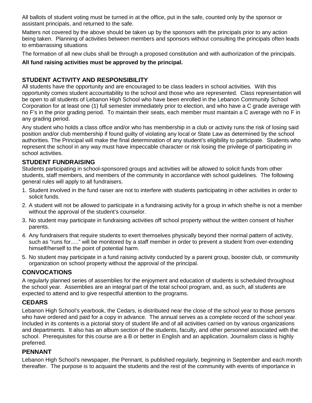All ballots of student voting must be turned in at the office, put in the safe, counted only by the sponsor or assistant principals, and returned to the safe.

Matters not covered by the above should be taken up by the sponsors with the principals prior to any action being taken. Planning of activities between members and sponsors without consulting the principals often leads to embarrassing situations

The formation of all new clubs shall be through a proposed constitution and with authorization of the principals.

#### **All fund raising activities must be approved by the principal.**

### **STUDENT ACTIVITY AND RESPONSIBILITY**

All students have the opportunity and are encouraged to be class leaders in school activities. With this opportunity comes student accountability to the school and those who are represented. Class representation will be open to all students of Lebanon High School who have been enrolled in the Lebanon Community School Corporation for at least one (1) full semester immediately prior to election, and who have a C grade average with no F's in the prior grading period. To maintain their seats, each member must maintain a C average with no F in any grading period.

Any student who holds a class office and/or who has membership in a club or activity runs the risk of losing said position and/or club membership if found guilty of violating any local or State Law as determined by the school authorities. The Principal will make the final determination of any student's eligibility to participate. Students who represent the school in any way must have impeccable character or risk losing the privilege of participating in school activities.

### **STUDENT FUNDRAISING**

Students participating in school-sponsored groups and activities will be allowed to solicit funds from other students, staff members, and members of the community in accordance with school guidelines. The following general rules will apply to all fundraisers.

- 1. Student involved in the fund raiser are not to interfere with students participating in other activities in order to solicit funds.
- 2. A student will not be allowed to participate in a fundraising activity for a group in which she/he is not a member without the approval of the student's counselor.
- 3. No student may participate in fundraising activities off school property without the written consent of his/her parents.
- 4. Any fundraisers that require students to exert themselves physically beyond their normal pattern of activity, such as "runs for....." will be monitored by a staff member in order to prevent a student from over-extending himself/herself to the point of potential harm.
- 5. No student may participate in a fund raising activity conducted by a parent group, booster club, or community organization on school property without the approval of the principal.

### **CONVOCATIONS**

A regularly planned series of assemblies for the enjoyment and education of students is scheduled throughout the school year. Assemblies are an integral part of the total school program, and, as such, all students are expected to attend and to give respectful attention to the programs.

### **CEDARS**

Lebanon High School's yearbook, the Cedars, is distributed near the close of the school year to those persons who have ordered and paid for a copy in advance. The annual serves as a complete record of the school year. Included in its contents is a pictorial story of student life and of all activities carried on by various organizations and departments. It also has an album section of the students, faculty, and other personnel associated with the school. Prerequisites for this course are a B or better in English and an application. Journalism class is highly preferred.

#### **PENNANT**

Lebanon High School's newspaper, the Pennant, is published regularly, beginning in September and each month thereafter. The purpose is to acquaint the students and the rest of the community with events of importance in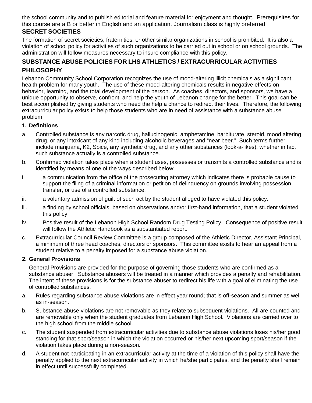the school community and to publish editorial and feature material for enjoyment and thought. Prerequisites for this course are a B or better in English and an application. Journalism class is highly preferred.

## **SECRET SOCIETIES**

The formation of secret societies, fraternities, or other similar organizations in school is prohibited. It is also a violation of school policy for activities of such organizations to be carried out in school or on school grounds. The administration will follow measures necessary to insure compliance with this policy.

### **SUBSTANCE ABUSE POLICIES FOR LHS ATHLETICS / EXTRACURRICULAR ACTIVITIES PHILOSOPHY**

Lebanon Community School Corporation recognizes the use of mood-altering illicit chemicals as a significant health problem for many youth. The use of these mood-altering chemicals results in negative effects on behavior, learning, and the total development of the person. As coaches, directors, and sponsors, we have a unique opportunity to observe, confront, and help the youth of Lebanon change for the better. This goal can be best accomplished by giving students who need the help a chance to redirect their lives. Therefore, the following extracurricular policy exists to help those students who are in need of assistance with a substance abuse problem.

#### **1. Definitions**

- a. Controlled substance is any narcotic drug, hallucinogenic, amphetamine, barbiturate, steroid, mood altering drug, or any intoxicant of any kind including alcoholic beverages and "near beer." Such terms further include marijuana**,** K2, Spice, any synthetic drug**,** and any other substances (look-a-likes), whether in fact such substance actually is a controlled substance.
- b. Confirmed violation takes place when a student uses, possesses or transmits a controlled substance and is identified by means of one of the ways described below:
- i. a communication from the office of the prosecuting attorney which indicates there is probable cause to support the filing of a criminal information or petition of delinquency on grounds involving possession, transfer, or use of a controlled substance.
- ii. a voluntary admission of guilt of such act by the student alleged to have violated this policy.
- iii. a finding by school officials, based on observations and/or first-hand information, that a student violated this policy.
- iv. Positive result of the Lebanon High School Random Drug Testing Policy. Consequence of positive result will follow the Athletic Handbook as a substantiated report.
- c. Extracurricular Council Review Committee is a group composed of the Athletic Director, Assistant Principal, a minimum of three head coaches, directors or sponsors. This committee exists to hear an appeal from a student relative to a penalty imposed for a substance abuse violation.

#### **2. General Provisions**

General Provisions are provided for the purpose of governing those students who are confirmed as a substance abuser. Substance abusers will be treated in a manner which provides a penalty and rehabilitation. The intent of these provisions is for the substance abuser to redirect his life with a goal of eliminating the use of controlled substances.

- a. Rules regarding substance abuse violations are in effect year round; that is off-season and summer as well as in-season.
- b. Substance abuse violations are not removable as they relate to subsequent violations. All are counted and are removable only when the student graduates from Lebanon High School. Violations are carried over to the high school from the middle school.
- c. The student suspended from extracurricular activities due to substance abuse violations loses his/her good standing for that sport/season in which the violation occurred or his/her next upcoming sport/season if the violation takes place during a non-season.
- d. A student not participating in an extracurricular activity at the time of a violation of this policy shall have the penalty applied to the next extracurricular activity in which he/she participates, and the penalty shall remain in effect until successfully completed.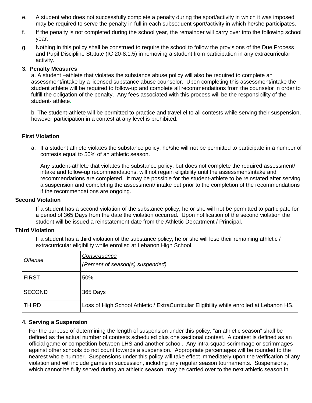- e. A student who does not successfully complete a penalty during the sport/activity in which it was imposed may be required to serve the penalty in full in each subsequent sport/activity in which he/she participates.
- f. If the penalty is not completed during the school year, the remainder will carry over into the following school year.
- g. Nothing in this policy shall be construed to require the school to follow the provisions of the Due Process and Pupil Discipline Statute (IC 20-8.1.5) in removing a student from participation in any extracurricular activity.

#### **3. Penalty Measures**

a. A student –athlete that violates the substance abuse policy will also be required to complete an assessment/intake by a licensed substance abuse counselor. Upon completing this assessment/intake the student athlete will be required to follow-up and complete all recommendations from the counselor in order to fulfill the obligation of the penalty. Any fees associated with this process will be the responsibility of the student- athlete.

b. The student-athlete will be permitted to practice and travel el to all contests while serving their suspension, however participation in a contest at any level is prohibited.

#### **First Violation**

a. If a student athlete violates the substance policy, he/she will not be permitted to participate in a number of contests equal to 50% of an athletic season.

Any student-athlete that violates the substance policy, but does not complete the required assessment/ intake and follow-up recommendations, will not regain eligibility until the assessment/intake and recommendations are completed. It may be possible for the student-athlete to be reinstated after serving a suspension and completing the assessment/ intake but prior to the completion of the recommendations if the recommendations are ongoing.

#### **Second Violation**

If a student has a second violation of the substance policy, he or she will not be permitted to participate for a period of 365 Days from the date the violation occurred. Upon notification of the second violation the student will be issued a reinstatement date from the Athletic Department / Principal.

#### **Third Violation**

If a student has a third violation of the substance policy, he or she will lose their remaining athletic / extracurricular eligibility while enrolled at Lebanon High School.

| Offense       | Consequence<br>(Percent of season(s) suspended)                                          |
|---------------|------------------------------------------------------------------------------------------|
| <b>FIRST</b>  | 50%                                                                                      |
| <b>SECOND</b> | 365 Days                                                                                 |
| <b>THIRD</b>  | Loss of High School Athletic / ExtraCurricular Eligibility while enrolled at Lebanon HS. |

#### **4. Serving a Suspension**

For the purpose of determining the length of suspension under this policy, "an athletic season" shall be defined as the actual number of contests scheduled plus one sectional contest. A contest is defined as an official game or competition between LHS and another school. Any intra-squad scrimmage or scrimmages against other schools do not count towards a suspension. Appropriate percentages will be rounded to the nearest whole number. Suspensions under this policy will take effect immediately upon the verification of any violation and will include games in succession, including any regular season tournaments. Suspensions, which cannot be fully served during an athletic season, may be carried over to the next athletic season in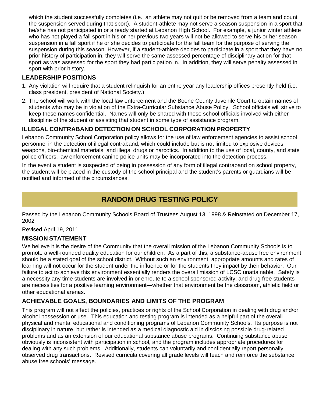which the student successfully completes (i.e., an athlete may not quit or be removed from a team and count the suspension served during that sport). A student-athlete may not serve a season suspension in a sport that he/she has not participated in or already started at Lebanon High School. For example, a junior winter athlete who has not played a fall sport in his or her previous two years will not be allowed to serve his or her season suspension in a fall sport if he or she decides to participate for the fall team for the purpose of serving the suspension during this season. However, if a student-athlete decides to participate in a sport that they have no prior history of participation in, they will serve the same assessed percentage of disciplinary action for that sport as was assessed for the sport they had participation in. In addition, they will serve penalty assessed in sport with prior history.

### **LEADERSHIP POSITIONS**

- 1. Any violation will require that a student relinquish for an entire year any leadership offices presently held (i.e. class president, president of National Society.)
- 2. The school will work with the local law enforcement and the Boone County Juvenile Court to obtain names of students who may be in violation of the Extra-Curricular Substance Abuse Policy. School officials will strive to keep these names confidential. Names will only be shared with those school officials involved with either discipline of the student or assisting that student in some type of assistance program.

## **ILLEGAL CONTRABAND DETECTION ON SCHOOL CORPORATION PROPERTY**

Lebanon Community School Corporation policy allows for the use of law enforcement agencies to assist school personnel in the detection of illegal contraband, which could include but is not limited to explosive devices, weapons, bio-chemical materials, and illegal drugs or narcotics. In addition to the use of local, county, and state police officers, law enforcement canine police units may be incorporated into the detection process.

In the event a student is suspected of being in possession of any form of illegal contraband on school property, the student will be placed in the custody of the school principal and the student's parents or guardians will be notified and informed of the circumstances.

# **RANDOM DRUG TESTING POLICY**

Passed by the Lebanon Community Schools Board of Trustees August 13, 1998 & Reinstated on December 17, 2002

Revised April 19, 2011

### **MISSION STATEMENT**

We believe it is the desire of the Community that the overall mission of the Lebanon Community Schools is to promote a well-rounded quality education for our children. As a part of this, a substance-abuse free environment should be a stated goal of the school district. Without such an environment, appropriate amounts and rates of learning will not occur for the student under the influence or for the students they impact by their behavior. Our failure to act to achieve this environment essentially renders the overall mission of LCSC unattainable. Safety is a necessity any time students are involved in or enroute to a school sponsored activity; and drug free students are necessities for a positive learning environment—whether that environment be the classroom, athletic field or other educational arenas.

### **ACHIEVABLE GOALS, BOUNDARIES AND LIMITS OF THE PROGRAM**

This program will not affect the policies, practices or rights of the School Corporation in dealing with drug and/or alcohol possession or use. This education and testing program is intended as a helpful part of the overall physical and mental educational and conditioning programs of Lebanon Community Schools. Its purpose is not disciplinary in nature, but rather is intended as a medical diagnostic aid in disclosing possible drug-related problems and as an extension of our educational substance abuse programs. Continuing substance abuse obviously is inconsistent with participation in school, and the program includes appropriate procedures for dealing with any such problems. Additionally, students can voluntarily and confidentially report personally observed drug transactions. Revised curricula covering all grade levels will teach and reinforce the substance abuse free schools' message.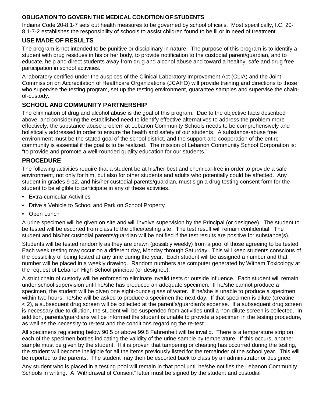### **OBLIGATION TO GOVERN THE MEDICAL CONDITION OF STUDENTS**

Indiana Code 20-8.1-7 sets out health measures to be governed by school officials. Most specifically, I.C. 20- 8.1-7-2 establishes the responsibility of schools to assist children found to be ill or in need of treatment.

## **USE MADE OF RESULTS**

The program is not intended to be punitive or disciplinary in nature. The purpose of this program is to identify a student with drug residues in his or her body, to provide notification to the custodial parent/guardian, and to educate, help and direct students away from drug and alcohol abuse and toward a healthy, safe and drug free participation in school activities.

A laboratory certified under the auspices of the Clinical Laboratory Improvement Act (CLIA) and the Joint Commission on Accreditation of Healthcare Organizations (JCAHO) will provide training and directions to those who supervise the testing program, set up the testing environment, guarantee samples and supervise the chainof-custody.

## **SCHOOL AND COMMUNITY PARTNERSHIP**

The elimination of drug and alcohol abuse is the goal of this program. Due to the objective facts described above, and considering the established need to identify effective alternatives to address the problem more effectively, the substance abuse problem at Lebanon Community Schools needs to be comprehensively and holistically addressed in order to ensure the health and safety of our students. A substance-abuse free environment must be the stated goal of the school district, and the support and cooperation of the entire community is essential if the goal is to be realized. The mission of Lebanon Community School Corporation is: "to provide and promote a well-rounded quality education for our students."

## **PROCEDURE**

The following activities require that a student be at his/her best and chemical-free in order to provide a safe environment, not only for him, but also for other students and adults who potentially could be affected. Any student in grades 9-12, and his/her custodial parents/guardian, must sign a drug testing consent form for the student to be eligible to participate in any of these activities.

- Extra-curricular Activities
- Drive a Vehicle to School and Park on School Property
- Open Lunch

A urine specimen will be given on site and will involve supervision by the Principal (or designee). The student to be tested will be escorted from class to the office/testing site. The test result will remain confidential. The student and his/her custodial parents/guardian will be notified if the test results are positive for substance(s).

Students will be tested randomly as they are drawn (possibly weekly) from a pool of those agreeing to be tested. Each week testing may occur on a different day, Monday through Saturday. This will keep students conscious of the possibility of being tested at any time during the year. Each student will be assigned a number and that number will be placed in a weekly drawing. Random numbers are computer generated by Witham Toxicology at the request of Lebanon High School principal (or designee).

A strict chain of custody will be enforced to eliminate invalid tests or outside influence. Each student will remain under school supervision until he/she has produced an adequate specimen. If he/she cannot produce a specimen, the student will be given one eight-ounce glass of water. If he/she is unable to produce a specimen within two hours, he/she will be asked to produce a specimen the next day. If that specimen is dilute (creatine <.2), a subsequent drug screen will be collected at the parent's/guardian's expense. If a subsequent drug screen is necessary due to dilution, the student will be suspended from activities until a non-dilute screen is collected. In addition, parents/guardians will be informed the student is unable to provide a specimen in the testing procedure, as well as the necessity to re-test and the conditions regarding the re-test.

All specimens registering below 90.5 or above 99.8 Fahrenheit will be invalid. There is a temperature strip on each of the specimen bottles indicating the validity of the urine sample by temperature. If this occurs, another sample must be given by the student. If it is proven that tampering or cheating has occurred during the testing, the student will become ineligible for all the items previously listed for the remainder of the school year. This will be reported to the parents. The student may then be escorted back to class by an administrator or designee.

Any student who is placed in a testing pool will remain in that pool until he/she notifies the Lebanon Community Schools in writing. A "Withdrawal of Consent" letter must be signed by the student and custodial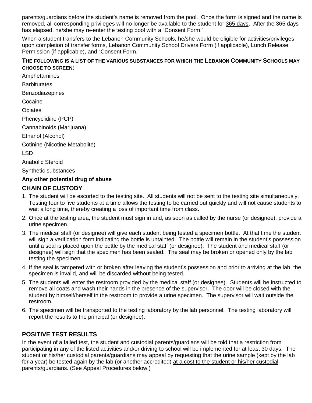parents/guardians before the student's name is removed from the pool. Once the form is signed and the name is removed, all corresponding privileges will no longer be available to the student for 365 days. After the 365 days has elapsed, he/she may re-enter the testing pool with a "Consent Form."

When a student transfers to the Lebanon Community Schools, he/she would be eligible for activities/privileges upon completion of transfer forms, Lebanon Community School Drivers Form (if applicable), Lunch Release Permission (if applicable), and "Consent Form."

#### **THE FOLLOWING IS A LIST OF THE VARIOUS SUBSTANCES FOR WHICH THE LEBANON COMMUNITY SCHOOLS MAY CHOOSE TO SCREEN:**

Amphetamines

**Barbiturates** 

Benzodiazepines

Cocaine

**Opiates** 

Phencyclidine (PCP)

Cannabinoids (Marijuana)

Ethanol (Alcohol)

Cotinine (Nicotine Metabolite)

LSD

Anabolic Steroid

Synthetic substances

### **Any other potential drug of abuse**

### **CHAIN OF CUSTODY**

- 1. The student will be escorted to the testing site. All students will not be sent to the testing site simultaneously. Testing four to five students at a time allows the testing to be carried out quickly and will not cause students to wait a long time, thereby creating a loss of important time from class.
- 2. Once at the testing area, the student must sign in and, as soon as called by the nurse (or designee), provide a urine specimen.
- 3. The medical staff (or designee) will give each student being tested a specimen bottle. At that time the student will sign a verification form indicating the bottle is untainted. The bottle will remain in the student's possession until a seal is placed upon the bottle by the medical staff (or designee). The student and medical staff (or designee) will sign that the specimen has been sealed. The seal may be broken or opened only by the lab testing the specimen.
- 4. If the seal is tampered with or broken after leaving the student's possession and prior to arriving at the lab, the specimen is invalid, and will be discarded without being tested.
- 5. The students will enter the restroom provided by the medical staff (or designee). Students will be instructed to remove all coats and wash their hands in the presence of the supervisor. The door will be closed with the student by himself/herself in the restroom to provide a urine specimen. The supervisor will wait outside the restroom.
- 6. The specimen will be transported to the testing laboratory by the lab personnel. The testing laboratory will report the results to the principal (or designee).

## **POSITIVE TEST RESULTS**

In the event of a failed test, the student and custodial parents/guardians will be told that a restriction from participating in any of the listed activities and/or driving to school will be implemented for at least 30 days. The student or his/her custodial parents/guardians may appeal by requesting that the urine sample (kept by the lab for a year) be tested again by the lab (or another accredited) at a cost to the student or his/her custodial parents/guardians. (See Appeal Procedures below.)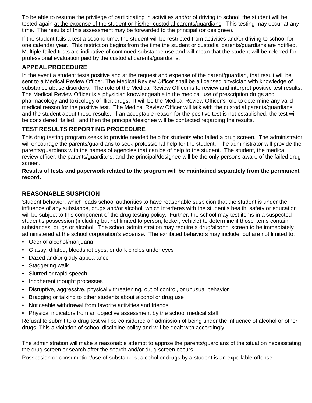To be able to resume the privilege of participating in activities and/or of driving to school, the student will be tested again at the expense of the student or his/her custodial parents/guardians. This testing may occur at any time. The results of this assessment may be forwarded to the principal (or designee).

If the student fails a test a second time, the student will be restricted from activities and/or driving to school for one calendar year. This restriction begins from the time the student or custodial parents/guardians are notified. Multiple failed tests are indicative of continued substance use and will mean that the student will be referred for professional evaluation paid by the custodial parents/guardians.

## **APPEAL PROCEDURE**

In the event a student tests positive and at the request and expense of the parent/guardian, that result will be sent to a Medical Review Officer. The Medical Review Officer shall be a licensed physician with knowledge of substance abuse disorders. The role of the Medical Review Officer is to review and interpret positive test results. The Medical Review Officer is a physician knowledgeable in the medical use of prescription drugs and pharmacology and toxicology of illicit drugs. It will be the Medical Review Officer's role to determine any valid medical reason for the positive test. The Medical Review Officer will talk with the custodial parents/guardians and the student about these results. If an acceptable reason for the positive test is not established, the test will be considered "failed," and then the principal/designee will be contacted regarding the results.

## **TEST RESULTS REPORTING PROCEDURE**

This drug testing program seeks to provide needed help for students who failed a drug screen. The administrator will encourage the parents/guardians to seek professional help for the student. The administrator will provide the parents/guardians with the names of agencies that can be of help to the student. The student, the medical review officer, the parents/guardians, and the principal/designee will be the only persons aware of the failed drug screen.

#### **Results of tests and paperwork related to the program will be maintained separately from the permanent record.**

### **REASONABLE SUSPICION**

Student behavior, which leads school authorities to have reasonable suspicion that the student is under the influence of any substance, drugs and/or alcohol, which interferes with the student's health, safety or education will be subject to this component of the drug testing policy. Further, the school may test items in a suspected student's possession (including but not limited to person, locker, vehicle) to determine if those items contain substances, drugs or alcohol. The school administration may require a drug/alcohol screen to be immediately administered at the school corporation's expense. The exhibited behaviors may include, but are not limited to:

- Odor of alcohol/marijuana
- Glassy, dilated, bloodshot eyes, or dark circles under eyes
- Dazed and/or giddy appearance
- Staggering walk
- Slurred or rapid speech
- Incoherent thought processes
- Disruptive, aggressive, physically threatening, out of control, or unusual behavior
- Bragging or talking to other students about alcohol or drug use
- Noticeable withdrawal from favorite activities and friends
- Physical indicators from an objective assessment by the school medical staff

Refusal to submit to a drug test will be considered an admission of being under the influence of alcohol or other drugs. This a violation of school discipline policy and will be dealt with accordingly.

The administration will make a reasonable attempt to apprise the parents/guardians of the situation necessitating the drug screen or search after the search and/or drug screen occurs.

Possession or consumption/use of substances, alcohol or drugs by a student is an expellable offense.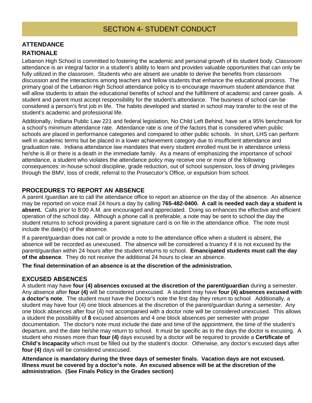## **ATTENDANCE RATIONALE**

Lebanon High School is committed to fostering the academic and personal growth of its student body. Classroom attendance is an integral factor in a student's ability to learn and provides valuable opportunities that can only be fully utilized in the classroom. Students who are absent are unable to derive the benefits from classroom discussion and the interactions among teachers and fellow students that enhance the educational process. The primary goal of the Lebanon High School attendance policy is to encourage maximum student attendance that will allow students to attain the educational benefits of school and the fulfillment of academic and career goals. A student and parent must accept responsibility for the student's attendance. The business of school can be considered a person's first job in life. The habits developed and started in school may transfer to the rest of the student's academic and professional life.

Additionally, Indiana Public Law 221 and federal legislation, No Child Left Behind, have set a 95% benchmark for a school's minimum attendance rate. Attendance rate is one of the factors that is considered when public schools are placed in performance categories and compared to other public schools. In short, LHS can perform well in academic terms but be placed in a lower achievement category due to insufficient attendance and graduation rate. Indiana attendance law mandates that every student enrolled must be in attendance unless he/she is ill or there is a death in the immediate family. As a means of emphasizing the importance of school attendance, a student who violates the attendance policy may receive one or more of the following consequences: in-house school discipline, grade reduction, out of school suspension, loss of driving privileges through the BMV, loss of credit, referral to the Prosecutor's Office, or expulsion from school.

## **PROCEDURES TO REPORT AN ABSENCE**

A parent /guardian are to call the attendance office to report an absence on the day of the absence. An absence may be reported on voice mail 24 hours a day by calling **765-482-0400. A call is needed each day a student is absent.** Calls prior to 8:00 A.M. are encouraged and appreciated. Doing so enhances the effective and efficient operation of the school day. Although a phone call is preferable, a note may be sent to school the day the student returns to school providing a parent signature card is on file in the attendance office. The note must include the date(s) of the absence.

If a parent/guardian does not call or provide a note to the attendance office when a student is absent, the absence will be recorded as unexcused. The absence will be considered a truancy if it is not excused by the parent/guardian within 24 hours after the student returns to school. **Emancipated students must call the day of the absence**. They do not receive the additional 24 hours to clear an absence.

**The final determination of an absence is at the discretion of the administration.**

### **EXCUSED ABSENCES**

A student may have **four (4) absences excused at the discretion of the parent/guardian** during a semester. Any absence after **four (4)** will be considered unexcused. A student may have **four (4) absences excused with a doctor's note**. The student must have the Doctor's note the first day they return to school. Additionally, a student may have four (4) one block absences at the discretion of the parent/guardian during a semester. Any one block absences after four (4) not accompanied with a doctor note will be considered unexcused. This allows a student the possibility of **8** excused absences and 4 one block absences per semester with proper documentation. The doctor's note must include the date and time of the appointment, the time of the student's departure, and the date he/she may return to school. It must be specific as to the days the doctor is excusing. A student who misses more than **four (4)** days excused by a doctor will be required to provide a **Certificate of Child's Incapacity** which must be filled out by the student's doctor. Otherwise, any doctor's excused days after **four (4)** days will be considered unexcused.

**Attendance is mandatory during the three days of semester finals. Vacation days are not excused. Illness must be covered by a doctor's note. An excused absence will be at the discretion of the administration. (See Finals Policy in the Grades section)**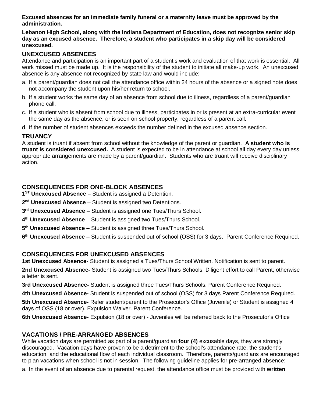**Excused absences for an immediate family funeral or a maternity leave must be approved by the administration.**

**Lebanon High School, along with the Indiana Department of Education, does not recognize senior skip day as an excused absence. Therefore, a student who participates in a skip day will be considered unexcused.**

### **UNEXCUSED ABSENCES**

Attendance and participation is an important part of a student's work and evaluation of that work is essential. All work missed must be made up. It is the responsibility of the student to initiate all make-up work. An unexcused absence is any absence not recognized by state law and would include:

- a. If a parent/guardian does not call the attendance office within 24 hours of the absence or a signed note does not accompany the student upon his/her return to school.
- b. If a student works the same day of an absence from school due to illness, regardless of a parent/guardian phone call.
- c. If a student who is absent from school due to illness, participates in or is present at an extra-curricular event the same day as the absence, or is seen on school property, regardless of a parent call.
- d. If the number of student absences exceeds the number defined in the excused absence section.

### **TRUANCY**

A student is truant if absent from school without the knowledge of the parent or guardian. **A student who is truant is considered unexcused.** A student is expected to be in attendance at school all day every day unless appropriate arrangements are made by a parent/guardian. Students who are truant will receive disciplinary action.

### **CONSEQUENCES FOR ONE-BLOCK ABSENCES**

**1ST Unexcused Absence –** Student is assigned a Detention.

- **2nd Unexcused Absence** Student is assigned two Detentions.
- **3rd Unexcused Absence** Student is assigned one Tues/Thurs School.
- **4th Unexcused Absence** Student is assigned two Tues/Thurs School.
- **5th Unexcused Absence** Student is assigned three Tues/Thurs School.
- **6th Unexcused Absence** Student is suspended out of school (OSS) for 3 days. Parent Conference Required.

### **CONSEQUENCES FOR UNEXCUSED ABSENCES**

**1st Unexcused Absence**- Student is assigned a Tues/Thurs School Written. Notification is sent to parent.

**2nd Unexcused Absence-** Student is assigned two Tues/Thurs Schools. Diligent effort to call Parent; otherwise a letter is sent.

**3rd Unexcused Absence-** Student is assigned three Tues/Thurs Schools. Parent Conference Required.

**4th Unexcused Absence-** Student is suspended out of school (OSS) for 3 days Parent Conference Required.

**5th Unexcused Absence-** Refer student/parent to the Prosecutor's Office (Juvenile) or Student is assigned 4 days of OSS (18 or over). Expulsion Waiver. Parent Conference.

**6th Unexcused Absence-** Expulsion (18 or over) - Juveniles will be referred back to the Prosecutor's Office

#### **VACATIONS / PRE-ARRANGED ABSENCES**

While vacation days are permitted as part of a parent/guardian **four (4)** excusable days, they are strongly discouraged. Vacation days have proven to be a detriment to the school's attendance rate, the student's education, and the educational flow of each individual classroom. Therefore, parents/guardians are encouraged to plan vacations when school is not in session. The following guideline applies for pre-arranged absence:

a. In the event of an absence due to parental request, the attendance office must be provided with **written**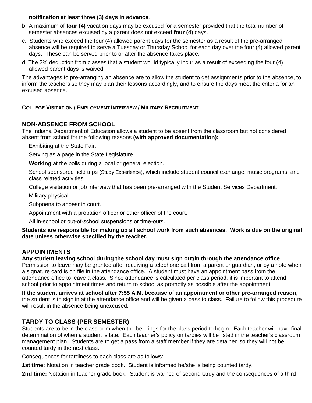#### **notification at least three (3) days in advance**.

- b. A maximum of **four (4)** vacation days may be excused for a semester provided that the total number of semester absences excused by a parent does not exceed **four (4)** days.
- c. Students who exceed the four (4) allowed parent days for the semester as a result of the pre-arranged absence will be required to serve a Tuesday or Thursday School for each day over the four (4) allowed parent days. These can be served prior to or after the absence takes place.
- d. The 2% deduction from classes that a student would typically incur as a result of exceeding the four (4) allowed parent days is waived.

The advantages to pre-arranging an absence are to allow the student to get assignments prior to the absence, to inform the teachers so they may plan their lessons accordingly, and to ensure the days meet the criteria for an excused absence.

#### **COLLEGE VISITATION / EMPLOYMENT INTERVIEW / MILITARY RECRUITMENT**

### **NON-ABSENCE FROM SCHOOL**

The Indiana Department of Education allows a student to be absent from the classroom but not considered absent from school for the following reasons **(with approved documentation):**

Exhibiting at the State Fair.

Serving as a page in the State Legislature.

**Working** at the polls during a local or general election.

School sponsored field trips (Study Experience), which include student council exchange, music programs, and class related activities.

College visitation or job interview that has been pre-arranged with the Student Services Department.

Military physical.

Subpoena to appear in court.

Appointment with a probation officer or other officer of the court.

All in-school or out-of-school suspensions or time-outs.

**Students are responsible for making up all school work from such absences. Work is due on the original date unless otherwise specified by the teacher.**

### **APPOINTMENTS**

**Any student leaving school during the school day must sign out/in through the attendance office**.

Permission to leave may be granted after receiving a telephone call from a parent or guardian, or by a note when a signature card is on file in the attendance office. A student must have an appointment pass from the attendance office to leave a class. Since attendance is calculated per class period, it is important to attend school prior to appointment times and return to school as promptly as possible after the appointment.

**If the student arrives at school after 7:55 A.M. because of an appointment or other pre-arranged reason**, the student is to sign in at the attendance office and will be given a pass to class. Failure to follow this procedure will result in the absence being unexcused.

### **TARDY TO CLASS (PER SEMESTER)**

Students are to be in the classroom when the bell rings for the class period to begin. Each teacher will have final determination of when a student is late. Each teacher's policy on tardies will be listed in the teacher's classroom management plan. Students are to get a pass from a staff member if they are detained so they will not be counted tardy in the next class.

Consequences for tardiness to each class are as follows:

**1st time:** Notation in teacher grade book. Student is informed he/she is being counted tardy.

**2nd time:** Notation in teacher grade book. Student is warned of second tardy and the consequences of a third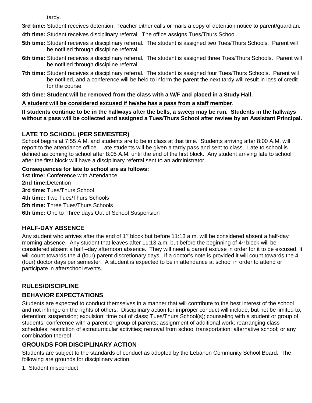tardy.

**3rd time:** Student receives detention. Teacher either calls or mails a copy of detention notice to parent/guardian.

- **4th time:** Student receives disciplinary referral. The office assigns Tues/Thurs School.
- **5th time:** Student receives a disciplinary referral. The student is assigned two Tues/Thurs Schools. Parent will be notified through discipline referral.
- **6th time:** Student receives a disciplinary referral. The student is assigned three Tues/Thurs Schools. Parent will be notified through discipline referral.
- **7th time:** Student receives a disciplinary referral. The student is assigned four Tues/Thurs Schools**.** Parent will be notified, and a conference will be held to inform the parent the next tardy will result in loss of credit for the course.

#### **8th time: Student will be removed from the class with a W/F and placed in a Study Hall.**

#### **A student will be considered excused if he/she has a pass from a staff member**.

**If students continue to be in the hallways after the bells, a sweep may be run. Students in the hallways without a pass will be collected and assigned a Tues/Thurs School after review by an Assistant Principal.**

#### **LATE TO SCHOOL (PER SEMESTER)**

School begins at 7:55 A.M. and students are to be in class at that time. Students arriving after 8:00 A.M. will report to the attendance office. Late students will be given a tardy pass and sent to class. Late to school is defined as coming to school after 8:05 A.M. until the end of the first block. Any student arriving late to school after the first block will have a disciplinary referral sent to an administrator.

#### **Consequences for late to school are as follows:**

**1st time:** Conference with Attendance **2nd time:**Detention **3rd time:** Tues/Thurs School **4th time:** Two Tues/Thurs Schools **5th time:** Three Tues/Thurs Schools **6th time:** One to Three days Out of School Suspension

### **HALF-DAY ABSENCE**

Any student who arrives after the end of  $1<sup>st</sup>$  block but before 11:13 a.m. will be considered absent a half-day morning absence. Any student that leaves after 11:13 a.m. but before the beginning of 4<sup>th</sup> block will be considered absent a half –day afternoon absence. They will need a parent excuse in order for it to be excused. It will count towards the 4 (four) parent discretionary days. If a doctor's note is provided it will count towards the 4 (four) doctor days per semester. A student is expected to be in attendance at school in order to attend or participate in afterschool events.

### **RULES/DISCIPLINE**

### **BEHAVIOR EXPECTATIONS**

Students are expected to conduct themselves in a manner that will contribute to the best interest of the school and not infringe on the rights of others. Disciplinary action for improper conduct will include, but not be limited to, detention; suspension; expulsion; time out of class; Tues/Thurs School(s); counseling with a student or group of students; conference with a parent or group of parents; assignment of additional work; rearranging class schedules; restriction of extracurricular activities; removal from school transportation; alternative school; or any combination thereof.

### **GROUNDS FOR DISCIPLINARY ACTION**

Students are subject to the standards of conduct as adopted by the Lebanon Community School Board. The following are grounds for disciplinary action:

1. Student misconduct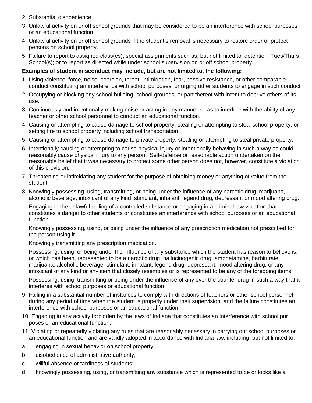- 2. Substantial disobedience
- 3. Unlawful activity on or off school grounds that may be considered to be an interference with school purposes or an educational function.
- 4. Unlawful activity on or off school grounds if the student's removal is necessary to restore order or protect persons on school property.
- 5. Failure to report to assigned class(es); special assignments such as, but not limited to, detention, Tues/Thurs School(s); or to report as directed while under school supervision on or off school property.

#### **Examples of student misconduct may include, but are not limited to, the following:**

- 1. Using violence, force, noise, coercion, threat, intimidation, fear, passive resistance, or other comparable conduct constituting an interference with school purposes, or urging other students to engage in such conduct
- 2. Occupying or blocking any school building, school grounds, or part thereof with intent to deprive others of its use.
- 3. Continuously and intentionally making noise or acting in any manner so as to interfere with the ability of any teacher or other school personnel to conduct an educational function.
- 4. Causing or attempting to cause damage to school property, stealing or attempting to steal school property, or setting fire to school property including school transportation.
- 5. Causing or attempting to cause damage to private property, stealing or attempting to steal private property.
- 6. Intentionally causing or attempting to cause physical injury or intentionally behaving in such a way as could reasonably cause physical injury to any person. Self-defense or reasonable action undertaken on the reasonable belief that it was necessary to protect some other person does not, however, constitute a violation of this provision.
- 7. Threatening or intimidating any student for the purpose of obtaining money or anything of value from the student.
- 8. Knowingly possessing, using, transmitting, or being under the influence of any narcotic drug, marijuana, alcoholic beverage, intoxicant of any kind, stimulant, inhalant, legend drug, depressant or mood altering drug.

Engaging in the unlawful selling of a controlled substance or engaging in a criminal law violation that constitutes a danger to other students or constitutes an interference with school purposes or an educational function.

Knowingly possessing, using, or being under the influence of any prescription medication not prescribed for the person using it.

Knowingly transmitting any prescription medication.

Possessing, using, or being under the influence of any substance which the student has reason to believe is, or which has been, represented to be a narcotic drug, hallucinogenic drug, amphetamine, barbiturate, marijuana, alcoholic beverage, stimulant, inhalant, legend drug, depressant, mood altering drug, or any intoxicant of any kind or any item that closely resembles or is represented to be any of the foregoing items.

Possessing, using, transmitting or being under the influence of any over the counter drug in such a way that it interferes with school purposes or educational function.

- 9. Failing in a substantial number of instances to comply with directions of teachers or other school personnel during any period of time when the student is properly under their supervision, and the failure constitutes an interference with school purposes or an educational function.
- 10. Engaging in any activity forbidden by the laws of Indiana that constitutes an interference with school pur poses or an educational function.
- 11. Violating or repeatedly violating any rules that are reasonably necessary in carrying out school purposes or an educational function and are validly adopted in accordance with Indiana law, including, but not limited to:
- a. engaging in sexual behavior on school property;
- b. disobedience of administrative authority;
- c willful absence or tardiness of students;
- d. knowingly possessing, using, or transmitting any substance which is represented to be or looks like a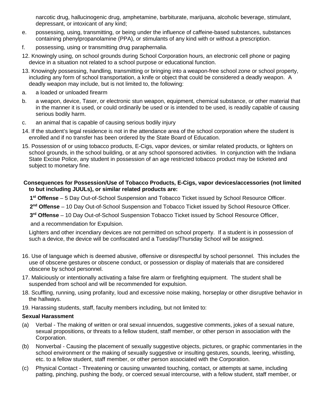narcotic drug, hallucinogenic drug, amphetamine, barbiturate, marijuana, alcoholic beverage, stimulant, depressant, or intoxicant of any kind;

- e. possessing, using, transmitting, or being under the influence of caffeine-based substances, substances containing phenylpropanolamine (PPA), or stimulants of any kind with or without a prescription.
- f. possessing, using or transmitting drug paraphernalia.
- 12. Knowingly using, on school grounds during School Corporation hours, an electronic cell phone or paging device in a situation not related to a school purpose or educational function.
- 13. Knowingly possessing, handling, transmitting or bringing into a weapon-free school zone or school property, including any form of school transportation, a knife or object that could be considered a deadly weapon. A deadly weapon may include, but is not limited to, the following:
- a. a loaded or unloaded firearm
- b. a weapon, device, Taser, or electronic stun weapon, equipment, chemical substance, or other material that in the manner it is used, or could ordinarily be used or is intended to be used, is readily capable of causing serious bodily harm.
- c. an animal that is capable of causing serious bodily injury
- 14. If the student's legal residence is not in the attendance area of the school corporation where the student is enrolled and if no transfer has been ordered by the State Board of Education.
- 15. Possession of or using tobacco products, E-Cigs, vapor devices, or similar related products, or lighters on school grounds, in the school building, or at any school sponsored activities. In conjunction with the Indiana State Excise Police, any student in possession of an age restricted tobacco product may be ticketed and subject to monetary fine.

#### **Consequences for Possession/Use of Tobacco Products, E-Cigs, vapor devices/accessories (not limited to but including JUULs), or similar related products are:**

**1st Offense** – 5 Day Out-of-School Suspension and Tobacco Ticket issued by School Resource Officer.

**2nd Offense** – 10 Day Out-of-School Suspension and Tobacco Ticket issued by School Resource Officer.

**3rd Offense** – 10 Day Out-of-School Suspension Tobacco Ticket issued by School Resource Officer,

and a recommendation for Expulsion.

Lighters and other incendiary devices are not permitted on school property. If a student is in possession of such a device, the device will be confiscated and a Tuesday/Thursday School will be assigned.

- 16. Use of language which is deemed abusive, offensive or disrespectful by school personnel. This includes the use of obscene gestures or obscene conduct, or possession or display of materials that are considered obscene by school personnel.
- 17. Maliciously or intentionally activating a false fire alarm or firefighting equipment. The student shall be suspended from school and will be recommended for expulsion.
- 18. Scuffling, running, using profanity, loud and excessive noise making, horseplay or other disruptive behavior in the hallways.
- 19. Harassing students, staff, faculty members including, but not limited to:

#### **Sexual Harassment**

- (a) Verbal The making of written or oral sexual innuendos, suggestive comments, jokes of a sexual nature, sexual propositions, or threats to a fellow student, staff member, or other person in association with the Corporation.
- (b) Nonverbal Causing the placement of sexually suggestive objects, pictures, or graphic commentaries in the school environment or the making of sexually suggestive or insulting gestures, sounds, leering, whistling, etc. to a fellow student, staff member, or other person associated with the Corporation.
- (c) Physical Contact Threatening or causing unwanted touching, contact, or attempts at same, including patting, pinching, pushing the body, or coerced sexual intercourse, with a fellow student, staff member, or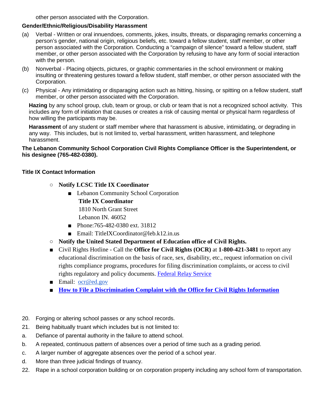other person associated with the Corporation.

#### **Gender/Ethnic/Religious/Disability Harassment**

- (a) Verbal Written or oral innuendoes, comments, jokes, insults, threats, or disparaging remarks concerning a person's gender, national origin, religious beliefs, etc. toward a fellow student, staff member, or other person associated with the Corporation. Conducting a "campaign of silence" toward a fellow student, staff member, or other person associated with the Corporation by refusing to have any form of social interaction with the person.
- (b) Nonverbal Placing objects, pictures, or graphic commentaries in the school environment or making insulting or threatening gestures toward a fellow student, staff member, or other person associated with the Corporation.
- (c) Physical Any intimidating or disparaging action such as hitting, hissing, or spitting on a fellow student, staff member, or other person associated with the Corporation.

**Hazing** by any school group, club, team or group, or club or team that is not a recognized school activity. This includes any form of initiation that causes or creates a risk of causing mental or physical harm regardless of how willing the participants may be.

**Harassment** of any student or staff member where that harassment is abusive, intimidating, or degrading in any way. This includes, but is not limited to, verbal harassment, written harassment, and telephone harassment.

#### **The Lebanon Community School Corporation Civil Rights Compliance Officer is the Superintendent, or his designee (765-482-0380).**

#### **Title IX Contact Information**

- **Notify LCSC Title IX Coordinator**
	- Lebanon Community School Corporation
		- **Title IX Coordinator**

1810 North Grant Street

- Lebanon IN. 46052
- Phone:765-482-0380 ext. 31812
- Email: TitleIXCoordinator@leb.k12.in.us
- **Notify the United Stated Department of Education office of Civil Rights.**
- Civil Rights Hotline Call the **Office for Civil Rights (OCR)** at **1-800-421-3481** to report any educational discrimination on the basis of race, sex, disability, etc., request information on civil rights compliance programs, procedures for filing discrimination complaints, or access to civil rights regulatory and policy documents. [Federal Relay Service](https://www2.ed.gov/about/contacts/gen/index.html?src=ft#frs)
- Email: [ocr@ed.gov](mailto:ocr@ed.gov)
- **[How to File a Discrimination Complaint with the Office for Civil Rights Information](https://www2.ed.gov/about/offices/list/ocr/docs/howto.html)**
- 20. Forging or altering school passes or any school records.
- 21. Being habitually truant which includes but is not limited to:
- a. Defiance of parental authority in the failure to attend school.
- b. A repeated, continuous pattern of absences over a period of time such as a grading period.
- c. A larger number of aggregate absences over the period of a school year.
- d. More than three judicial findings of truancy.
- 22. Rape in a school corporation building or on corporation property including any school form of transportation.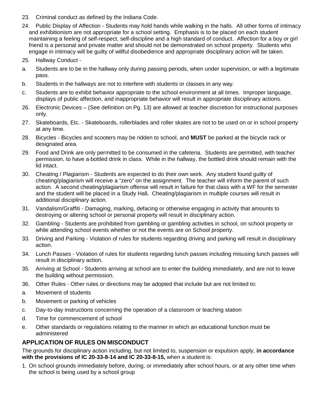- 23. Criminal conduct as defined by the Indiana Code.
- 24. Public Display of Affection Students may hold hands while walking in the halls. All other forms of intimacy and exhibitionism are not appropriate for a school setting. Emphasis is to be placed on each student maintaining a feeling of self-respect, self-discipline and a high standard of conduct. Affection for a boy or girl friend is a personal and private matter and should not be demonstrated on school property. Students who engage in intimacy will be guilty of willful disobedience and appropriate disciplinary action will be taken.
- 25. Hallway Conduct -
- a. Students are to be in the hallway only during passing periods, when under supervision, or with a legitimate pass.
- b. Students in the hallways are not to interfere with students or classes in any way.
- c. Students are to exhibit behavior appropriate to the school environment at all times. Improper language, displays of public affection, and inappropriate behavior will result in appropriate disciplinary actions.
- 26. Electronic Devices (See definition on Pg. 13) are allowed at teacher discretion for instructional purposes only.
- 27. Skateboards, Etc. Skateboards, rollerblades and roller skates are not to be used on or in school property at any time.
- 28. Bicycles Bicycles and scooters may be ridden to school, and **MUST** be parked at the bicycle rack or designated area.
- 29. Food and Drink are only permitted to be consumed in the cafeteria. Students are permitted, with teacher permission, to have a bottled drink in class. While in the hallway, the bottled drink should remain with the lid intact.
- 30. Cheating / Plagiarism Students are expected to do their own work. Any student found guilty of cheating/plagiarism will receive a "zero" on the assignment. The teacher will inform the parent of such action. A second cheating/plagiarism offense will result in failure for that class with a WF for the semester and the student will be placed in a Study Hall**.** Cheating/plagiarism in multiple courses will result in additional disciplinary action.
- 31. Vandalism/Graffiti Damaging, marking, defacing or otherwise engaging in activity that amounts to destroying or altering school or personal property will result in disciplinary action.
- 32. Gambling Students are prohibited from gambling or gambling activities in school, on school property or while attending school events whether or not the events are on School property.
- 33. Driving and Parking Violation of rules for students regarding driving and parking will result in disciplinary action.
- 34. Lunch Passes Violation of rules for students regarding lunch passes including misusing lunch passes will result in disciplinary action.
- 35. Arriving at School Students arriving at school are to enter the building immediately, and are not to leave the building without permission.
- 36. Other Rules Other rules or directions may be adopted that include but are not limited to:
- a. Movement of students
- b. Movement or parking of vehicles
- c. Day-to-day instructions concerning the operation of a classroom or teaching station
- d. Time for commencement of school
- e. Other standards or regulations relating to the manner in which an educational function must be administered

### **APPLICATION OF RULES ON MISCONDUCT**

The grounds for disciplinary action including, but not limited to, suspension or expulsion apply, **in accordance with the provisions of IC 20-33-8-14 and IC 20-33-8-15,** when a student is:

1. On school grounds immediately before, during, or immediately after school hours, or at any other time when the school is being used by a school group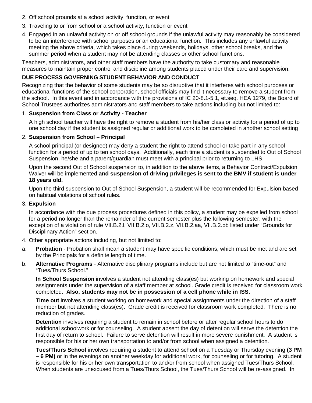- 2. Off school grounds at a school activity, function, or event
- 3. Traveling to or from school or a school activity, function or event
- 4. Engaged in an unlawful activity on or off school grounds if the unlawful activity may reasonably be considered to be an interference with school purposes or an educational function. This includes any unlawful activity meeting the above criteria, which takes place during weekends, holidays, other school breaks, and the summer period when a student may not be attending classes or other school functions.

Teachers, administrators, and other staff members have the authority to take customary and reasonable measures to maintain proper control and discipline among students placed under their care and supervision.

#### **DUE PROCESS GOVERNING STUDENT BEHAVIOR AND CONDUCT**

Recognizing that the behavior of some students may be so disruptive that it interferes with school purposes or educational functions of the school corporation, school officials may find it necessary to remove a student from the school. In this event and in accordance with the provisions of IC 20-8.1-5.1, et.seq. HEA 1279, the Board of School Trustees authorizes administrators and staff members to take actions including but not limited to:

#### 1. **Suspension from Class or Activity - Teacher**

A high school teacher will have the right to remove a student from his/her class or activity for a period of up to one school day if the student is assigned regular or additional work to be completed in another school setting

#### 2. **Suspension from School – Principal**

A school principal (or designee) may deny a student the right to attend school or take part in any school function for a period of up to ten school days. Additionally, each time a student is suspended to Out of School Suspension, he/she and a parent/guardian must meet with a principal prior to returning to LHS.

Upon the second Out of School suspension to, in addition to the above items, a Behavior Contract/Expulsion Waiver will be implemented **and suspension of driving privileges is sent to the BMV if student is under 18 years old.**

Upon the third suspension to Out of School Suspension, a student will be recommended for Expulsion based on habitual violations of school rules.

#### 3. **Expulsion**

In accordance with the due process procedures defined in this policy, a student may be expelled from school for a period no longer than the remainder of the current semester plus the following semester, with the exception of a violation of rule VII.B.2.l, VII.B.2.o, VII.B.2.z, VII.B.2.aa, VII.B.2.bb listed under "Grounds for Disciplinary Action" section.

- 4. Other appropriate actions including, but not limited to:
- a. **Probation** Probation shall mean a student may have specific conditions, which must be met and are set by the Principals for a definite length of time.
- b. **Alternative Programs** Alternative disciplinary programs include but are not limited to "time-out" and "Tues/Thurs School."

**In School Suspension** involves a student not attending class(es) but working on homework and special assignments under the supervision of a staff member at school. Grade credit is received for classroom work completed. **Also, students may not be in possession of a cell phone while in ISS.** 

**Time out** involves a student working on homework and special assignments under the direction of a staff member but not attending class(es). Grade credit is received for classroom work completed. There is no reduction of grades.

**Detention** involves requiring a student to remain in school before or after regular school hours to do additional schoolwork or for counseling. A student absent the day of detention will serve the detention the first day of return to school. Failure to serve detention will result in more severe punishment. A student is responsible for his or her own transportation to and/or from school when assigned a detention.

**Tues/Thurs School** involves requiring a student to attend school on a Tuesday or Thursday evening **(3 PM – 6 PM)** or in the evenings on another weekday for additional work, for counseling or for tutoring. A student is responsible for his or her own transportation to and/or from school when assigned Tues/Thurs School. When students are unexcused from a Tues/Thurs School, the Tues/Thurs School will be re-assigned. In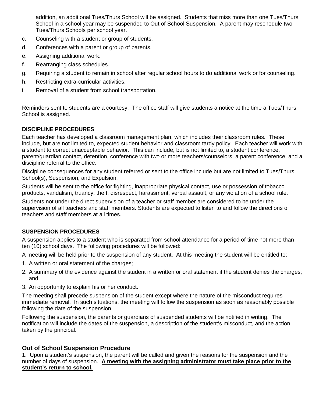addition, an additional Tues/Thurs School will be assigned. Students that miss more than one Tues/Thurs School in a school year may be suspended to Out of School Suspension. A parent may reschedule two Tues/Thurs Schools per school year.

- c. Counseling with a student or group of students.
- d. Conferences with a parent or group of parents.
- e. Assigning additional work.
- f. Rearranging class schedules.
- g. Requiring a student to remain in school after regular school hours to do additional work or for counseling.
- h. Restricting extra-curricular activities.
- i. Removal of a student from school transportation.

Reminders sent to students are a courtesy. The office staff will give students a notice at the time a Tues/Thurs School is assigned.

#### **DISCIPLINE PROCEDURES**

Each teacher has developed a classroom management plan, which includes their classroom rules. These include, but are not limited to, expected student behavior and classroom tardy policy. Each teacher will work with a student to correct unacceptable behavior. This can include, but is not limited to, a student conference, parent/guardian contact, detention, conference with two or more teachers/counselors, a parent conference, and a discipline referral to the office.

Discipline consequences for any student referred or sent to the office include but are not limited to Tues/Thurs School(s), Suspension, and Expulsion.

Students will be sent to the office for fighting, inappropriate physical contact, use or possession of tobacco products, vandalism, truancy, theft, disrespect, harassment, verbal assault, or any violation of a school rule.

Students not under the direct supervision of a teacher or staff member are considered to be under the supervision of all teachers and staff members. Students are expected to listen to and follow the directions of teachers and staff members at all times.

#### **SUSPENSION PROCEDURES**

A suspension applies to a student who is separated from school attendance for a period of time not more than ten (10) school days. The following procedures will be followed:

A meeting will be held prior to the suspension of any student. At this meeting the student will be entitled to:

- 1. A written or oral statement of the charges;
- 2. A summary of the evidence against the student in a written or oral statement if the student denies the charges; and,
- 3. An opportunity to explain his or her conduct.

The meeting shall precede suspension of the student except where the nature of the misconduct requires immediate removal. In such situations, the meeting will follow the suspension as soon as reasonably possible following the date of the suspension.

Following the suspension, the parents or guardians of suspended students will be notified in writing. The notification will include the dates of the suspension, a description of the student's misconduct, and the action taken by the principal.

#### **Out of School Suspension Procedure**

1. Upon a student's suspension, the parent will be called and given the reasons for the suspension and the number of days of suspension. **A meeting with the assigning administrator must take place prior to the student's return to school.**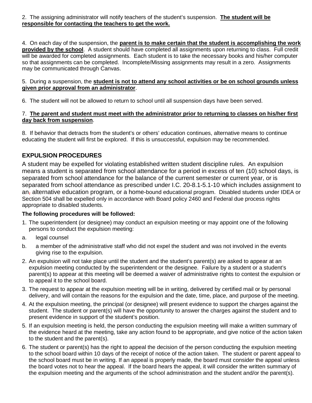2. The assigning administrator will notify teachers of the student's suspension. **The student will be responsible for contacting the teachers to get the work.**

4. On each day of the suspension, the **parent is to make certain that the student is accomplishing the work provided by the school**. A student should have completed all assignments upon returning to class. Full credit will be awarded for completed assignments. Each student is to take the necessary books and his/her computer so that assignments can be completed. Incomplete/Missing assignments may result in a zero. Assignments may be communicated through Canvas.

#### 5. During a suspension, the **student is not to attend any school activities or be on school grounds unless given prior approval from an administrator**.

6. The student will not be allowed to return to school until all suspension days have been served.

#### 7. **The parent and student must meet with the administrator prior to returning to classes on his/her first day back from suspension**.

8. If behavior that detracts from the student's or others' education continues, alternative means to continue educating the student will first be explored. If this is unsuccessful, expulsion may be recommended.

## **EXPULSION PROCEDURES**

A student may be expelled for violating established written student discipline rules. An expulsion means a student is separated from school attendance for a period in excess of ten (10) school days, is separated from school attendance for the balance of the current semester or current year, or is separated from school attendance as prescribed under I.C. 20-8.1-5.1-10 which includes assignment to an<sub>r</sub> alternative education program, or a home-bound educational program. Disabled students under IDEA or Section 504 shall be expelled only in accordance with Board policy 2460 and Federal due process rights appropriate to disabled students.

### **The following procedures will be followed:**

- 1. The superintendent (or designee) may conduct an expulsion meeting or may appoint one of the following persons to conduct the expulsion meeting:
- a. legal counsel
- b. a member of the administrative staff who did not expel the student and was not involved in the events giving rise to the expulsion.
- 2. An expulsion will not take place until the student and the student's parent(s) are asked to appear at an expulsion meeting conducted by the superintendent or the designee. Failure by a student or a student's parent(s) to appear at this meeting will be deemed a waiver of administrative rights to contest the expulsion or to appeal it to the school board.
- 3. The request to appear at the expulsion meeting will be in writing, delivered by certified mail or by personal delivery, and will contain the reasons for the expulsion and the date, time, place, and purpose of the meeting.
- 4. At the expulsion meeting, the principal (or designee) will present evidence to support the charges against the student. The student or parent(s) will have the opportunity to answer the charges against the student and to present evidence in support of the student's position.
- 5. If an expulsion meeting is held, the person conducting the expulsion meeting will make a written summary of the evidence heard at the meeting, take any action found to be appropriate, and give notice of the action taken to the student and the parent(s).
- 6. The student or parent(s) has the right to appeal the decision of the person conducting the expulsion meeting to the school board within 10 days of the receipt of notice of the action taken. The student or parent appeal to the school board must be in writing. If an appeal is properly made, the board must consider the appeal unless the board votes not to hear the appeal. If the board hears the appeal, it will consider the written summary of the expulsion meeting and the arguments of the school administration and the student and/or the parent(s).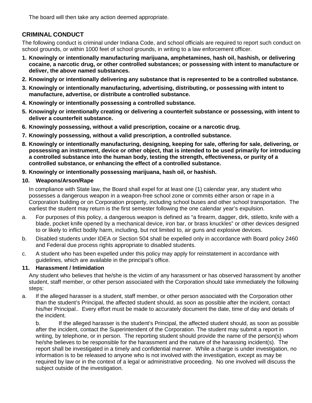The board will then take any action deemed appropriate.

## **CRIMINAL CONDUCT**

The following conduct is criminal under Indiana Code, and school officials are required to report such conduct on school grounds, or within 1000 feet of school grounds, in writing to a law enforcement officer.

- **1. Knowingly or intentionally manufacturing marijuana, amphetamines, hash oil, hashish, or delivering cocaine, a narcotic drug, or other controlled substances; or possessing with intent to manufacture or deliver, the above named substances.**
- **2. Knowingly or intentionally delivering any substance that is represented to be a controlled substance.**
- **3. Knowingly or intentionally manufacturing, advertising, distributing, or possessing with intent to manufacture, advertise, or distribute a controlled substance.**
- **4. Knowingly or intentionally possessing a controlled substance.**
- **5. Knowingly or intentionally creating or delivering a counterfeit substance or possessing, with intent to deliver a counterfeit substance.**
- **6. Knowingly possessing, without a valid prescription, cocaine or a narcotic drug.**
- **7. Knowingly possessing, without a valid prescription, a controlled substance.**
- **8. Knowingly or intentionally manufacturing, designing, keeping for sale, offering for sale, delivering, or possessing an instrument, device or other object, that is intended to be used primarily for introducing a controlled substance into the human body, testing the strength, effectiveness, or purity of a controlled substance, or enhancing the effect of a controlled substance.**
- **9. Knowingly or intentionally possessing marijuana, hash oil, or hashish.**

#### **10. Weapons/Arson/Rape**

In compliance with State law, the Board shall expel for at least one (1) calendar year, any student who possesses a dangerous weapon in a weapon-free school zone or commits either arson or rape in a Corporation building or on Corporation property, including school buses and other school transportation. The earliest the student may return is the first semester following the one calendar year's expulsion.

- a. For purposes of this policy, a dangerous weapon is defined as "a firearm, dagger, dirk, stiletto, knife with a blade, pocket knife opened by a mechanical device, iron bar, or brass knuckles" or other devices designed to or likely to inflict bodily harm, including, but not limited to, air guns and explosive devices.
- b. Disabled students under IDEA or Section 504 shall be expelled only in accordance with Board policy 2460 and Federal due process rights appropriate to disabled students.
- c. A student who has been expelled under this policy may apply for reinstatement in accordance with guidelines, which are available in the principal's office.

#### **11. Harassment / Intimidation**

Any student who believes that he/she is the victim of any harassment or has observed harassment by another student, staff member, or other person associated with the Corporation should take immediately the following steps:

a. If the alleged harasser is a student, staff member, or other person associated with the Corporation other than the student's Principal, the affected student should, as soon as possible after the incident, contact his/her Principal.. Every effort must be made to accurately document the date, time of day and details of the incident.

b. If the alleged harasser is the student's Principal, the affected student should, as soon as possible after the incident, contact the Superintendent of the Corporation. The student may submit a report in writing, by telephone, or in person. The reporting student should provide the name of the person(s) whom he/she believes to be responsible for the harassment and the nature of the harassing incident(s). The report shall be investigated in a timely and confidential manner. While a charge is under investigation, no information is to be released to anyone who is not involved with the investigation, except as may be required by law or in the context of a legal or administrative proceeding. No one involved will discuss the subject outside of the investigation.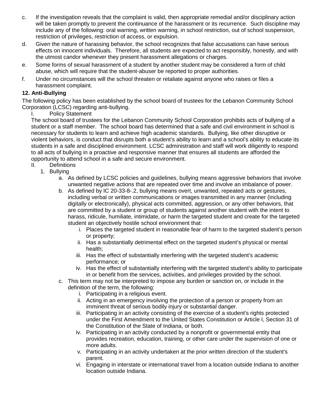- c. If the investigation reveals that the complaint is valid, then appropriate remedial and/or disciplinary action will be taken promptly to prevent the continuance of the harassment or its recurrence. Such discipline may include any of the following: oral warning, written warning, in school restriction, out of school suspension, restriction of privileges, restriction of access, or expulsion.
- d. Given the nature of harassing behavior, the school recognizes that false accusations can have serious effects on innocent individuals. Therefore, all students are expected to act responsibly, honestly, and with the utmost candor whenever they present harassment allegations or charges.
- e. Some forms of sexual harassment of a student by another student may be considered a form of child abuse, which will require that the student-abuser be reported to proper authorities.
- f. Under no circumstances will the school threaten or retaliate against anyone who raises or files a harassment complaint.

#### **12. Anti-Bullying**

The following policy has been established by the school board of trustees for the Lebanon Community School Corporation (LCSC) regarding anti-bullying.

I. Policy Statement

The school board of trustees for the Lebanon Community School Corporation prohibits acts of bullying of a student or a staff member. The school board has determined that a safe and civil environment in school is necessary for students to learn and achieve high academic standards. Bullying, like other disruptive or violent behaviors, is conduct that disrupts both a student's ability to learn and a school's ability to educate its students in a safe and disciplined environment. LCSC administration and staff will work diligently to respond to all acts of bullying in a proactive and responsive manner that ensures all students are afforded the opportunity to attend school in a safe and secure environment.

- II. Definitions
	- 1. Bullying
		- a. As defined by LCSC policies and guidelines, bullying means aggressive behaviors that involve unwanted negative actions that are repeated over time and involve an imbalance of power.
		- b. As defined by IC 20-33-8-.2, bullying means overt, unwanted, repeated acts or gestures, including verbal or written communications or images transmitted in any manner (including digitally or electronically), physical acts committed, aggression, or any other behaviors, that are committed by a student or group of students against another student with the intent to harass, ridicule, humiliate, intimidate, or harm the targeted student and create for the targeted student an objectively hostile school environment that:
			- i. Places the targeted student in reasonable fear of harm to the targeted student's person or property;
			- ii. Has a substantially detrimental effect on the targeted student's physical or mental health;
			- iii. Has the effect of substantially interfering with the targeted student's academic performance; or
			- iv. Has the effect of substantially interfering with the targeted student's ability to participate in or benefit from the services, activities, and privileges provided by the school.
		- c. This term may not be interpreted to impose any burden or sanction on, or include in the definition of the term, the following:
			- i. Participating in a religious event.
			- ii. Acting in an emergency involving the protection of a person or property from an imminent threat of serious bodily injury or substantial danger.
			- iii. Participating in an activity consisting of the exercise of a student's rights protected under the First Amendment to the United States Constitution or Article I, Section 31 of the Constitution of the State of Indiana, or both.
			- iv. Participating in an activity conducted by a nonprofit or governmental entity that provides recreation, education, training, or other care under the supervision of one or more adults.
			- v. Participating in an activity undertaken at the prior written direction of the student's parent.
			- vi. Engaging in interstate or international travel from a location outside Indiana to another location outside Indiana.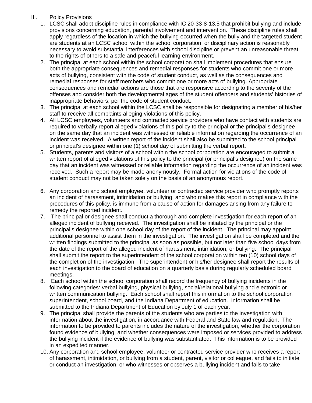### III. Policy Provisions

- 1. LCSC shall adopt discipline rules in compliance with IC 20-33-8-13.5 that prohibit bullying and include provisions concerning education, parental involvement and intervention. These discipline rules shall apply regardless of the location in which the bullying occurred when the bully and the targeted student are students at an LCSC school within the school corporation, or disciplinary action is reasonably necessary to avoid substantial interferences with school discipline or prevent an unreasonable threat to the rights of others to a safe and peaceful learning environment.
- 2. The principal at each school within the school corporation shall implement procedures that ensure both the appropriate consequences and remedial responses for students who commit one or more acts of bullying, consistent with the code of student conduct, as well as the consequences and remedial responses for staff members who commit one or more acts of bullying. Appropriate consequences and remedial actions are those that are responsive according to the severity of the offenses and consider both the developmental ages of the student offenders and students' histories of inappropriate behaviors, per the code of student conduct.
- 3. The principal at each school within the LCSC shall be responsible for designating a member of his/her staff to receive all complaints alleging violations of this policy.
- 4. All LCSC employees, volunteers and contracted service providers who have contact with students are required to verbally report alleged violations of this policy to the principal or the principal's designee on the same day that an incident was witnessed or reliable information regarding the occurrence of an incident was received. A written report of the incident shall also be submitted to the school principal or principal's designee within one (1) school day of submitting the verbal report.
- 5. Students, parents and visitors of a school within the school corporation are encouraged to submit a written report of alleged violations of this policy to the principal (or principal's designee) on the same day that an incident was witnessed or reliable information regarding the occurrence of an incident was received. Such a report may be made anonymously. Formal action for violations of the code of student conduct may not be taken solely on the basis of an anonymous report.
- 6. Any corporation and school employee, volunteer or contracted service provider who promptly reports an incident of harassment, intimidation or bullying, and who makes this report in compliance with the procedures of this policy, is immune from a cause of action for damages arising from any failure to remedy the reported incident.
- 7. The principal or designee shall conduct a thorough and complete investigation for each report of an alleged incident of bullying received. The investigation shall be initiated by the principal or the principal's designee within one school day of the report of the incident. The principal may appoint additional personnel to assist them in the investigation. The investigation shall be completed and the written findings submitted to the principal as soon as possible, but not later than five school days from the date of the report of the alleged incident of harassment, intimidation, or bullying. The principal shall submit the report to the superintendent of the school corporation within ten (10) school days of the completion of the investigation. The superintendent or his/her designee shall report the results of each investigation to the board of education on a quarterly basis during regularly scheduled board meetings.
- 8. Each school within the school corporation shall record the frequency of bullying incidents in the following categories: verbal bullying, physical bullying, social/relational bullying and electronic or written communication bullying. Each school shall report this information to the school corporation superintendent, school board, and the Indiana Department of education. Information shall be submitted to the Indiana Department of Education by July 1 of each year.
- 9. The principal shall provide the parents of the students who are parties to the investigation with information about the investigation, in accordance with Federal and State law and regulation. The information to be provided to parents includes the nature of the investigation, whether the corporation found evidence of bullying, and whether consequences were imposed or services provided to address the bullying incident if the evidence of bullying was substantiated. This information is to be provided in an expedited manner.
- 10. Any corporation and school employee, volunteer or contracted service provider who receives a report of harassment, intimidation, or bullying from a student, parent, visitor or colleague, and fails to initiate or conduct an investigation, or who witnesses or observes a bullying incident and fails to take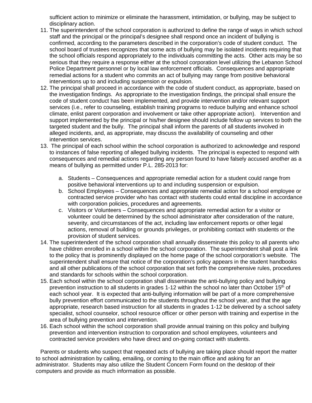sufficient action to minimize or eliminate the harassment, intimidation, or bullying, may be subject to disciplinary action.

- 11. The superintendent of the school corporation is authorized to define the range of ways in which school staff and the principal or the principal's designee shall respond once an incident of bullying is confirmed, according to the parameters described in the corporation's code of student conduct. The school board of trustees recognizes that some acts of bullying may be isolated incidents requiring that the school officials respond appropriately to the individuals committing the acts. Other acts may be so serious that they require a response either at the school corporation level utilizing the Lebanon School Police Department personnel or by local law enforcement officials. Consequences and appropriate remedial actions for a student who commits an act of bullying may range from positive behavioral interventions up to and including suspension or expulsion.
- 12. The principal shall proceed in accordance with the code of student conduct, as appropriate, based on the investigation findings. As appropriate to the investigation findings, the principal shall ensure the code of student conduct has been implemented, and provide intervention and/or relevant support services (i.e., refer to counseling, establish training programs to reduce bullying and enhance school climate, enlist parent corporation and involvement or take other appropriate action). Intervention and support implemented by the principal or his/her designee should include follow up services to both the targeted student and the bully. The principal shall inform the parents of all students involved in alleged incidents, and, as appropriate, may discuss the availability of counseling and other intervention services.
- 13. The principal of each school within the school corporation is authorized to acknowledge and respond to instances of false reporting of alleged bullying incidents. The principal is expected to respond with consequences and remedial actions regarding any person found to have falsely accused another as a means of bullying as permitted under P.L. 285-2013 for:
	- a. Students Consequences and appropriate remedial action for a student could range from positive behavioral interventions up to and including suspension or expulsion.
	- b. School Employees Consequences and appropriate remedial action for a school employee or contracted service provider who has contact with students could entail discipline in accordance with corporation policies, procedures and agreements.
	- c. Visitors or Volunteers Consequences and appropriate remedial action for a visitor or volunteer could be determined by the school administrator after consideration of the nature, severity, and circumstances of the act, including law enforcement reports or other legal actions, removal of building or grounds privileges, or prohibiting contact with students or the provision of student services.
- 14. The superintendent of the school corporation shall annually disseminate this policy to all parents who have children enrolled in a school within the school corporation. The superintendent shall post a link to the policy that is prominently displayed on the home page of the school corporation's website. The superintendent shall ensure that notice of the corporation's policy appears in the student handbooks and all other publications of the school corporation that set forth the comprehensive rules, procedures and standards for schools within the school corporation.
- 15. Each school within the school corporation shall disseminate the anti-bullying policy and bullying prevention instruction to all students in grades 1-12 within the school no later than October 15th of each school year. It is expected that anti-bullying information will be part of a more comprehensive bully prevention effort communicated to the students throughout the school year, and that the age appropriate, research based instruction for all students in grades 1-12 be delivered by a school safety specialist, school counselor, school resource officer or other person with training and expertise in the area of bullying prevention and intervention.
- 16. Each school within the school corporation shall provide annual training on this policy and bullying prevention and intervention instruction to corporation and school employees, volunteers and contracted service providers who have direct and on-going contact with students.

Parents or students who suspect that repeated acts of bullying are taking place should report the matter to school administration by calling, emailing, or coming to the main office and asking for an administrator. Students may also utilize the Student Concern Form found on the desktop of their computers and provide as much information as possible.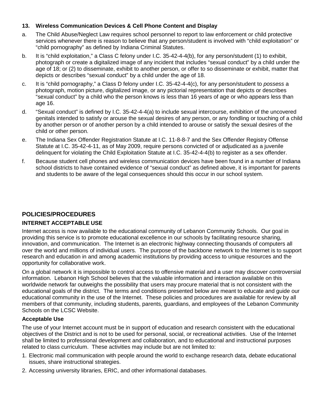#### **13. Wireless Communication Devices & Cell Phone Content and Display**

- a. The Child Abuse/Neglect Law requires school personnel to report to law enforcement or child protective services whenever there is reason to believe that any person/student is involved with "child exploitation" or "child pornography" as defined by Indiana Criminal Statutes.
- b. It is "child exploitation," a Class C felony under I.C. 35-42-4-4(b), for any person/student (1) to exhibit, photograph or create a digitalized image of any incident that includes "sexual conduct" by a child under the age of 18; or (2) to disseminate, exhibit to another person, or offer to so disseminate or exhibit, matter that depicts or describes "sexual conduct" by a child under the age of 18.
- c. It is "child pornography," a Class D felony under I.C. 35-42-4-4(c), for any person/student to *possess* a photograph, motion picture, digitalized image, or any pictorial representation that depicts or describes "sexual conduct" by a child who the person knows is less than 16 years of age or who appears less than age 16.
- d. "Sexual conduct" is defined by I.C. 35-42-4-4(a) to include sexual intercourse, exhibition of the uncovered genitals intended to satisfy or arouse the sexual desires of any person, or any fondling or touching of a child by another person or of another person by a child intended to arouse or satisfy the sexual desires of the child or other person.
- e. The Indiana Sex Offender Registration Statute at I.C. 11-8-8-7 and the Sex Offender Registry Offense Statute at I.C. 35-42-4-11, as of May 2009, require persons convicted of or adjudicated as a juvenile delinquent for violating the Child Exploitation Statute at I.C. 35-42-4-4(b) to register as a sex offender.
- f. Because student cell phones and wireless communication devices have been found in a number of Indiana school districts to have contained evidence of "sexual conduct" as defined above, it is important for parents and students to be aware of the legal consequences should this occur in our school system.

### **POLICIES/PROCEDURES**

#### **INTERNET ACCEPTABLE USE**

Internet access is now available to the educational community of Lebanon Community Schools. Our goal in providing this service is to promote educational excellence in our schools by facilitating resource sharing, innovation, and communication. The Internet is an electronic highway connecting thousands of computers all over the world and millions of individual users. The purpose of the backbone network to the Internet is to support research and education in and among academic institutions by providing access to unique resources and the opportunity for collaborative work.

On a global network it is impossible to control access to offensive material and a user may discover controversial information. Lebanon High School believes that the valuable information and interaction available on this worldwide network far outweighs the possibility that users may procure material that is not consistent with the educational goals of the district. The terms and conditions presented below are meant to educate and guide our educational community in the use of the Internet. These policies and procedures are available for review by all members of that community, including students, parents, guardians, and employees of the Lebanon Community Schools on the LCSC Website.

#### **Acceptable Use**

The use of your Internet account must be in support of education and research consistent with the educational objectives of the District and is not to be used for personal, social, or recreational activities. Use of the Internet shall be limited to professional development and collaboration, and to educational and instructional purposes related to class curriculum. These activities may include but are not limited to:

- 1. Electronic mail communication with people around the world to exchange research data, debate educational issues, share instructional strategies.
- 2. Accessing university libraries, ERIC, and other informational databases.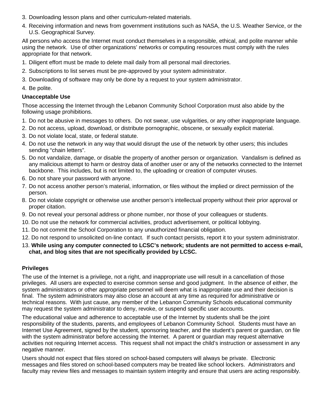- 3. Downloading lesson plans and other curriculum-related materials.
- 4. Receiving information and news from government institutions such as NASA, the U.S. Weather Service, or the U.S. Geographical Survey.

All persons who access the Internet must conduct themselves in a responsible, ethical, and polite manner while using the network. Use of other organizations' networks or computing resources must comply with the rules appropriate for that network.

- 1. Diligent effort must be made to delete mail daily from all personal mail directories.
- 2. Subscriptions to list serves must be pre-approved by your system administrator.
- 3. Downloading of software may only be done by a request to your system administrator.
- 4. Be polite.

#### **Unacceptable Use**

Those accessing the Internet through the Lebanon Community School Corporation must also abide by the following usage prohibitions.

- 1. Do not be abusive in messages to others. Do not swear, use vulgarities, or any other inappropriate language.
- 2. Do not access, upload, download, or distribute pornographic, obscene, or sexually explicit material.
- 3. Do not violate local, state, or federal statute.
- 4. Do not use the network in any way that would disrupt the use of the network by other users; this includes sending "chain letters".
- 5. Do not vandalize, damage, or disable the property of another person or organization. Vandalism is defined as any malicious attempt to harm or destroy data of another user or any of the networks connected to the Internet backbone. This includes, but is not limited to, the uploading or creation of computer viruses.
- 6. Do not share your password with anyone.
- 7. Do not access another person's material, information, or files without the implied or direct permission of the person.
- 8. Do not violate copyright or otherwise use another person's intellectual property without their prior approval or proper citation.
- 9. Do not reveal your personal address or phone number, nor those of your colleagues or students.
- 10. Do not use the network for commercial activities, product advertisement, or political lobbying.
- 11. Do not commit the School Corporation to any unauthorized financial obligation.
- 12. Do not respond to unsolicited on-line contact. If such contact persists, report it to your system administrator.
- 13. **While using any computer connected to LCSC's network; students are not permitted to access e-mail, chat, and blog sites that are not specifically provided by LCSC.**

#### **Privileges**

The use of the Internet is a privilege, not a right, and inappropriate use will result in a cancellation of those privileges. All users are expected to exercise common sense and good judgment. In the absence of either, the system administrators or other appropriate personnel will deem what is inappropriate use and their decision is final. The system administrators may also close an account at any time as required for administrative or technical reasons. With just cause, any member of the Lebanon Community Schools educational community may request the system administrator to deny, revoke, or suspend specific user accounts.

The educational value and adherence to acceptable use of the Internet by students shall be the joint responsibility of the students, parents, and employees of Lebanon Community School. Students must have an Internet Use Agreement, signed by the student, sponsoring teacher, and the student's parent or guardian, on file with the system administrator before accessing the Internet. A parent or guardian may request alternative activities not requiring Internet access. This request shall not impact the child's instruction or assessment in any negative manner.

Users should not expect that files stored on school-based computers will always be private. Electronic messages and files stored on school-based computers may be treated like school lockers. Administrators and faculty may review files and messages to maintain system integrity and ensure that users are acting responsibly.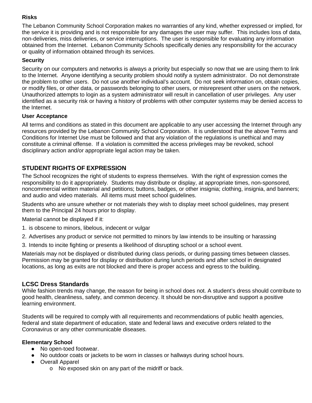### **Risks**

The Lebanon Community School Corporation makes no warranties of any kind, whether expressed or implied, for the service it is providing and is not responsible for any damages the user may suffer. This includes loss of data, non-deliveries, miss deliveries, or service interruptions. The user is responsible for evaluating any information obtained from the Internet. Lebanon Community Schools specifically denies any responsibility for the accuracy or quality of information obtained through its services.

### **Security**

Security on our computers and networks is always a priority but especially so now that we are using them to link to the Internet. Anyone identifying a security problem should notify a system administrator. Do not demonstrate the problem to other users. Do not use another individual's account. Do not seek information on, obtain copies, or modify files, or other data, or passwords belonging to other users, or misrepresent other users on the network. Unauthorized attempts to login as a system administrator will result in cancellation of user privileges. Any user identified as a security risk or having a history of problems with other computer systems may be denied access to the Internet.

#### **User Acceptance**

All terms and conditions as stated in this document are applicable to any user accessing the Internet through any resources provided by the Lebanon Community School Corporation. It is understood that the above Terms and Conditions for Internet Use must be followed and that any violation of the regulations is unethical and may constitute a criminal offense. If a violation is committed the access privileges may be revoked, school disciplinary action and/or appropriate legal action may be taken.

## **STUDENT RIGHTS OF EXPRESSION**

The School recognizes the right of students to express themselves. With the right of expression comes the responsibility to do it appropriately. Students may distribute or display, at appropriate times, non-sponsored, noncommercial written material and petitions; buttons, badges, or other insignia; clothing, insignia, and banners; and audio and video materials. All items must meet school guidelines.

Students who are unsure whether or not materials they wish to display meet school guidelines, may present them to the Principal 24 hours prior to display.

Material cannot be displayed if it:

- 1. is obscene to minors, libelous, indecent or vulgar
- 2. Advertises any product or service not permitted to minors by law intends to be insulting or harassing
- 3. Intends to incite fighting or presents a likelihood of disrupting school or a school event.

Materials may not be displayed or distributed during class periods, or during passing times between classes. Permission may be granted for display or distribution during lunch periods and after school in designated locations, as long as exits are not blocked and there is proper access and egress to the building.

#### **LCSC Dress Standards**

While fashion trends may change, the reason for being in school does not. A student's dress should contribute to good health, cleanliness, safety, and common decency. It should be non-disruptive and support a positive learning environment.

Students will be required to comply with all requirements and recommendations of public health agencies, federal and state department of education, state and federal laws and executive orders related to the Coronavirus or any other communicable diseases.

#### **Elementary School**

- No open-toed footwear.
- No outdoor coats or jackets to be worn in classes or hallways during school hours.
- Overall Apparel
	- o No exposed skin on any part of the midriff or back.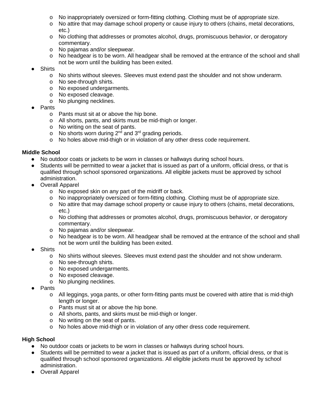- o No inappropriately oversized or form-fitting clothing. Clothing must be of appropriate size.
- $\circ$  No attire that may damage school property or cause injury to others (chains, metal decorations, etc.)
- o No clothing that addresses or promotes alcohol, drugs, promiscuous behavior, or derogatory commentary.
- o No pajamas and/or sleepwear.
- o No headgear is to be worn. All headgear shall be removed at the entrance of the school and shall not be worn until the building has been exited.
- **Shirts** 
	- o No shirts without sleeves. Sleeves must extend past the shoulder and not show underarm.
	- o No see-through shirts.
	- o No exposed undergarments.
	- o No exposed cleavage.
	- o No plunging necklines.
- **Pants** 
	- o Pants must sit at or above the hip bone.
	- o All shorts, pants, and skirts must be mid-thigh or longer.
	- o No writing on the seat of pants.
	- $\circ$  No shorts worn during 2<sup>nd</sup> and 3<sup>rd</sup> grading periods.
	- o No holes above mid-thigh or in violation of any other dress code requirement.

#### **Middle School**

- No outdoor coats or jackets to be worn in classes or hallways during school hours.
- Students will be permitted to wear a jacket that is issued as part of a uniform, official dress, or that is qualified through school sponsored organizations. All eligible jackets must be approved by school administration.
- Overall Apparel
	- o No exposed skin on any part of the midriff or back.
	- o No inappropriately oversized or form-fitting clothing. Clothing must be of appropriate size.<br>
	o No attire that may damage school property or cause iniury to others (chains, metal decora
	- No attire that may damage school property or cause injury to others (chains, metal decorations, etc.)
	- o No clothing that addresses or promotes alcohol, drugs, promiscuous behavior, or derogatory commentary.
	- o No pajamas and/or sleepwear.
	- o No headgear is to be worn. All headgear shall be removed at the entrance of the school and shall not be worn until the building has been exited.
- **Shirts** 
	- o No shirts without sleeves. Sleeves must extend past the shoulder and not show underarm.
	- o No see-through shirts.
	- o No exposed undergarments.
	- o No exposed cleavage.
	- o No plunging necklines.
- Pants
	- o All leggings, yoga pants, or other form-fitting pants must be covered with attire that is mid-thigh length or longer.
	- o Pants must sit at or above the hip bone.
	- o All shorts, pants, and skirts must be mid-thigh or longer.
	- o No writing on the seat of pants.
	- o No holes above mid-thigh or in violation of any other dress code requirement.

#### **High School**

- No outdoor coats or jackets to be worn in classes or hallways during school hours.
- Students will be permitted to wear a jacket that is issued as part of a uniform, official dress, or that is qualified through school sponsored organizations. All eligible jackets must be approved by school administration.
- Overall Apparel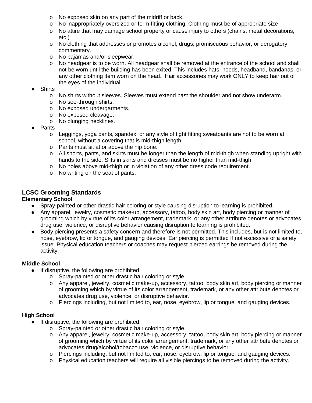- o No exposed skin on any part of the midriff or back.
- o No inappropriately oversized or form-fitting clothing. Clothing must be of appropriate size
- o No attire that may damage school property or cause injury to others (chains, metal decorations, etc.)
- o No clothing that addresses or promotes alcohol, drugs, promiscuous behavior, or derogatory commentary.
- o No pajamas and/or sleepwear.
- o No headgear is to be worn. All headgear shall be removed at the entrance of the school and shall not be worn until the building has been exited. This includes hats, hoods, headband, bandanas, or any other clothing item worn on the head. Hair accessories may work ONLY to keep hair out of the eyes of the individual.
- **Shirts** 
	- o No shirts without sleeves. Sleeves must extend past the shoulder and not show underarm.
	- o No see-through shirts.
	- o No exposed undergarments.
	- o No exposed cleavage.
	- o No plunging necklines.
- Pants
	- $\circ$  Leggings, yoga pants, spandex, or any style of tight fitting sweatpants are not to be worn at school, without a covering that is mid-thigh length.
	- o Pants must sit at or above the hip bone.
	- o All shorts, pants, and skirts must be longer than the length of mid-thigh when standing upright with hands to the side. Slits in skirts and dresses must be no higher than mid-thigh.
	- o No holes above mid-thigh or in violation of any other dress code requirement.
	- o No writing on the seat of pants.

### **LCSC Grooming Standards**

#### **Elementary School**

- Spray-painted or other drastic hair coloring or style causing disruption to learning is prohibited.
- Any apparel, jewelry, cosmetic make-up, accessory, tattoo, body skin art, body piercing or manner of grooming which by virtue of its color arrangement, trademark, or any other attribute denotes or advocates drug use, violence, or disruptive behavior causing disruption to learning is prohibited.
- Body piercing presents a safety concern and therefore is not permitted. This includes, but is not limited to, nose, eyebrow, lip or tongue, and gauging devices. Ear piercing is permitted if not excessive or a safety issue. Physical education teachers or coaches may request pierced earrings be removed during the activity.

#### **Middle School**

- If disruptive, the following are prohibited.
	- o Spray-painted or other drastic hair coloring or style.
	- o Any apparel, jewelry, cosmetic make-up, accessory, tattoo, body skin art, body piercing or manner of grooming which by virtue of its color arrangement, trademark, or any other attribute denotes or advocates drug use, violence, or disruptive behavior.
	- o Piercings including, but not limited to, ear, nose, eyebrow, lip or tongue, and gauging devices.

#### **High School**

- If disruptive, the following are prohibited.
	- o Spray-painted or other drastic hair coloring or style.
	- o Any apparel, jewelry, cosmetic make-up, accessory, tattoo, body skin art, body piercing or manner of grooming which by virtue of its color arrangement, trademark, or any other attribute denotes or advocates drug/alcohol/tobacco use, violence, or disruptive behavior.
	- o Piercings including, but not limited to, ear, nose, eyebrow, lip or tongue, and gauging devices.
	- o Physical education teachers will require all visible piercings to be removed during the activity.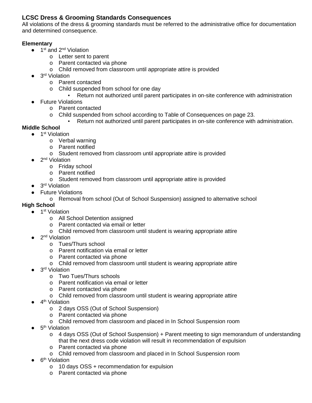### **LCSC Dress & Grooming Standards Consequences**

All violations of the dress & grooming standards must be referred to the administrative office for documentation and determined consequence.

#### **Elementary**

- $\bullet$  1<sup>st</sup> and 2<sup>nd</sup> Violation
	- o Letter sent to parent
	- o Parent contacted via phone
	- o Child removed from classroom until appropriate attire is provided
- $\bullet$  3<sup>rd</sup> Violation
	- o Parent contacted
	- o Child suspended from school for one day
		- Return not authorized until parent participates in on-site conference with administration
- Future Violations
	- o Parent contacted
	- o Child suspended from school according to Table of Consequences on page 23.
		- Return not authorized until parent participates in on-site conference with administration.

### **Middle School**

- 1<sup>st</sup> Violation
	- o Verbal warning
	- o Parent notified
	- o Student removed from classroom until appropriate attire is provided
- 2<sup>nd</sup> Violation
	- o Friday school
	- o Parent notified
	- o Student removed from classroom until appropriate attire is provided
- $\bullet$  3<sup>rd</sup> Violation
- Future Violations
	- o Removal from school (Out of School Suspension) assigned to alternative school

### **High School**

- $\bullet$  1<sup>st</sup> Violation
	- o All School Detention assigned
	- o Parent contacted via email or letter
	- o Child removed from classroom until student is wearing appropriate attire
- 2<sup>nd</sup> Violation
	- o Tues/Thurs school
	- o Parent notification via email or letter
	- o Parent contacted via phone
	- o Child removed from classroom until student is wearing appropriate attire
- 3<sup>rd</sup> Violation
	- o Two Tues/Thurs schools
	- o Parent notification via email or letter
	- o Parent contacted via phone
	- o Child removed from classroom until student is wearing appropriate attire
- 4<sup>th</sup> Violation
	- o 2 days OSS (Out of School Suspension)
	- o Parent contacted via phone
	- o Child removed from classroom and placed in In School Suspension room
- 5<sup>th</sup> Violation
	- o 4 days OSS (Out of School Suspension) + Parent meeting to sign memorandum of understanding that the next dress code violation will result in recommendation of expulsion
	- o Parent contacted via phone
	- o Child removed from classroom and placed in In School Suspension room
- $\bullet$  6<sup>th</sup> Violation
	- o 10 days OSS + recommendation for expulsion
	- o Parent contacted via phone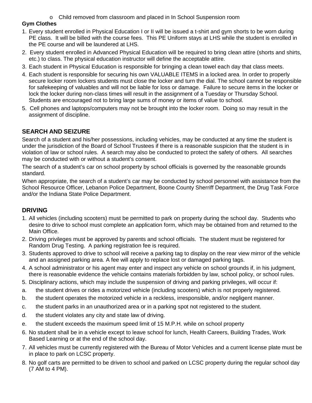o Child removed from classroom and placed in In School Suspension room

### **Gym Clothes**

- 1. Every student enrolled in Physical Education I or II will be issued a t-shirt and gym shorts to be worn during PE class. It will be billed with the course fees. This PE Uniform stays at LHS while the student is enrolled in the PE course and will be laundered at LHS.
- 2. Every student enrolled in Advanced Physical Education will be required to bring clean attire (shorts and shirts, etc.) to class. The physical education instructor will define the acceptable attire.
- 3. Each student in Physical Education is responsible for bringing a clean towel each day that class meets.
- 4. Each student is responsible for securing his own VALUABLE ITEMS in a locked area. In order to properly secure locker room lockers students must close the locker and turn the dial. The school cannot be responsible for safekeeping of valuables and will not be liable for loss or damage. Failure to secure items in the locker or lock the locker during non-class times will result in the assignment of a Tuesday or Thursday School. Students are encouraged not to bring large sums of money or items of value to school.
- 5. Cell phones and laptops/computers may not be brought into the locker room. Doing so may result in the assignment of discipline.

## **SEARCH AND SEIZURE**

Search of a student and his/her possessions, including vehicles, may be conducted at any time the student is under the jurisdiction of the Board of School Trustees if there is a reasonable suspicion that the student is in violation of law or school rules. A search may also be conducted to protect the safety of others. All searches may be conducted with or without a student's consent.

The search of a student's car on school property by school officials is governed by the reasonable grounds standard.

When appropriate, the search of a student's car may be conducted by school personnel with assistance from the School Resource Officer, Lebanon Police Department, Boone County Sherriff Department, the Drug Task Force and/or the Indiana State Police Department.

### **DRIVING**

- 1. All vehicles (including scooters) must be permitted to park on property during the school day. Students who desire to drive to school must complete an application form, which may be obtained from and returned to the Main Office.
- 2. Driving privileges must be approved by parents and school officials. The student must be registered for Random Drug Testing. A parking registration fee is required.
- 3. Students approved to drive to school will receive a parking tag to display on the rear view mirror of the vehicle and an assigned parking area. A fee will apply to replace lost or damaged parking tags.
- 4. A school administrator or his agent may enter and inspect any vehicle on school grounds if, in his judgment, there is reasonable evidence the vehicle contains materials forbidden by law, school policy, or school rules.
- 5. Disciplinary actions, which may include the suspension of driving and parking privileges, will occur if:
- a. the student drives or rides a motorized vehicle (including scooters) which is not properly registered.
- b. the student operates the motorized vehicle in a reckless, irresponsible, and/or negligent manner.
- c. the student parks in an unauthorized area or in a parking spot not registered to the student.
- d. the student violates any city and state law of driving.
- e. the student exceeds the maximum speed limit of 15 M.P.H. while on school property
- 6. No student shall be in a vehicle except to leave school for lunch, Health Careers, Building Trades, Work Based Learning or at the end of the school day.
- 7. All vehicles must be currently registered with the Bureau of Motor Vehicles and a current license plate must be in place to park on LCSC property.
- 8. No golf carts are permitted to be driven to school and parked on LCSC property during the regular school day (7 AM to 4 PM).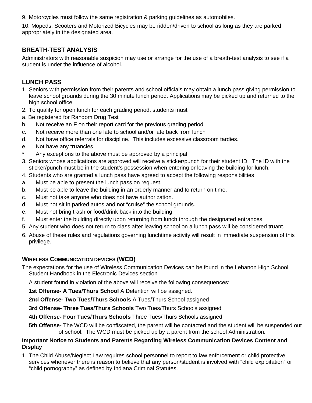9. Motorcycles must follow the same registration & parking guidelines as automobiles.

10. Mopeds, Scooters and Motorized Bicycles may be ridden/driven to school as long as they are parked appropriately in the designated area.

## **BREATH-TEST ANALYSIS**

Administrators with reasonable suspicion may use or arrange for the use of a breath-test analysis to see if a student is under the influence of alcohol.

## **LUNCH PASS**

- 1. Seniors with permission from their parents and school officials may obtain a lunch pass giving permission to leave school grounds during the 30 minute lunch period. Applications may be picked up and returned to the high school office.
- 2. To qualify for open lunch for each grading period, students must
- a. Be registered for Random Drug Test
- b. Not receive an F on their report card for the previous grading period
- c. Not receive more than one late to school and/or late back from lunch
- d. Not have office referrals for discipline. This includes excessive classroom tardies.
- e. Not have any truancies.
- Any exceptions to the above must be approved by a principal
- 3. Seniors whose applications are approved will receive a sticker/punch for their student ID. The ID with the sticker/punch must be in the student's possession when entering or leaving the building for lunch.
- 4. Students who are granted a lunch pass have agreed to accept the following responsibilities
- a. Must be able to present the lunch pass on request.
- b. Must be able to leave the building in an orderly manner and to return on time.
- c. Must not take anyone who does not have authorization.
- d. Must not sit in parked autos and not "cruise" the school grounds.
- e. Must not bring trash or food/drink back into the building
- f. Must enter the building directly upon returning from lunch through the designated entrances.
- 5. Any student who does not return to class after leaving school on a lunch pass will be considered truant.
- 6. Abuse of these rules and regulations governing lunchtime activity will result in immediate suspension of this privilege.

### **WIRELESS COMMUNICATION DEVICES (WCD)**

The expectations for the use of Wireless Communication Devices can be found in the Lebanon High School Student Handbook in the Electronic Devices section

A student found in violation of the above will receive the following consequences:

**1st Offense- A Tues/Thurs School** A Detention will be assigned.

**2nd Offense- Two Tues/Thurs Schools** A Tues/Thurs School assigned

**3rd Offense- Three Tues/Thurs Schools** Two Tues/Thurs Schools assigned

**4th Offense- Four Tues/Thurs Schools** Three Tues/Thurs Schools assigned

**5th Offense-** The WCD will be confiscated, the parent will be contacted and the student will be suspended out of school. The WCD must be picked up by a parent from the school Administration.

#### **Important Notice to Students and Parents Regarding Wireless Communication Devices Content and Display**

1. The Child Abuse/Neglect Law requires school personnel to report to law enforcement or child protective services whenever there is reason to believe that any person/student is involved with "child exploitation" or "child pornography" as defined by Indiana Criminal Statutes.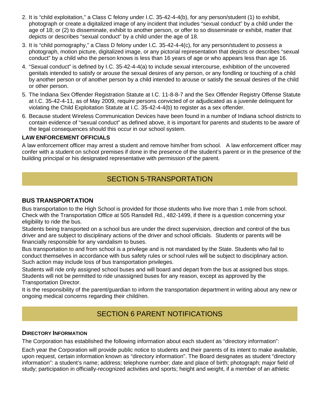- 2. It is "child exploitation," a Class C felony under I.C. 35-42-4-4(b), for any person/student (1) to exhibit, photograph or create a digitalized image of any incident that includes "sexual conduct" by a child under the age of 18; or (2) to disseminate, exhibit to another person, or offer to so disseminate or exhibit, matter that depicts or describes "sexual conduct" by a child under the age of 18.
- 3. It is "child pornography," a Class D felony under I.C. 35-42-4-4(c), for any person/student to *possess* a photograph, motion picture, digitalized image, or any pictorial representation that depicts or describes "sexual conduct" by a child who the person knows is less than 16 years of age or who appears less than age 16.
- 4. "Sexual conduct" is defined by I.C. 35-42-4-4(a) to include sexual intercourse, exhibition of the uncovered genitals intended to satisfy or arouse the sexual desires of any person, or any fondling or touching of a child by another person or of another person by a child intended to arouse or satisfy the sexual desires of the child or other person.
- 5. The Indiana Sex Offender Registration Statute at I.C. 11-8-8-7 and the Sex Offender Registry Offense Statute at I.C. 35-42-4-11, as of May 2009, require persons convicted of or adjudicated as a juvenile delinquent for violating the Child Exploitation Statute at I.C. 35-42-4-4(b) to register as a sex offender.
- 6. Because student Wireless Communication Devices have been found in a number of Indiana school districts to contain evidence of "sexual conduct" as defined above, it is important for parents and students to be aware of the legal consequences should this occur in our school system.

#### **LAW ENFORCEMENT OFFICIALS**

A law enforcement officer may arrest a student and remove him/her from school. A law enforcement officer may confer with a student on school premises if done in the presence of the student's parent or in the presence of the building principal or his designated representative with permission of the parent.

# SECTION 5-TRANSPORTATION

### **BUS TRANSPORTATION**

Bus transportation to the High School is provided for those students who live more than 1 mile from school. Check with the Transportation Office at 505 Ransdell Rd., 482-1499, if there is a question concerning your eligibility to ride the bus.

Students being transported on a school bus are under the direct supervision, direction and control of the bus driver and are subject to disciplinary actions of the driver and school officials. Students or parents will be financially responsible for any vandalism to buses.

Bus transportation to and from school is a privilege and is not mandated by the State. Students who fail to conduct themselves in accordance with bus safety rules or school rules will be subject to disciplinary action. Such action may include loss of bus transportation privileges.

Students will ride only assigned school buses and will board and depart from the bus at assigned bus stops. Students will not be permitted to ride unassigned buses for any reason, except as approved by the Transportation Director.

It is the responsibility of the parent/guardian to inform the transportation department in writing about any new or ongoing medical concerns regarding their child/ren.

# SECTION 6 PARENT NOTIFICATIONS

#### **DIRECTORY INFORMATION**

The Corporation has established the following information about each student as "directory information":

Each year the Corporation will provide public notice to students and their parents of its intent to make available, upon request, certain information known as "directory information". The Board designates as student "directory information": a student's name; address; telephone number; date and place of birth; photograph; major field of study; participation in officially-recognized activities and sports; height and weight, if a member of an athletic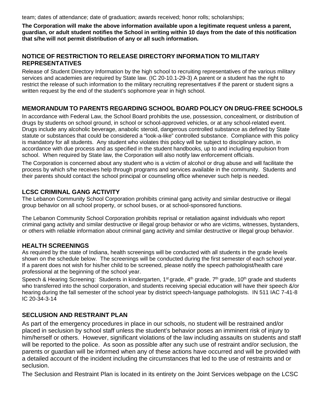team; dates of attendance; date of graduation; awards received; honor rolls; scholarships;

**The Corporation will make the above information available upon a legitimate request unless a parent, guardian, or adult student notifies the School in writing within 10 days from the date of this notification that s/he will not permit distribution of any or all such information.**

### **NOTICE OF RESTRICTION TO RELEASE DIRECTORY INFORMATION TO MILITARY REPRESENTATIVES**

Release of Student Directory Information by the high school to recruiting representatives of the various military services and academies are required by State law. (IC 20-10.1-29-3) A parent or a student has the right to restrict the release of such information to the military recruiting representatives if the parent or student signs a written request by the end of the student's sophomore year in high school.

## **MEMORANDUM TO PARENTS REGARDING SCHOOL BOARD POLICY ON DRUG-FREE SCHOOLS**

In accordance with Federal Law, the School Board prohibits the use, possession, concealment, or distribution of drugs by students on school ground, in school or school-approved vehicles, or at any school-related event. Drugs include any alcoholic beverage, anabolic steroid, dangerous controlled substance as defined by State statute or substances that could be considered a "look-a-like" controlled substance. Compliance with this policy is mandatory for all students. Any student who violates this policy will be subject to disciplinary action, in accordance with due process and as specified in the student handbooks, up to and including expulsion from school. When required by State law, the Corporation will also notify law enforcement officials.

The Corporation is concerned about any student who is a victim of alcohol or drug abuse and will facilitate the process by which s/he receives help through programs and services available in the community. Students and their parents should contact the school principal or counseling office whenever such help is needed.

### **LCSC CRIMINAL GANG ACTIVITY**

The Lebanon Community School Corporation prohibits criminal gang activity and similar destructive or illegal group behavior on all school property, or school buses, or at school-sponsored functions.

The Lebanon Community School Corporation prohibits reprisal or retaliation against individuals who report criminal gang activity and similar destructive or illegal group behavior or who are victims, witnesses, bystanders, or others with reliable information about criminal gang activity and similar destructive or illegal group behavior.

### **HEALTH SCREENINGS**

As required by the state of Indiana, health screenings will be conducted with all students in the grade levels shown on the schedule below. The screenings will be conducted during the first semester of each school year. If a parent does not wish for his/her child to be screened, please notify the speech pathologist/health care professional at the beginning of the school year.

Speech & Hearing Screening: Students in kindergarten, 1<sup>st</sup> grade, 4<sup>th</sup> grade, 7<sup>th</sup> grade, 10<sup>th</sup> grade and students who transferred into the school corporation, and students receiving special education will have their speech &/or hearing during the fall semester of the school year by district speech-language pathologists. IN 511 IAC 7-41-8 IC 20-34-3-14

### **SECLUSION AND RESTRAINT PLAN**

As part of the emergency procedures in place in our schools, no student will be restrained and/or placed in seclusion by school staff unless the student's behavior poses an imminent risk of injury to him/herself or others. However, significant violations of the law including assaults on students and staff will be reported to the police. As soon as possible after any such use of restraint and/or seclusion, the parents or guardian will be informed when any of these actions have occurred and will be provided with a detailed account of the incident including the circumstances that led to the use of restraints and or seclusion.

The Seclusion and Restraint Plan is located in its entirety on the Joint Services webpage on the LCSC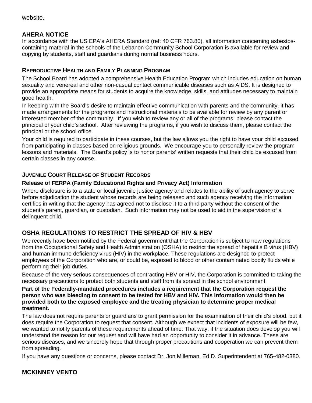website.

# **AHERA NOTICE**

In accordance with the US EPA's AHERA Standard (ref: 40 CFR 763.80), all information concerning asbestoscontaining material in the schools of the Lebanon Community School Corporation is available for review and copying by students, staff and guardians during normal business hours.

#### **REPRODUCTIVE HEALTH AND FAMILY PLANNING PROGRAM**

The School Board has adopted a comprehensive Health Education Program which includes education on human sexuality and venereal and other non-casual contact communicable diseases such as AIDS, It is designed to provide an appropriate means for students to acquire the knowledge, skills, and attitudes necessary to maintain good health.

In keeping with the Board's desire to maintain effective communication with parents and the community, it has made arrangements for the programs and instructional materials to be available for review by any parent or interested member of the community. If you wish to review any or all of the programs, please contact the principal of your child's school. After reviewing the programs, if you wish to discuss them, please contact the principal or the school office.

Your child is required to participate in these courses, but the law allows you the right to have your child excused from participating in classes based on religious grounds. We encourage you to personally review the program lessons and materials. The Board's policy is to honor parents' written requests that their child be excused from certain classes in any course.

### **JUVENILE COURT RELEASE OF STUDENT RECORDS**

#### **Release of FERPA (Family Educational Rights and Privacy Act) Information**

Where disclosure is to a state or local juvenile justice agency and relates to the ability of such agency to serve before adjudication the student whose records are being released and such agency receiving the information certifies in writing that the agency has agreed not to disclose it to a third party without the consent of the student's parent, guardian, or custodian. Such information may not be used to aid in the supervision of a delinquent child.

# **OSHA REGULATIONS TO RESTRICT THE SPREAD OF HIV & HBV**

We recently have been notified by the Federal government that the Corporation is subject to new regulations from the Occupational Safety and Health Administration (OSHA) to restrict the spread of hepatitis B virus (HBV) and human immune deficiency virus (HIV) in the workplace. These regulations are designed to protect employees of the Corporation who are, or could be, exposed to blood or other contaminated bodily fluids while performing their job duties.

Because of the very serious consequences of contracting HBV or HIV, the Corporation is committed to taking the necessary precautions to protect both students and staff from its spread in the school environment.

#### **Part of the Federally-mandated procedures includes a requirement that the Corporation request the person who was bleeding to consent to be tested for HBV and HIV. This information would then be provided both to the exposed employee and the treating physician to determine proper medical treatment.**

The law does not require parents or guardians to grant permission for the examination of their child's blood, but it does require the Corporation to request that consent. Although we expect that incidents of exposure will be few, we wanted to notify parents of these requirements ahead of time. That way, if the situation does develop you will understand the reason for our request and will have had an opportunity to consider it in advance. These are serious diseases, and we sincerely hope that through proper precautions and cooperation we can prevent them from spreading.

If you have any questions or concerns, please contact Dr. Jon Milleman, Ed.D. Superintendent at 765-482-0380.

### **MCKINNEY VENTO**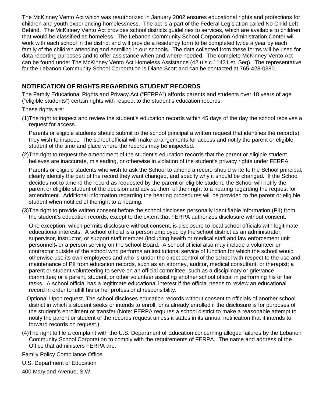The McKinney Vento Act which was reauthorized in January 2002 ensures educational rights and protections for children and youth experiencing homelessness. The act is a part of the Federal Legislation called No Child Left Behind. The McKinney Vento Act provides school districts guidelines to services, which are available to children that would be classified as homeless. The Lebanon Community School Corporation Administration Center will work with each school in the district and will provide a residency form to be completed twice a year by each family of the children attending and enrolling in our schools. The data collected from these forms will be used for data reporting purposes and to offer assistance when and where needed. The complete McKinney Vento Act can be found under The McKinney Vento Act Homeless Assistance (42 u.s.c.11431 et. Seq). The representative for the Lebanon Community School Corporation is Diane Scott and can be contacted at 765-428-0380.

# **NOTIFICATION OF RIGHTS REGARDING STUDENT RECORDS**

The Family Educational Rights and Privacy Act ("FERPA") affords parents and students over 18 years of age ("eligible students") certain rights with respect to the student's education records.

These rights are:

(1)The right to inspect and review the student's education records within 45 days of the day the school receives a request for access.

Parents or eligible students should submit to the school principal a written request that identifies the record(s) they wish to inspect. The school official will make arrangements for access and notify the parent or eligible student of the time and place where the records may be inspected.

(2)The right to request the amendment of the student's education records that the parent or eligible student believes are inaccurate, misleading, or otherwise in violation of the student's privacy rights under FERPA.

Parents or eligible students who wish to ask the School to amend a record should write to the School principal, clearly identify the part of the record they want changed, and specify why it should be changed. If the School decides not to amend the record as requested by the parent or eligible student, the School will notify the parent or eligible student of the decision and advise them of their right to a hearing regarding the request for amendment. Additional information regarding the hearing procedures will be provided to the parent or eligible student when notified of the right to a hearing.

(3)The right to provide written consent before the school discloses personally identifiable information (PII) from the student's education records, except to the extent that FERPA authorizes disclosure without consent.

One exception, which permits disclosure without consent, is disclosure to local school officials with legitimate educational interests. A school official is a person employed by the school district as an administrator, supervisor, instructor, or support staff member (including health or medical staff and law enforcement unit personnel); or a person serving on the school Board. A school official also may include a volunteer or contractor outside of the school who performs an institutional service of function for which the school would otherwise use its own employees and who is under the direct control of the school with respect to the use and maintenance of PII from education records, such as an attorney, auditor, medical consultant, or therapist; a parent or student volunteering to serve on an official committee, such as a disciplinary or grievance committee; or a parent, student, or other volunteer assisting another school official in performing his or her tasks. A school official has a legitimate educational interest if the official needs to review an educational record in order to fulfill his or her professional responsibility.

 Optional Upon request. The school discloses education records without consent to officials of another school district in which a student seeks or intends to enroll, or is already enrolled if the disclosure is for purposes of the student's enrollment or transfer (Note: FERPA requires a school district to make a reasonable attempt to notify the parent or student of the records request unless it states in its annual notification that it intends to forward records on request.)

(4)The right to file a complaint with the U.S. Department of Education concerning alleged failures by the Lebanon Community School Corporation to comply with the requirements of FERPA. The name and address of the Office that administers FERPA are:

Family Policy Compliance Office

- U.S. Department of Education
- 400 Maryland Avenue, S.W.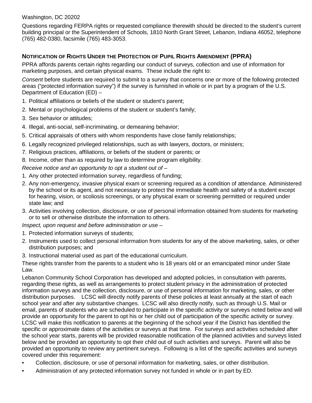#### Washington, DC 20202

Questions regarding FERPA rights or requested compliance therewith should be directed to the student's current building principal or the Superintendent of Schools, 1810 North Grant Street, Lebanon, Indiana 46052, telephone (765) 482-0380, facsimile (765) 483-3053.

# **NOTIFICATION OF RIGHTS UNDER THE PROTECTION OF PUPIL RIGHTS AMENDMENT (PPRA)**

PPRA affords parents certain rights regarding our conduct of surveys, collection and use of information for marketing purposes, and certain physical exams. These include the right to:

*Consent* before students are required to submit to a survey that concerns one or more of the following protected areas ("protected information survey") if the survey is furnished in whole or in part by a program of the U.S. Department of Education (ED) –

- 1. Political affiliations or beliefs of the student or student's parent;
- 2. Mental or psychological problems of the student or student's family;
- 3. Sex behavior or attitudes;
- 4. Illegal, anti-social, self-incriminating, or demeaning behavior;
- 5. Critical appraisals of others with whom respondents have close family relationships;
- 6. Legally recognized privileged relationships, such as with lawyers, doctors, or ministers;
- 7. Religious practices, affiliations, or beliefs of the student or parents; or
- 8. Income, other than as required by law to determine program eligibility.

*Receive notice and an opportunity to opt a student out of –*

- 1. Any other protected information survey, regardless of funding;
- 2. Any non-emergency, invasive physical exam or screening required as a condition of attendance. Administered by the school or its agent, and not necessary to protect the immediate health and safety of a student except for hearing, vision, or scoliosis screenings, or any physical exam or screening permitted or required under state law; and
- 3. Activities involving collection, disclosure, or use of personal information obtained from students for marketing or to sell or otherwise distribute the information to others.

*Inspect, upon request and before administration or use –*

- 1. Protected information surveys of students;
- 2. Instruments used to collect personal information from students for any of the above marketing, sales, or other distribution purposes; and
- 3. Instructional material used as part of the educational curriculum.

These rights transfer from the parents to a student who is 18 years old or an emancipated minor under State Law.

Lebanon Community School Corporation has developed and adopted policies, in consultation with parents, regarding these rights, as well as arrangements to protect student privacy in the administration of protected information surveys and the collection, disclosure, or use of personal information for marketing, sales, or other distribution purposes. LCSC will directly notify parents of these policies at least annually at the start of each school year and after any substantive changes. LCSC will also directly notify, such as through U.S. Mail or email, parents of students who are scheduled to participate in the specific activity or surveys noted below and will provide an opportunity for the parent to opt his or her child out of participation of the specific activity or survey. LCSC will make this notification to parents at the beginning of the school year if the District has identified the specific or approximate dates of the activities or surveys at that time. For surveys and activities scheduled after the school year starts, parents will be provided reasonable notification of the planned activities and surveys listed below and be provided an opportunity to opt their child out of such activities and surveys. Parent will also be provided an opportunity to review any pertinent surveys. Following is a list of the specific activities and surveys covered under this requirement:

- Collection, disclosure, or use of personal information for marketing, sales, or other distribution.
- Administration of any protected information survey not funded in whole or in part by ED.